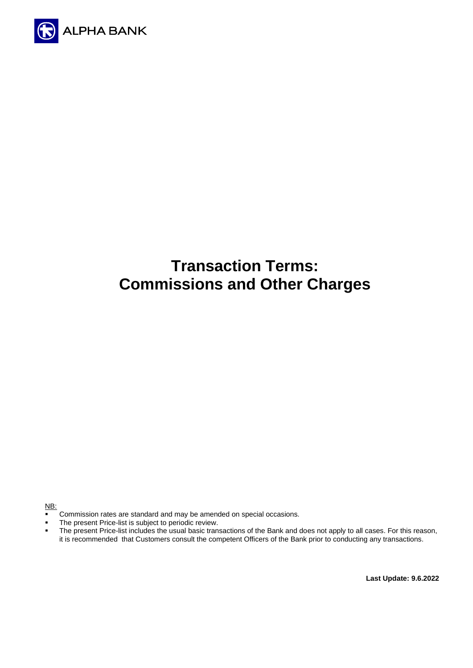

# **Transaction Terms: Commissions and Other Charges**

NB:

- **•** Commission rates are standard and may be amended on special occasions.
- The present Price-list is subject to periodic review.<br>■ The present Price-list includes the usual basic trans
- The present Price-list includes the usual basic transactions of the Bank and does not apply to all cases. For this reason, it is recommended that Customers consult the competent Officers of the Bank prior to conducting any transactions.

**Last Update: 9.6.2022**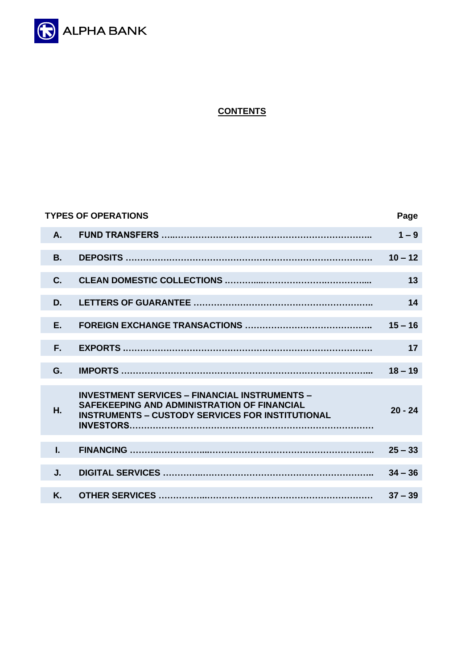

# **CONTENTS**

|           | <b>TYPES OF OPERATIONS</b>                                                                                                                                     | Page      |
|-----------|----------------------------------------------------------------------------------------------------------------------------------------------------------------|-----------|
| A.        |                                                                                                                                                                | $1 - 9$   |
| <b>B.</b> |                                                                                                                                                                | $10 - 12$ |
| C.        |                                                                                                                                                                | 13        |
| D.        |                                                                                                                                                                | 14        |
| F.        |                                                                                                                                                                | $15 - 16$ |
| F.        |                                                                                                                                                                | 17        |
| G.        |                                                                                                                                                                | $18 - 19$ |
| Η.        | <b>INVESTMENT SERVICES - FINANCIAL INSTRUMENTS -</b><br>SAFEKEEPING AND ADMINISTRATION OF FINANCIAL<br><b>INSTRUMENTS - CUSTODY SERVICES FOR INSTITUTIONAL</b> | $20 - 24$ |
| L.        |                                                                                                                                                                | $25 - 33$ |
| J.        |                                                                                                                                                                | $34 - 36$ |
| K.        |                                                                                                                                                                | $37 - 39$ |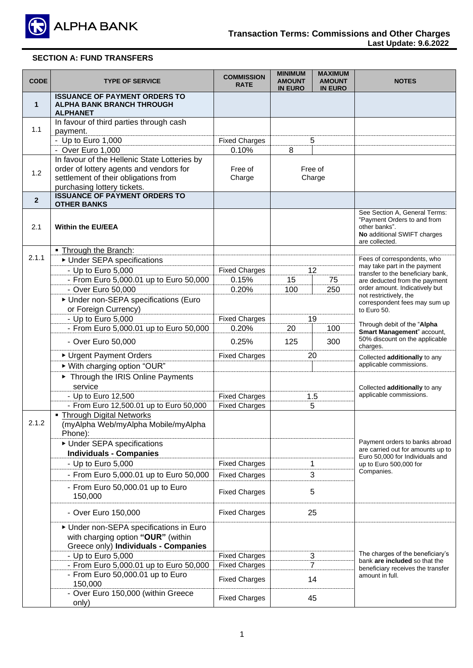

| <b>CODE</b>    | <b>TYPE OF SERVICE</b>                                                                                              | <b>COMMISSION</b><br><b>RATE</b> | <b>MINIMUM</b><br><b>AMOUNT</b><br><b>IN EURO</b> | <b>MAXIMUM</b><br><b>AMOUNT</b><br><b>IN EURO</b> | <b>NOTES</b>                                                                                                                   |  |
|----------------|---------------------------------------------------------------------------------------------------------------------|----------------------------------|---------------------------------------------------|---------------------------------------------------|--------------------------------------------------------------------------------------------------------------------------------|--|
| $\mathbf 1$    | <b>ISSUANCE OF PAYMENT ORDERS TO</b><br><b>ALPHA BANK BRANCH THROUGH</b><br><b>ALPHANET</b>                         |                                  |                                                   |                                                   |                                                                                                                                |  |
|                | In favour of third parties through cash                                                                             |                                  |                                                   |                                                   |                                                                                                                                |  |
| 1.1            | payment.                                                                                                            |                                  |                                                   |                                                   |                                                                                                                                |  |
|                | - Up to Euro 1,000                                                                                                  | <b>Fixed Charges</b>             |                                                   | 5                                                 |                                                                                                                                |  |
|                | - Over Euro 1,000                                                                                                   | 0.10%                            | 8                                                 |                                                   |                                                                                                                                |  |
|                | In favour of the Hellenic State Lotteries by                                                                        |                                  |                                                   |                                                   |                                                                                                                                |  |
| 1.2            | order of lottery agents and vendors for<br>settlement of their obligations from                                     | Free of<br>Charge                |                                                   | Free of<br>Charge                                 |                                                                                                                                |  |
|                | purchasing lottery tickets.                                                                                         |                                  |                                                   |                                                   |                                                                                                                                |  |
|                | <b>ISSUANCE OF PAYMENT ORDERS TO</b>                                                                                |                                  |                                                   |                                                   |                                                                                                                                |  |
| $\overline{2}$ | <b>OTHER BANKS</b>                                                                                                  |                                  |                                                   |                                                   |                                                                                                                                |  |
| 2.1            | <b>Within the EU/EEA</b>                                                                                            |                                  |                                                   |                                                   | See Section A, General Terms:<br>"Payment Orders to and from<br>other banks".<br>No additional SWIFT charges<br>are collected. |  |
|                | - Through the Branch:                                                                                               |                                  |                                                   |                                                   |                                                                                                                                |  |
| 2.1.1          | ▶ Under SEPA specifications                                                                                         |                                  |                                                   |                                                   | Fees of correspondents, who<br>may take part in the payment                                                                    |  |
|                | - Up to Euro 5,000                                                                                                  | <b>Fixed Charges</b>             |                                                   | 12                                                | transfer to the beneficiary bank,                                                                                              |  |
|                | - From Euro 5,000.01 up to Euro 50,000                                                                              | 0.15%                            | 15                                                | 75                                                | are deducted from the payment                                                                                                  |  |
|                | - Over Euro 50,000                                                                                                  | 0.20%                            | 100                                               | 250                                               | order amount. Indicatively but<br>not restrictively, the                                                                       |  |
|                | Under non-SEPA specifications (Euro                                                                                 |                                  |                                                   |                                                   | correspondent fees may sum up                                                                                                  |  |
|                | or Foreign Currency)                                                                                                |                                  |                                                   |                                                   | to Euro 50.                                                                                                                    |  |
|                | - Up to Euro 5,000                                                                                                  | <b>Fixed Charges</b>             |                                                   | 19                                                | Through debit of the "Alpha                                                                                                    |  |
|                | - From Euro 5,000.01 up to Euro 50,000                                                                              | 0.20%                            | 20                                                | 100                                               | Smart Management" account,                                                                                                     |  |
|                | - Over Euro 50,000                                                                                                  | 0.25%                            | 125                                               | 300                                               | 50% discount on the applicable<br>charges.                                                                                     |  |
|                | ▶ Urgent Payment Orders                                                                                             | <b>Fixed Charges</b>             | 20                                                |                                                   | Collected additionally to any                                                                                                  |  |
|                | ▶ With charging option "OUR"                                                                                        |                                  |                                                   |                                                   | applicable commissions.                                                                                                        |  |
|                | Through the IRIS Online Payments                                                                                    |                                  |                                                   |                                                   |                                                                                                                                |  |
|                | service                                                                                                             |                                  |                                                   |                                                   | Collected additionally to any                                                                                                  |  |
|                | - Up to Euro 12,500                                                                                                 | <b>Fixed Charges</b>             |                                                   | 1.5                                               | applicable commissions.                                                                                                        |  |
|                | - From Euro 12,500.01 up to Euro 50,000<br>• Through Digital Networks                                               | <b>Fixed Charges</b>             |                                                   | 5                                                 |                                                                                                                                |  |
| 2.1.2          | (myAlpha Web/myAlpha Mobile/myAlpha<br>Phone):                                                                      |                                  |                                                   |                                                   |                                                                                                                                |  |
|                | ▶ Under SEPA specifications                                                                                         |                                  |                                                   |                                                   | Payment orders to banks abroad<br>are carried out for amounts up to                                                            |  |
|                | <b>Individuals - Companies</b>                                                                                      |                                  |                                                   |                                                   | Euro 50,000 for Individuals and                                                                                                |  |
|                | - Up to Euro 5,000                                                                                                  | <b>Fixed Charges</b>             |                                                   | 1                                                 | up to Euro 500,000 for                                                                                                         |  |
|                | - From Euro 5,000.01 up to Euro 50,000                                                                              | <b>Fixed Charges</b>             |                                                   | 3                                                 | Companies.                                                                                                                     |  |
|                | - From Euro 50,000.01 up to Euro<br>150,000                                                                         | <b>Fixed Charges</b>             |                                                   | 5                                                 |                                                                                                                                |  |
|                | - Over Euro 150,000                                                                                                 | <b>Fixed Charges</b>             | 25                                                |                                                   |                                                                                                                                |  |
|                | Under non-SEPA specifications in Euro<br>with charging option "OUR" (within<br>Greece only) Individuals - Companies |                                  |                                                   |                                                   |                                                                                                                                |  |
|                | - Up to Euro 5,000                                                                                                  | <b>Fixed Charges</b>             |                                                   | 3                                                 | The charges of the beneficiary's<br>bank are included so that the                                                              |  |
|                | - From Euro 5,000.01 up to Euro 50,000                                                                              | <b>Fixed Charges</b>             |                                                   | 7                                                 | beneficiary receives the transfer                                                                                              |  |
|                | - From Euro 50,000.01 up to Euro<br>150,000                                                                         | <b>Fixed Charges</b>             |                                                   | 14                                                | amount in full.                                                                                                                |  |
|                | - Over Euro 150,000 (within Greece<br>only)                                                                         | <b>Fixed Charges</b>             | 45                                                |                                                   |                                                                                                                                |  |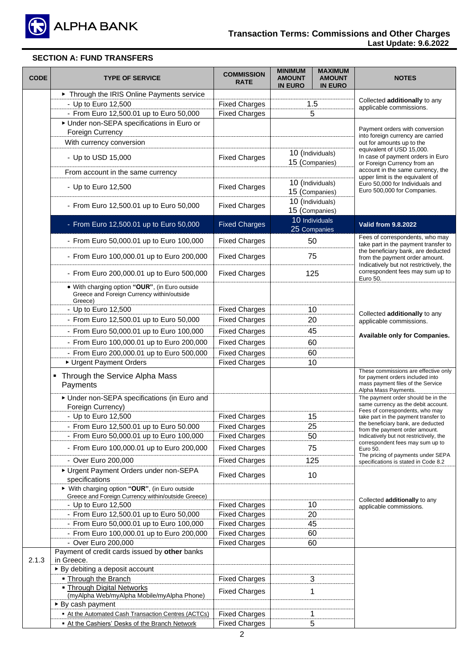

| <b>CODE</b> | <b>TYPE OF SERVICE</b>                                                                                  | <b>COMMISSION</b><br><b>RATE</b> | <b>MINIMUM</b><br><b>AMOUNT</b><br><b>IN EURO</b> | <b>MAXIMUM</b><br><b>AMOUNT</b><br><b>IN EURO</b> | <b>NOTES</b>                                                                                                                          |  |
|-------------|---------------------------------------------------------------------------------------------------------|----------------------------------|---------------------------------------------------|---------------------------------------------------|---------------------------------------------------------------------------------------------------------------------------------------|--|
|             | Through the IRIS Online Payments service                                                                |                                  |                                                   |                                                   |                                                                                                                                       |  |
|             | - Up to Euro 12,500                                                                                     | <b>Fixed Charges</b>             | 1.5                                               |                                                   | Collected additionally to any<br>applicable commissions.                                                                              |  |
|             | - From Euro 12,500.01 up to Euro 50,000                                                                 | <b>Fixed Charges</b>             |                                                   | 5                                                 |                                                                                                                                       |  |
|             | Under non-SEPA specifications in Euro or                                                                |                                  |                                                   |                                                   | Payment orders with conversion                                                                                                        |  |
|             | Foreign Currency                                                                                        |                                  |                                                   |                                                   | into foreign currency are carried                                                                                                     |  |
|             | With currency conversion                                                                                |                                  |                                                   |                                                   | out for amounts up to the<br>equivalent of USD 15,000.                                                                                |  |
|             | - Up to USD 15,000                                                                                      | <b>Fixed Charges</b>             | 10 (Individuals)<br>15 (Companies)                |                                                   | In case of payment orders in Euro<br>or Foreign Currency from an                                                                      |  |
|             | From account in the same currency                                                                       |                                  |                                                   |                                                   | account in the same currency, the<br>upper limit is the equivalent of                                                                 |  |
|             | - Up to Euro 12,500                                                                                     | <b>Fixed Charges</b>             | 10 (Individuals)<br>15 (Companies)                |                                                   | Euro 50,000 for Individuals and<br>Euro 500,000 for Companies.                                                                        |  |
|             | - From Euro 12,500.01 up to Euro 50,000                                                                 | <b>Fixed Charges</b>             | 15 (Companies)                                    | 10 (Individuals)                                  |                                                                                                                                       |  |
|             | - From Euro 12,500.01 up to Euro 50,000                                                                 | <b>Fixed Charges</b>             |                                                   | 10 Individuals                                    | <b>Valid from 9.8.2022</b>                                                                                                            |  |
|             |                                                                                                         |                                  |                                                   | 25 Companies                                      |                                                                                                                                       |  |
|             | - From Euro 50,000.01 up to Euro 100,000                                                                | <b>Fixed Charges</b>             |                                                   | 50                                                | Fees of correspondents, who may<br>take part in the payment transfer to<br>the beneficiary bank, are deducted                         |  |
|             | - From Euro 100,000.01 up to Euro 200,000                                                               | <b>Fixed Charges</b>             | 75                                                |                                                   | from the payment order amount.<br>Indicatively but not restrictively, the                                                             |  |
|             | - From Euro 200,000.01 up to Euro 500,000                                                               | <b>Fixed Charges</b>             |                                                   | 125                                               | correspondent fees may sum up to<br>Euro 50.                                                                                          |  |
|             | . With charging option "OUR", (in Euro outside<br>Greece and Foreign Currency within/outside<br>Greece) |                                  |                                                   |                                                   |                                                                                                                                       |  |
|             | - Up to Euro 12,500                                                                                     | <b>Fixed Charges</b>             |                                                   | 10                                                |                                                                                                                                       |  |
|             | - From Euro 12,500.01 up to Euro 50,000                                                                 | <b>Fixed Charges</b>             | 20                                                |                                                   | Collected additionally to any<br>applicable commissions.                                                                              |  |
|             | - From Euro 50,000.01 up to Euro 100,000                                                                | <b>Fixed Charges</b>             | 45                                                |                                                   |                                                                                                                                       |  |
|             | - From Euro 100,000.01 up to Euro 200,000                                                               | <b>Fixed Charges</b>             | 60                                                |                                                   | Available only for Companies.                                                                                                         |  |
|             | - From Euro 200,000.01 up to Euro 500,000                                                               | <b>Fixed Charges</b><br>60       |                                                   |                                                   |                                                                                                                                       |  |
|             | Urgent Payment Orders                                                                                   | <b>Fixed Charges</b>             |                                                   | 10                                                |                                                                                                                                       |  |
|             | • Through the Service Alpha Mass<br>Payments                                                            |                                  |                                                   |                                                   | These commissions are effective only<br>for payment orders included into<br>mass payment files of the Service<br>Alpha Mass Payments. |  |
|             | ▶ Under non-SEPA specifications (in Euro and<br>Foreign Currency)                                       |                                  |                                                   |                                                   | The payment order should be in the<br>same currency as the debit account.                                                             |  |
|             | - Up to Euro 12,500                                                                                     | <b>Fixed Charges</b>             |                                                   | 15                                                | Fees of correspondents, who may<br>take part in the payment transfer to                                                               |  |
|             | - From Euro 12,500.01 up to Euro 50.000                                                                 | <b>Fixed Charges</b>             |                                                   | 25                                                | the beneficiary bank, are deducted                                                                                                    |  |
|             | - From Euro 50,000.01 up to Euro 100,000                                                                | <b>Fixed Charges</b>             |                                                   | 50                                                | from the payment order amount.<br>Indicatively but not restrictively, the                                                             |  |
|             | - From Euro 100,000.01 up to Euro 200,000                                                               | <b>Fixed Charges</b>             |                                                   | 75                                                | correspondent fees may sum up to<br>Euro 50.                                                                                          |  |
|             |                                                                                                         |                                  |                                                   |                                                   | The pricing of payments under SEPA                                                                                                    |  |
|             | - Over Euro 200,000                                                                                     | <b>Fixed Charges</b>             |                                                   | 125                                               | specifications is stated in Code 8.2                                                                                                  |  |
|             | Urgent Payment Orders under non-SEPA<br>specifications                                                  | <b>Fixed Charges</b>             |                                                   | 10                                                |                                                                                                                                       |  |
|             | ▶ With charging option "OUR", (in Euro outside<br>Greece and Foreign Currency within/outside Greece)    |                                  |                                                   |                                                   |                                                                                                                                       |  |
|             | - Up to Euro 12,500                                                                                     | <b>Fixed Charges</b>             |                                                   | 10                                                | Collected additionally to any<br>applicable commissions.                                                                              |  |
|             | - From Euro 12,500.01 up to Euro 50,000                                                                 | <b>Fixed Charges</b>             |                                                   | 20                                                |                                                                                                                                       |  |
|             | - From Euro 50,000.01 up to Euro 100,000                                                                | <b>Fixed Charges</b>             |                                                   | 45                                                |                                                                                                                                       |  |
|             | - From Euro 100,000.01 up to Euro 200,000                                                               | <b>Fixed Charges</b>             |                                                   | 60                                                |                                                                                                                                       |  |
|             | - Over Euro 200,000                                                                                     | <b>Fixed Charges</b>             |                                                   | 60                                                |                                                                                                                                       |  |
| 2.1.3       | Payment of credit cards issued by other banks<br>in Greece.                                             |                                  |                                                   |                                                   |                                                                                                                                       |  |
|             | ▶ By debiting a deposit account                                                                         |                                  |                                                   |                                                   |                                                                                                                                       |  |
|             | . Through the Branch                                                                                    | <b>Fixed Charges</b>             |                                                   | 3                                                 |                                                                                                                                       |  |
|             | . Through Digital Networks<br>(myAlpha Web/myAlpha Mobile/myAlpha Phone)                                | <b>Fixed Charges</b>             |                                                   | 1                                                 |                                                                                                                                       |  |
|             | ► By cash payment                                                                                       |                                  |                                                   |                                                   |                                                                                                                                       |  |
|             | - At the Automated Cash Transaction Centres (ACTCs)                                                     | <b>Fixed Charges</b>             |                                                   | 1                                                 |                                                                                                                                       |  |
|             | At the Cashiers' Desks of the Branch Network                                                            | <b>Fixed Charges</b>             |                                                   | 5                                                 |                                                                                                                                       |  |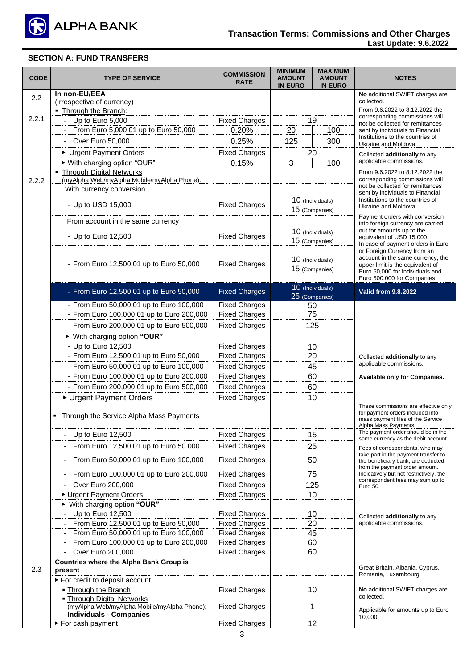

| <b>CODE</b> | <b>TYPE OF SERVICE</b>                                                                                      | <b>COMMISSION</b><br><b>RATE</b> | <b>MINIMUM</b><br><b>AMOUNT</b><br><b>IN EURO</b> | <b>MAXIMUM</b><br><b>AMOUNT</b><br><b>IN EURO</b> | <b>NOTES</b>                                                                                                                                                           |
|-------------|-------------------------------------------------------------------------------------------------------------|----------------------------------|---------------------------------------------------|---------------------------------------------------|------------------------------------------------------------------------------------------------------------------------------------------------------------------------|
| 2.2         | In non-EU/EEA<br>(irrespective of currency)                                                                 |                                  |                                                   |                                                   | No additional SWIFT charges are<br>collected.                                                                                                                          |
|             | . Through the Branch:                                                                                       |                                  |                                                   |                                                   | From 9.6.2022 to 8.12.2022 the                                                                                                                                         |
| 2.2.1       | - Up to Euro $5,000$                                                                                        | <b>Fixed Charges</b>             |                                                   | 19                                                | corresponding commissions will<br>not be collected for remittances                                                                                                     |
|             | - From Euro 5,000.01 up to Euro 50,000                                                                      | 0.20%                            | 20                                                | 100                                               | sent by individuals to Financial                                                                                                                                       |
|             | Over Euro 50,000                                                                                            | 0.25%                            | 125                                               | 300                                               | Institutions to the countries of<br>Ukraine and Moldova.                                                                                                               |
|             | ▶ Urgent Payment Orders                                                                                     | <b>Fixed Charges</b>             |                                                   | 20                                                | Collected additionally to any                                                                                                                                          |
|             | ▶ With charging option "OUR"                                                                                | 0.15%                            | 3                                                 | 100                                               | applicable commissions.                                                                                                                                                |
|             | - Through Digital Networks                                                                                  |                                  |                                                   |                                                   | From 9.6.2022 to 8.12.2022 the                                                                                                                                         |
| 2.2.2       | (myAlpha Web/myAlpha Mobile/myAlpha Phone):                                                                 |                                  |                                                   |                                                   | corresponding commissions will                                                                                                                                         |
|             | With currency conversion                                                                                    |                                  |                                                   |                                                   | not be collected for remittances<br>sent by individuals to Financial                                                                                                   |
|             | - Up to USD 15,000                                                                                          | <b>Fixed Charges</b>             |                                                   | 10 (Individuals)<br>15 (Companies)                | Institutions to the countries of<br>Ukraine and Moldova.                                                                                                               |
|             | From account in the same currency                                                                           |                                  |                                                   |                                                   | Payment orders with conversion<br>into foreign currency are carried                                                                                                    |
|             | - Up to Euro 12,500                                                                                         | <b>Fixed Charges</b>             |                                                   | 10 (Individuals)                                  | out for amounts up to the                                                                                                                                              |
|             |                                                                                                             |                                  |                                                   | 15 (Companies)                                    | equivalent of USD 15,000.<br>In case of payment orders in Euro                                                                                                         |
|             | - From Euro 12,500.01 up to Euro 50,000                                                                     | <b>Fixed Charges</b>             |                                                   | 10 (Individuals)<br>15 (Companies)                | or Foreign Currency from an<br>account in the same currency, the<br>upper limit is the equivalent of<br>Euro 50,000 for Individuals and<br>Euro 500,000 for Companies. |
|             | - From Euro 12,500.01 up to Euro 50,000                                                                     | <b>Fixed Charges</b>             |                                                   | 10 (Individuals)<br>25 (Companies)                | <b>Valid from 9.8.2022</b>                                                                                                                                             |
|             | - From Euro 50,000.01 up to Euro 100,000                                                                    | <b>Fixed Charges</b>             |                                                   | 50                                                |                                                                                                                                                                        |
|             | - From Euro 100,000.01 up to Euro 200,000                                                                   | <b>Fixed Charges</b>             |                                                   | 75                                                |                                                                                                                                                                        |
|             | - From Euro 200,000.01 up to Euro 500,000                                                                   | <b>Fixed Charges</b>             | 125                                               |                                                   |                                                                                                                                                                        |
|             | ▶ With charging option "OUR"                                                                                |                                  |                                                   |                                                   |                                                                                                                                                                        |
|             | - Up to Euro 12,500                                                                                         | <b>Fixed Charges</b>             | 10                                                |                                                   |                                                                                                                                                                        |
|             | - From Euro 12,500.01 up to Euro 50,000                                                                     | <b>Fixed Charges</b>             | 20                                                |                                                   | Collected additionally to any                                                                                                                                          |
|             | - From Euro 50,000.01 up to Euro 100,000                                                                    | <b>Fixed Charges</b>             | 45                                                |                                                   | applicable commissions.                                                                                                                                                |
|             | - From Euro 100,000.01 up to Euro 200,000                                                                   | <b>Fixed Charges</b>             | 60                                                |                                                   | Available only for Companies.                                                                                                                                          |
|             | - From Euro 200,000.01 up to Euro 500,000                                                                   | <b>Fixed Charges</b>             |                                                   | 60                                                |                                                                                                                                                                        |
|             | ▶ Urgent Payment Orders                                                                                     | <b>Fixed Charges</b>             | 10                                                |                                                   |                                                                                                                                                                        |
|             | • Through the Service Alpha Mass Payments                                                                   |                                  |                                                   |                                                   | These commissions are effective only<br>for payment orders included into<br>mass payment files of the Service<br>Alpha Mass Payments.                                  |
|             | Up to Euro 12,500<br>$\overline{\phantom{a}}$                                                               | <b>Fixed Charges</b>             |                                                   | 15                                                | The payment order should be in the<br>same currency as the debit account.                                                                                              |
|             | From Euro 12,500.01 up to Euro 50.000                                                                       | <b>Fixed Charges</b>             |                                                   | 25                                                | Fees of correspondents, who may                                                                                                                                        |
|             | From Euro 50,000.01 up to Euro 100,000                                                                      | <b>Fixed Charges</b>             |                                                   | 50                                                | take part in the payment transfer to<br>the beneficiary bank, are deducted                                                                                             |
|             | From Euro 100,000.01 up to Euro 200,000                                                                     | <b>Fixed Charges</b>             |                                                   | 75                                                | from the payment order amount.<br>Indicatively but not restrictively, the<br>correspondent fees may sum up to                                                          |
|             | Over Euro 200,000                                                                                           | <b>Fixed Charges</b>             |                                                   | 125                                               | Euro 50.                                                                                                                                                               |
|             | ▶ Urgent Payment Orders                                                                                     | <b>Fixed Charges</b>             |                                                   | 10                                                |                                                                                                                                                                        |
|             | ▶ With charging option "OUR"                                                                                |                                  |                                                   |                                                   |                                                                                                                                                                        |
|             | Up to Euro 12,500                                                                                           | <b>Fixed Charges</b>             | 10                                                |                                                   | Collected additionally to any                                                                                                                                          |
|             | From Euro 12,500.01 up to Euro 50,000                                                                       | <b>Fixed Charges</b>             | 20                                                |                                                   | applicable commissions.                                                                                                                                                |
|             | From Euro 50,000.01 up to Euro 100,000                                                                      | <b>Fixed Charges</b>             | 45                                                |                                                   |                                                                                                                                                                        |
|             | From Euro 100,000.01 up to Euro 200,000                                                                     | <b>Fixed Charges</b>             | 60<br>60                                          |                                                   |                                                                                                                                                                        |
|             | Over Euro 200,000                                                                                           | <b>Fixed Charges</b>             |                                                   |                                                   |                                                                                                                                                                        |
| 2.3         | <b>Countries where the Alpha Bank Group is</b><br>present                                                   |                                  |                                                   |                                                   | Great Britain, Albania, Cyprus,<br>Romania, Luxembourg.                                                                                                                |
|             | ▶ For credit to deposit account                                                                             |                                  |                                                   |                                                   |                                                                                                                                                                        |
|             | . Through the Branch                                                                                        | <b>Fixed Charges</b>             |                                                   | 10                                                | <b>No</b> additional SWIFT charges are<br>collected.                                                                                                                   |
|             | . Through Digital Networks<br>(myAlpha Web/myAlpha Mobile/myAlpha Phone):<br><b>Individuals - Companies</b> | <b>Fixed Charges</b>             |                                                   | 1                                                 | Applicable for amounts up to Euro<br>10,000.                                                                                                                           |
|             | ► For cash payment                                                                                          | <b>Fixed Charges</b>             |                                                   | 12                                                |                                                                                                                                                                        |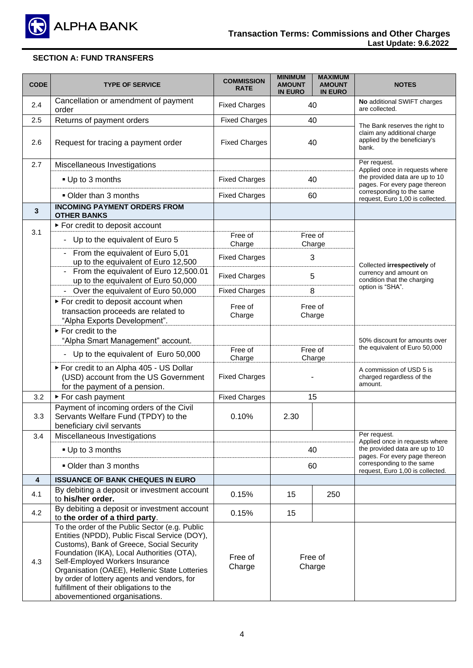

| <b>CODE</b>             | <b>TYPE OF SERVICE</b>                                                                                                                                                                                                                                                                                                                                                                                    | <b>COMMISSION</b><br><b>RATE</b> | <b>MINIMUM</b><br><b>AMOUNT</b><br><b>IN EURO</b> | <b>MAXIMUM</b><br><b>AMOUNT</b><br><b>IN EURO</b> | <b>NOTES</b>                                                                                           |
|-------------------------|-----------------------------------------------------------------------------------------------------------------------------------------------------------------------------------------------------------------------------------------------------------------------------------------------------------------------------------------------------------------------------------------------------------|----------------------------------|---------------------------------------------------|---------------------------------------------------|--------------------------------------------------------------------------------------------------------|
| 2.4                     | Cancellation or amendment of payment<br>order                                                                                                                                                                                                                                                                                                                                                             | <b>Fixed Charges</b>             |                                                   | 40                                                | No additional SWIFT charges<br>are collected.                                                          |
| 2.5                     | Returns of payment orders                                                                                                                                                                                                                                                                                                                                                                                 | <b>Fixed Charges</b>             |                                                   | 40                                                |                                                                                                        |
| 2.6                     | Request for tracing a payment order                                                                                                                                                                                                                                                                                                                                                                       | <b>Fixed Charges</b>             | 40                                                |                                                   | The Bank reserves the right to<br>claim any additional charge<br>applied by the beneficiary's<br>bank. |
| 2.7                     | Miscellaneous Investigations                                                                                                                                                                                                                                                                                                                                                                              |                                  |                                                   |                                                   | Per request.                                                                                           |
|                         | ■ Up to 3 months                                                                                                                                                                                                                                                                                                                                                                                          | <b>Fixed Charges</b>             |                                                   | 40                                                | Applied once in requests where<br>the provided data are up to 10<br>pages. For every page thereon      |
|                         | Older than 3 months                                                                                                                                                                                                                                                                                                                                                                                       | <b>Fixed Charges</b>             |                                                   | 60                                                | corresponding to the same<br>request, Euro 1,00 is collected.                                          |
| $\mathbf{3}$            | <b>INCOMING PAYMENT ORDERS FROM</b><br><b>OTHER BANKS</b>                                                                                                                                                                                                                                                                                                                                                 |                                  |                                                   |                                                   |                                                                                                        |
|                         | ► For credit to deposit account                                                                                                                                                                                                                                                                                                                                                                           |                                  |                                                   |                                                   |                                                                                                        |
| 3.1                     | Up to the equivalent of Euro 5<br>-                                                                                                                                                                                                                                                                                                                                                                       | Free of<br>Charge                |                                                   | Free of<br>Charge                                 |                                                                                                        |
|                         | From the equivalent of Euro 5,01<br>up to the equivalent of Euro 12,500                                                                                                                                                                                                                                                                                                                                   | <b>Fixed Charges</b>             |                                                   | 3                                                 | Collected irrespectively of                                                                            |
|                         | From the equivalent of Euro 12,500.01<br>up to the equivalent of Euro 50,000                                                                                                                                                                                                                                                                                                                              | <b>Fixed Charges</b>             |                                                   | 5                                                 | currency and amount on<br>condition that the charging                                                  |
|                         | Over the equivalent of Euro 50,000                                                                                                                                                                                                                                                                                                                                                                        | <b>Fixed Charges</b>             |                                                   | 8                                                 | option is "SHA".                                                                                       |
|                         | For credit to deposit account when<br>transaction proceeds are related to<br>"Alpha Exports Development".                                                                                                                                                                                                                                                                                                 | Free of<br>Charge                | Free of<br>Charge                                 |                                                   |                                                                                                        |
|                         | For credit to the<br>"Alpha Smart Management" account.                                                                                                                                                                                                                                                                                                                                                    |                                  |                                                   |                                                   | 50% discount for amounts over                                                                          |
|                         | Up to the equivalent of Euro 50,000<br>-                                                                                                                                                                                                                                                                                                                                                                  | Free of<br>Charge                | Free of<br>Charge                                 |                                                   | the equivalent of Euro 50,000                                                                          |
|                         | ► For credit to an Alpha 405 - US Dollar<br>(USD) account from the US Government<br>for the payment of a pension.                                                                                                                                                                                                                                                                                         | <b>Fixed Charges</b>             |                                                   |                                                   | A commission of USD 5 is<br>charged regardless of the<br>amount.                                       |
| 3.2                     | ► For cash payment                                                                                                                                                                                                                                                                                                                                                                                        | <b>Fixed Charges</b>             |                                                   | 15                                                |                                                                                                        |
| 3.3                     | Payment of incoming orders of the Civil<br>Servants Welfare Fund (TPDY) to the<br>beneficiary civil servants                                                                                                                                                                                                                                                                                              | 0.10%                            | 2.30                                              |                                                   |                                                                                                        |
| 3.4                     | Miscellaneous Investigations                                                                                                                                                                                                                                                                                                                                                                              |                                  |                                                   |                                                   | Per request.<br>Applied once in requests where                                                         |
|                         | ■ Up to 3 months                                                                                                                                                                                                                                                                                                                                                                                          |                                  | 40<br>60                                          |                                                   | the provided data are up to 10<br>pages. For every page thereon                                        |
|                         | Older than 3 months                                                                                                                                                                                                                                                                                                                                                                                       |                                  |                                                   |                                                   | corresponding to the same<br>request, Euro 1,00 is collected.                                          |
| $\overline{\mathbf{4}}$ | <b>ISSUANCE OF BANK CHEQUES IN EURO</b>                                                                                                                                                                                                                                                                                                                                                                   |                                  |                                                   |                                                   |                                                                                                        |
| 4.1                     | By debiting a deposit or investment account<br>to his/her order.                                                                                                                                                                                                                                                                                                                                          | 0.15%                            | 15                                                | 250                                               |                                                                                                        |
| 4.2                     | By debiting a deposit or investment account<br>to the order of a third party.                                                                                                                                                                                                                                                                                                                             | 0.15%                            | 15                                                |                                                   |                                                                                                        |
| 4.3                     | To the order of the Public Sector (e.g. Public<br>Entities (NPDD), Public Fiscal Service (DOY),<br>Customs), Bank of Greece, Social Security<br>Foundation (IKA), Local Authorities (OTA),<br>Self-Employed Workers Insurance<br>Organisation (OAEE), Hellenic State Lotteries<br>by order of lottery agents and vendors, for<br>fulfillment of their obligations to the<br>abovementioned organisations. | Free of<br>Charge                | Free of<br>Charge                                 |                                                   |                                                                                                        |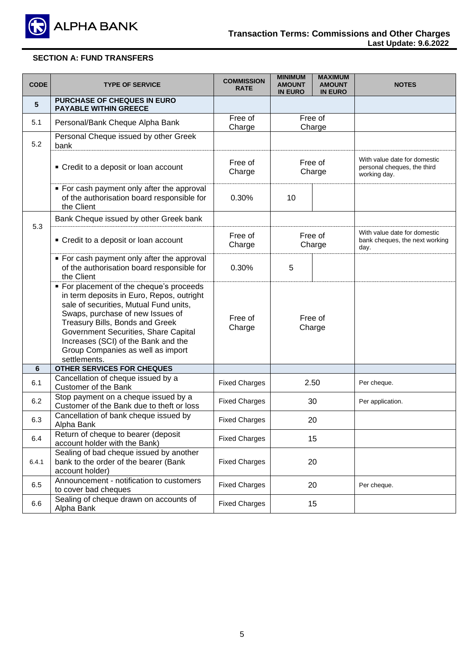

| <b>CODE</b> | <b>TYPE OF SERVICE</b>                                                                                                                                                                                                                                                                                                                     | <b>COMMISSION</b><br><b>RATE</b> | <b>MINIMUM</b><br><b>AMOUNT</b><br><b>IN EURO</b> | <b>MAXIMUM</b><br><b>AMOUNT</b><br><b>IN EURO</b> | <b>NOTES</b>                                                                |
|-------------|--------------------------------------------------------------------------------------------------------------------------------------------------------------------------------------------------------------------------------------------------------------------------------------------------------------------------------------------|----------------------------------|---------------------------------------------------|---------------------------------------------------|-----------------------------------------------------------------------------|
| 5           | <b>PURCHASE OF CHEQUES IN EURO</b><br><b>PAYABLE WITHIN GREECE</b>                                                                                                                                                                                                                                                                         |                                  |                                                   |                                                   |                                                                             |
| 5.1         | Personal/Bank Cheque Alpha Bank                                                                                                                                                                                                                                                                                                            | Free of<br>Charge                |                                                   | Free of<br>Charge                                 |                                                                             |
| 5.2         | Personal Cheque issued by other Greek<br>bank                                                                                                                                                                                                                                                                                              |                                  |                                                   |                                                   |                                                                             |
|             | • Credit to a deposit or loan account                                                                                                                                                                                                                                                                                                      | Free of<br>Charge                |                                                   | Free of<br>Charge                                 | With value date for domestic<br>personal cheques, the third<br>working day. |
|             | • For cash payment only after the approval<br>of the authorisation board responsible for<br>the Client                                                                                                                                                                                                                                     | 0.30%                            | 10                                                |                                                   |                                                                             |
|             | Bank Cheque issued by other Greek bank                                                                                                                                                                                                                                                                                                     |                                  |                                                   |                                                   |                                                                             |
| 5.3         | • Credit to a deposit or loan account                                                                                                                                                                                                                                                                                                      | Free of<br>Charge                | Free of<br>Charge                                 |                                                   | With value date for domestic<br>bank cheques, the next working<br>day.      |
|             | • For cash payment only after the approval<br>of the authorisation board responsible for<br>the Client                                                                                                                                                                                                                                     | 0.30%                            | 5                                                 |                                                   |                                                                             |
|             | • For placement of the cheque's proceeds<br>in term deposits in Euro, Repos, outright<br>sale of securities, Mutual Fund units,<br>Swaps, purchase of new Issues of<br>Treasury Bills, Bonds and Greek<br>Government Securities, Share Capital<br>Increases (SCI) of the Bank and the<br>Group Companies as well as import<br>settlements. | Free of<br>Charge                | Free of<br>Charge                                 |                                                   |                                                                             |
| 6           | OTHER SERVICES FOR CHEQUES                                                                                                                                                                                                                                                                                                                 |                                  |                                                   |                                                   |                                                                             |
| 6.1         | Cancellation of cheque issued by a<br><b>Customer of the Bank</b>                                                                                                                                                                                                                                                                          | <b>Fixed Charges</b>             |                                                   | 2.50                                              | Per cheque.                                                                 |
| 6.2         | Stop payment on a cheque issued by a<br>Customer of the Bank due to theft or loss                                                                                                                                                                                                                                                          | <b>Fixed Charges</b>             |                                                   | 30                                                | Per application.                                                            |
| 6.3         | Cancellation of bank cheque issued by<br>Alpha Bank                                                                                                                                                                                                                                                                                        | <b>Fixed Charges</b>             | 20                                                |                                                   |                                                                             |
| 6.4         | Return of cheque to bearer (deposit<br>account holder with the Bank)                                                                                                                                                                                                                                                                       | <b>Fixed Charges</b>             | 15                                                |                                                   |                                                                             |
| 6.4.1       | Sealing of bad cheque issued by another<br>bank to the order of the bearer (Bank<br>account holder)                                                                                                                                                                                                                                        | <b>Fixed Charges</b>             |                                                   | 20                                                |                                                                             |
| 6.5         | Announcement - notification to customers<br>to cover bad cheques                                                                                                                                                                                                                                                                           | <b>Fixed Charges</b>             |                                                   | 20                                                | Per cheque.                                                                 |
| 6.6         | Sealing of cheque drawn on accounts of<br>Alpha Bank                                                                                                                                                                                                                                                                                       | <b>Fixed Charges</b>             |                                                   | 15                                                |                                                                             |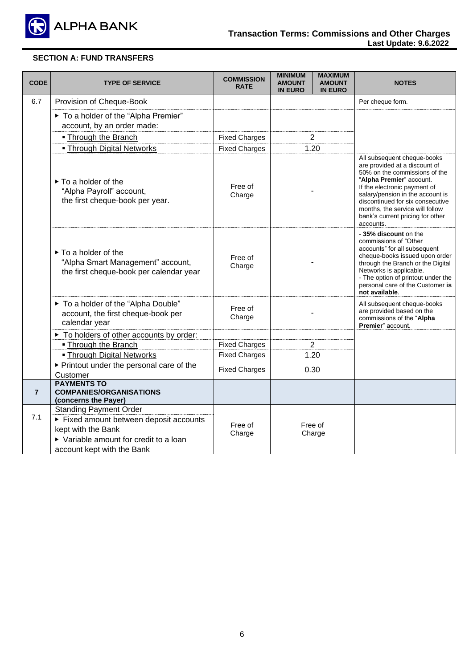

| <b>CODE</b>    | <b>TYPE OF SERVICE</b>                                                                                                                 | <b>COMMISSION</b><br><b>RATE</b> | <b>MINIMUM</b><br><b>AMOUNT</b><br><b>IN EURO</b> | <b>MAXIMUM</b><br><b>AMOUNT</b><br><b>IN EURO</b> | <b>NOTES</b>                                                                                                                                                                                                                                                                                                          |
|----------------|----------------------------------------------------------------------------------------------------------------------------------------|----------------------------------|---------------------------------------------------|---------------------------------------------------|-----------------------------------------------------------------------------------------------------------------------------------------------------------------------------------------------------------------------------------------------------------------------------------------------------------------------|
| 6.7            | Provision of Cheque-Book                                                                                                               |                                  |                                                   |                                                   | Per cheque form.                                                                                                                                                                                                                                                                                                      |
|                | ▶ To a holder of the "Alpha Premier"<br>account, by an order made:                                                                     |                                  |                                                   |                                                   |                                                                                                                                                                                                                                                                                                                       |
|                | • Through the Branch                                                                                                                   | <b>Fixed Charges</b>             |                                                   | $\overline{2}$                                    |                                                                                                                                                                                                                                                                                                                       |
|                | . Through Digital Networks                                                                                                             | <b>Fixed Charges</b>             |                                                   | 1.20                                              |                                                                                                                                                                                                                                                                                                                       |
|                | To a holder of the<br>"Alpha Payroll" account,<br>the first cheque-book per year.                                                      | Free of<br>Charge                |                                                   |                                                   | All subsequent cheque-books<br>are provided at a discount of<br>50% on the commissions of the<br>"Alpha Premier" account.<br>If the electronic payment of<br>salary/pension in the account is<br>discontinued for six consecutive<br>months, the service will follow<br>bank's current pricing for other<br>accounts. |
|                | To a holder of the<br>"Alpha Smart Management" account,<br>the first cheque-book per calendar year                                     | Free of<br>Charge                |                                                   |                                                   | -35% discount on the<br>commissions of "Other<br>accounts" for all subsequent<br>cheque-books issued upon order<br>through the Branch or the Digital<br>Networks is applicable.<br>- The option of printout under the<br>personal care of the Customer is<br>not available.                                           |
|                | ▶ To a holder of the "Alpha Double"<br>account, the first cheque-book per<br>calendar year                                             | Free of<br>Charge                |                                                   |                                                   | All subsequent cheque-books<br>are provided based on the<br>commissions of the "Alpha<br>Premier" account.                                                                                                                                                                                                            |
|                | ▶ To holders of other accounts by order:                                                                                               |                                  |                                                   |                                                   |                                                                                                                                                                                                                                                                                                                       |
|                | • Through the Branch                                                                                                                   | <b>Fixed Charges</b>             |                                                   | $\overline{2}$                                    |                                                                                                                                                                                                                                                                                                                       |
|                | - Through Digital Networks                                                                                                             | <b>Fixed Charges</b>             |                                                   | 1.20                                              |                                                                                                                                                                                                                                                                                                                       |
|                | ▶ Printout under the personal care of the<br>Customer                                                                                  | <b>Fixed Charges</b>             |                                                   | 0.30                                              |                                                                                                                                                                                                                                                                                                                       |
| $\overline{7}$ | <b>PAYMENTS TO</b><br><b>COMPANIES/ORGANISATIONS</b><br>(concerns the Payer)                                                           |                                  |                                                   |                                                   |                                                                                                                                                                                                                                                                                                                       |
| 7.1            | <b>Standing Payment Order</b><br>Fixed amount between deposit accounts<br>kept with the Bank<br>▶ Variable amount for credit to a loan | Free of<br>Charge                |                                                   | Free of<br>Charge                                 |                                                                                                                                                                                                                                                                                                                       |
|                | account kept with the Bank                                                                                                             |                                  |                                                   |                                                   |                                                                                                                                                                                                                                                                                                                       |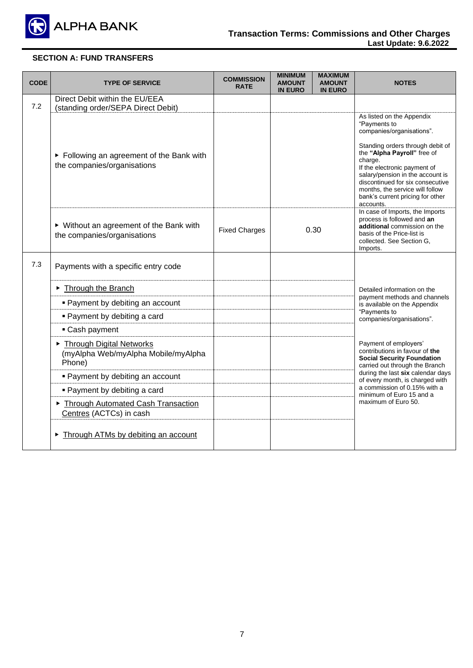

| <b>CODE</b> | <b>TYPE OF SERVICE</b>                                                    | <b>COMMISSION</b><br><b>RATE</b> | <b>MINIMUM</b><br><b>AMOUNT</b><br><b>IN EURO</b> | <b>MAXIMUM</b><br><b>AMOUNT</b><br><b>IN EURO</b> | <b>NOTES</b>                                                                                                                                                                                                                                                                                    |  |
|-------------|---------------------------------------------------------------------------|----------------------------------|---------------------------------------------------|---------------------------------------------------|-------------------------------------------------------------------------------------------------------------------------------------------------------------------------------------------------------------------------------------------------------------------------------------------------|--|
| 7.2         | Direct Debit within the EU/EEA<br>(standing order/SEPA Direct Debit)      |                                  |                                                   |                                                   |                                                                                                                                                                                                                                                                                                 |  |
|             | ► Following an agreement of the Bank with<br>the companies/organisations  |                                  |                                                   |                                                   | As listed on the Appendix<br>"Payments to<br>companies/organisations".<br>Standing orders through debit of<br>the "Alpha Payroll" free of<br>charge.<br>If the electronic payment of<br>salary/pension in the account is<br>discontinued for six consecutive<br>months, the service will follow |  |
|             |                                                                           |                                  |                                                   |                                                   | bank's current pricing for other<br>accounts.                                                                                                                                                                                                                                                   |  |
|             | ▶ Without an agreement of the Bank with<br>the companies/organisations    | <b>Fixed Charges</b>             |                                                   | 0.30                                              | In case of Imports, the Imports<br>process is followed and an<br>additional commission on the<br>basis of the Price-list is<br>collected. See Section G,<br>Imports.                                                                                                                            |  |
| 7.3         | Payments with a specific entry code                                       |                                  |                                                   |                                                   |                                                                                                                                                                                                                                                                                                 |  |
|             | Through the Branch                                                        |                                  |                                                   |                                                   | Detailed information on the                                                                                                                                                                                                                                                                     |  |
|             | • Payment by debiting an account                                          |                                  |                                                   |                                                   | payment methods and channels<br>is available on the Appendix                                                                                                                                                                                                                                    |  |
|             | • Payment by debiting a card                                              |                                  |                                                   |                                                   | "Payments to<br>companies/organisations".                                                                                                                                                                                                                                                       |  |
|             | • Cash payment                                                            |                                  |                                                   |                                                   |                                                                                                                                                                                                                                                                                                 |  |
|             | Through Digital Networks<br>(myAlpha Web/myAlpha Mobile/myAlpha<br>Phone) |                                  |                                                   |                                                   | Payment of employers'<br>contributions in favour of the<br><b>Social Security Foundation</b><br>carried out through the Branch                                                                                                                                                                  |  |
|             | • Payment by debiting an account                                          |                                  |                                                   |                                                   | during the last six calendar days<br>of every month, is charged with                                                                                                                                                                                                                            |  |
|             | • Payment by debiting a card                                              |                                  |                                                   |                                                   | a commission of 0.15% with a<br>minimum of Euro 15 and a                                                                                                                                                                                                                                        |  |
|             | Through Automated Cash Transaction<br>Centres (ACTCs) in cash             |                                  |                                                   |                                                   | maximum of Euro 50.                                                                                                                                                                                                                                                                             |  |
|             | Through ATMs by debiting an account                                       |                                  |                                                   |                                                   |                                                                                                                                                                                                                                                                                                 |  |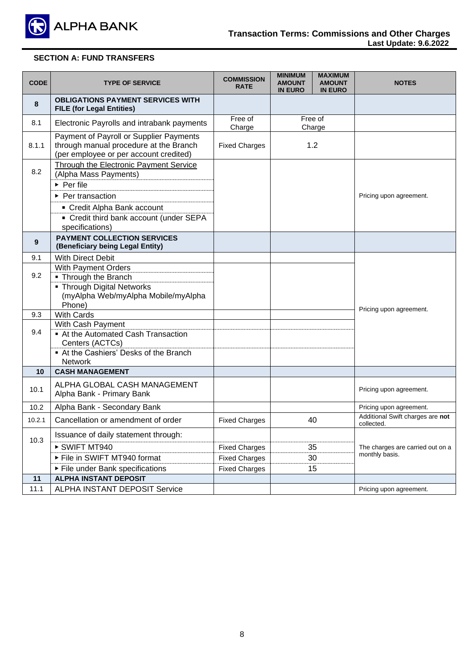

| <b>CODE</b> | <b>TYPE OF SERVICE</b>                                                                                                                                                                                                      | <b>COMMISSION</b><br><b>RATE</b>                                     | <b>MINIMUM</b><br><b>AMOUNT</b><br><b>IN EURO</b> | <b>MAXIMUM</b><br><b>AMOUNT</b><br><b>IN EURO</b> | <b>NOTES</b>                                       |
|-------------|-----------------------------------------------------------------------------------------------------------------------------------------------------------------------------------------------------------------------------|----------------------------------------------------------------------|---------------------------------------------------|---------------------------------------------------|----------------------------------------------------|
| 8           | <b>OBLIGATIONS PAYMENT SERVICES WITH</b><br><b>FILE (for Legal Entities)</b>                                                                                                                                                |                                                                      |                                                   |                                                   |                                                    |
| 8.1         | Electronic Payrolls and intrabank payments                                                                                                                                                                                  | Free of<br>Charge                                                    |                                                   | Free of<br>Charge                                 |                                                    |
| 8.1.1       | Payment of Payroll or Supplier Payments<br>through manual procedure at the Branch<br>(per employee or per account credited)                                                                                                 | <b>Fixed Charges</b>                                                 |                                                   | 1.2                                               |                                                    |
| 8.2         | Through the Electronic Payment Service<br>(Alpha Mass Payments)<br>$\triangleright$ Per file<br>$\triangleright$ Per transaction<br>Credit Alpha Bank account<br>• Credit third bank account (under SEPA<br>specifications) |                                                                      |                                                   |                                                   | Pricing upon agreement.                            |
| 9           | <b>PAYMENT COLLECTION SERVICES</b><br>(Beneficiary being Legal Entity)                                                                                                                                                      |                                                                      |                                                   |                                                   |                                                    |
| 9.1         | <b>With Direct Debit</b>                                                                                                                                                                                                    |                                                                      |                                                   |                                                   |                                                    |
| 9.2         | With Payment Orders<br>• Through the Branch<br>• Through Digital Networks<br>(myAlpha Web/myAlpha Mobile/myAlpha<br>Phone)                                                                                                  |                                                                      |                                                   |                                                   |                                                    |
| 9.3         | <b>With Cards</b>                                                                                                                                                                                                           |                                                                      |                                                   |                                                   | Pricing upon agreement.                            |
| 9.4         | With Cash Payment<br>At the Automated Cash Transaction<br>Centers (ACTCs)<br>At the Cashiers' Desks of the Branch<br><b>Network</b>                                                                                         |                                                                      |                                                   |                                                   |                                                    |
| 10          | <b>CASH MANAGEMENT</b>                                                                                                                                                                                                      |                                                                      |                                                   |                                                   |                                                    |
| 10.1        | ALPHA GLOBAL CASH MANAGEMENT<br>Alpha Bank - Primary Bank                                                                                                                                                                   |                                                                      |                                                   |                                                   | Pricing upon agreement.                            |
| 10.2        | Alpha Bank - Secondary Bank                                                                                                                                                                                                 |                                                                      |                                                   |                                                   | Pricing upon agreement.                            |
| 10.2.1      | Cancellation or amendment of order                                                                                                                                                                                          | <b>Fixed Charges</b>                                                 |                                                   | 40                                                | Additional Swift charges are not<br>collected.     |
| 10.3        | Issuance of daily statement through:<br>SWIFT MT940<br>File in SWIFT MT940 format<br>▶ File under Bank specifications                                                                                                       | <b>Fixed Charges</b><br><b>Fixed Charges</b><br><b>Fixed Charges</b> |                                                   | 35<br>30<br>15                                    | The charges are carried out on a<br>monthly basis. |
| 11          | <b>ALPHA INSTANT DEPOSIT</b>                                                                                                                                                                                                |                                                                      |                                                   |                                                   |                                                    |
| 11.1        | <b>ALPHA INSTANT DEPOSIT Service</b>                                                                                                                                                                                        |                                                                      |                                                   |                                                   | Pricing upon agreement.                            |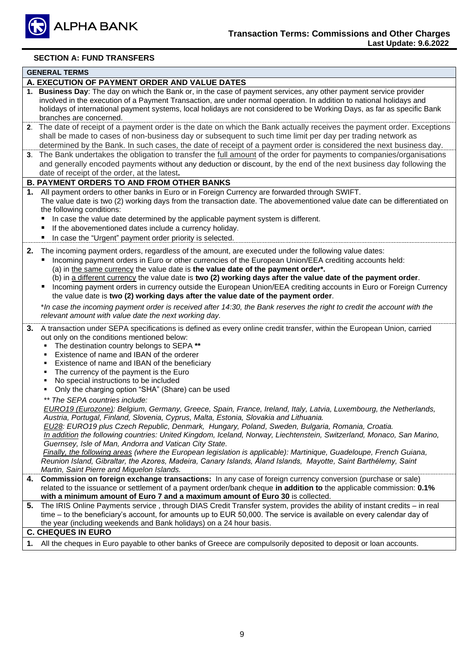

|                                  | <b>GENERAL TERMS</b>                                                                                                                                                                                                                                                                                                                                                                                                                                                                                                                                                                                                                                                                                                                                                                                                      |
|----------------------------------|---------------------------------------------------------------------------------------------------------------------------------------------------------------------------------------------------------------------------------------------------------------------------------------------------------------------------------------------------------------------------------------------------------------------------------------------------------------------------------------------------------------------------------------------------------------------------------------------------------------------------------------------------------------------------------------------------------------------------------------------------------------------------------------------------------------------------|
|                                  | A. EXECUTION OF PAYMENT ORDER AND VALUE DATES                                                                                                                                                                                                                                                                                                                                                                                                                                                                                                                                                                                                                                                                                                                                                                             |
|                                  | 1. Business Day: The day on which the Bank or, in the case of payment services, any other payment service provider<br>involved in the execution of a Payment Transaction, are under normal operation. In addition to national holidays and<br>holidays of international payment systems, local holidays are not considered to be Working Days, as far as specific Bank<br>branches are concerned.                                                                                                                                                                                                                                                                                                                                                                                                                         |
|                                  | 2. The date of receipt of a payment order is the date on which the Bank actually receives the payment order. Exceptions<br>shall be made to cases of non-business day or subsequent to such time limit per day per trading network as<br>determined by the Bank. In such cases, the date of receipt of a payment order is considered the next business day.                                                                                                                                                                                                                                                                                                                                                                                                                                                               |
|                                  | 3. The Bank undertakes the obligation to transfer the full amount of the order for payments to companies/organisations<br>and generally encoded payments without any deduction or discount, by the end of the next business day following the<br>date of receipt of the order, at the latest.                                                                                                                                                                                                                                                                                                                                                                                                                                                                                                                             |
|                                  | <b>B. PAYMENT ORDERS TO AND FROM OTHER BANKS</b>                                                                                                                                                                                                                                                                                                                                                                                                                                                                                                                                                                                                                                                                                                                                                                          |
| п                                | 1. All payment orders to other banks in Euro or in Foreign Currency are forwarded through SWIFT.<br>The value date is two (2) working days from the transaction date. The abovementioned value date can be differentiated on<br>the following conditions:<br>In case the value date determined by the applicable payment system is different.<br>If the abovementioned dates include a currency holiday.<br>In case the "Urgent" payment order priority is selected.                                                                                                                                                                                                                                                                                                                                                      |
| 2.<br>٠<br>п                     | The incoming payment orders, regardless of the amount, are executed under the following value dates:<br>Incoming payment orders in Euro or other currencies of the European Union/EEA crediting accounts held:<br>(a) in the same currency the value date is the value date of the payment order*.<br>(b) in a different currency the value date is two (2) working days after the value date of the payment order.<br>Incoming payment orders in currency outside the European Union/EEA crediting accounts in Euro or Foreign Currency<br>the value date is two (2) working days after the value date of the payment order.                                                                                                                                                                                             |
|                                  | *In case the incoming payment order is received after 14:30, the Bank reserves the right to credit the account with the<br>relevant amount with value date the next working day.                                                                                                                                                                                                                                                                                                                                                                                                                                                                                                                                                                                                                                          |
| 3.<br>٠<br>٠<br>٠<br>٠<br>٠<br>٠ | A transaction under SEPA specifications is defined as every online credit transfer, within the European Union, carried<br>out only on the conditions mentioned below:<br>The destination country belongs to SEPA **<br>Existence of name and IBAN of the orderer<br>Existence of name and IBAN of the beneficiary<br>The currency of the payment is the Euro<br>No special instructions to be included<br>Only the charging option "SHA" (Share) can be used                                                                                                                                                                                                                                                                                                                                                              |
|                                  | ** The SEPA countries include:<br>EURO19 (Eurozone): Belgium, Germany, Greece, Spain, France, Ireland, Italy, Latvia, Luxembourg, the Netherlands,<br>Austria, Portugal, Finland, Slovenia, Cyprus, Malta, Estonia, Slovakia and Lithuania.<br>EU28: EURO19 plus Czech Republic, Denmark, Hungary, Poland, Sweden, Bulgaria, Romania, Croatia.<br>In addition the following countries: United Kingdom, Iceland, Norway, Liechtenstein, Switzerland, Monaco, San Marino,<br>Guernsey, Isle of Man, Andorra and Vatican City State.<br>Finally, the following areas (where the European legislation is applicable): Martinique, Guadeloupe, French Guiana,<br>Reunion Island, Gibraltar, the Azores, Madeira, Canary Islands, Åland Islands, Mayotte, Saint Barthélemy, Saint<br>Martin, Saint Pierre and Miquelon Islands. |
| 4.                               | Commission on foreign exchange transactions: In any case of foreign currency conversion (purchase or sale)<br>related to the issuance or settlement of a payment order/bank cheque in addition to the applicable commission: 0.1%<br>with a minimum amount of Euro 7 and a maximum amount of Euro 30 is collected.                                                                                                                                                                                                                                                                                                                                                                                                                                                                                                        |
|                                  | 5. The IRIS Online Payments service, through DIAS Credit Transfer system, provides the ability of instant credits – in real<br>time – to the beneficiary's account, for amounts up to EUR 50,000. The service is available on every calendar day of<br>the year (including weekends and Bank holidays) on a 24 hour basis.                                                                                                                                                                                                                                                                                                                                                                                                                                                                                                |
|                                  | <b>C. CHEQUES IN EURO</b>                                                                                                                                                                                                                                                                                                                                                                                                                                                                                                                                                                                                                                                                                                                                                                                                 |
|                                  | 1. All the cheques in Euro payable to other banks of Greece are compulsorily deposited to deposit or loan accounts.                                                                                                                                                                                                                                                                                                                                                                                                                                                                                                                                                                                                                                                                                                       |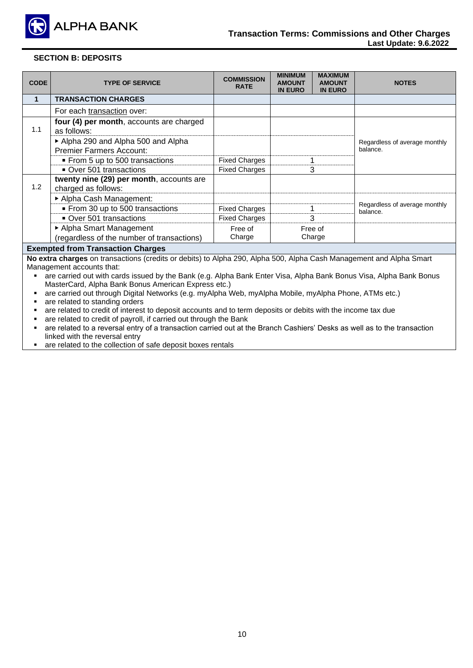

### **SECTION B: DEPOSITS**

| <b>CODE</b>                                                                                                                                      | <b>TYPE OF SERVICE</b>                                                 | <b>COMMISSION</b><br><b>RATE</b> | <b>MINIMUM</b><br><b>AMOUNT</b><br><b>IN EURO</b> | <b>MAXIMUM</b><br><b>AMOUNT</b><br><b>IN EURO</b> | <b>NOTES</b>                              |  |
|--------------------------------------------------------------------------------------------------------------------------------------------------|------------------------------------------------------------------------|----------------------------------|---------------------------------------------------|---------------------------------------------------|-------------------------------------------|--|
| 1                                                                                                                                                | <b>TRANSACTION CHARGES</b>                                             |                                  |                                                   |                                                   |                                           |  |
|                                                                                                                                                  | For each transaction over:                                             |                                  |                                                   |                                                   |                                           |  |
| 1.1                                                                                                                                              | four (4) per month, accounts are charged<br>as follows:                |                                  |                                                   |                                                   |                                           |  |
|                                                                                                                                                  | Alpha 290 and Alpha 500 and Alpha<br><b>Premier Farmers Account:</b>   |                                  |                                                   |                                                   | Regardless of average monthly<br>balance. |  |
|                                                                                                                                                  | ■ From 5 up to 500 transactions                                        | <b>Fixed Charges</b>             |                                                   |                                                   |                                           |  |
|                                                                                                                                                  | Over 501 transactions                                                  | <b>Fixed Charges</b>             |                                                   | 3                                                 |                                           |  |
| 1.2                                                                                                                                              | twenty nine (29) per month, accounts are<br>charged as follows:        |                                  |                                                   |                                                   |                                           |  |
|                                                                                                                                                  | Alpha Cash Management:                                                 |                                  |                                                   |                                                   |                                           |  |
|                                                                                                                                                  | From 30 up to 500 transactions                                         | <b>Fixed Charges</b>             |                                                   |                                                   | Regardless of average monthly<br>balance. |  |
|                                                                                                                                                  | Over 501 transactions                                                  | <b>Fixed Charges</b>             |                                                   | 3                                                 |                                           |  |
|                                                                                                                                                  | ▶ Alpha Smart Management<br>(regardless of the number of transactions) | Free of<br>Charge                |                                                   | Free of<br>Charge                                 |                                           |  |
|                                                                                                                                                  | <b>Exempted from Transaction Charges</b>                               |                                  |                                                   |                                                   |                                           |  |
| No extra charges on transactions (credits or debits) to Alpha 290, Alpha 500, Alpha Cash Management and Alpha Smart<br>Management accounts that: |                                                                        |                                  |                                                   |                                                   |                                           |  |

- are carried out with cards issued by the Bank (e.g. Alpha Bank Enter Visa, Alpha Bank Bonus Visa, Alpha Bank Bonus MasterCard, Alpha Bank Bonus American Express etc.)
- are carried out through Digital Networks (e.g. myAlpha Web, myAlpha Mobile, myAlpha Phone, ATMs etc.)
- are related to standing orders
- are related to credit of interest to deposit accounts and to term deposits or debits with the income tax due
- are related to credit of payroll, if carried out through the Bank
- are related to a reversal entry of a transaction carried out at the Branch Cashiers' Desks as well as to the transaction linked with the reversal entry
- are related to the collection of safe deposit boxes rentals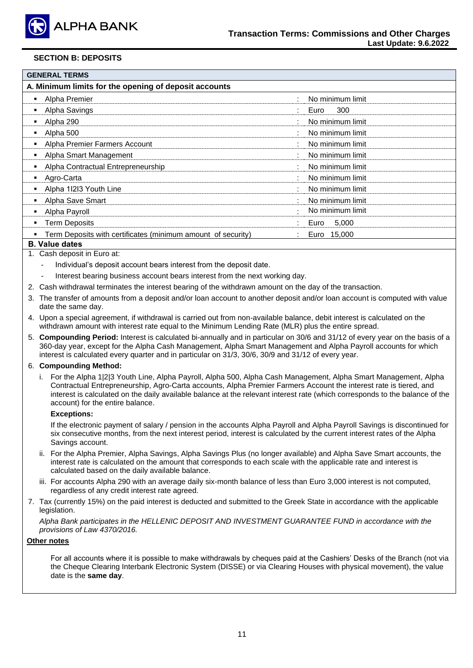

### **SECTION B: DEPOSITS**

| <b>GENERAL TERMS</b>                                         |                  |
|--------------------------------------------------------------|------------------|
| A. Minimum limits for the opening of deposit accounts        |                  |
| Alpha Premier<br>٠                                           | No minimum limit |
| Alpha Savings                                                | 300<br>Euro      |
| Alpha 290<br>٠                                               | No minimum limit |
| Alpha 500                                                    | No minimum limit |
| Alpha Premier Farmers Account<br>٠                           | No minimum limit |
| Alpha Smart Management                                       | No minimum limit |
| Alpha Contractual Entrepreneurship                           | No minimum limit |
| Agro-Carta                                                   | No minimum limit |
| Alpha 11213 Youth Line                                       | No minimum limit |
| Alpha Save Smart                                             | No minimum limit |
| Alpha Payroll                                                | No minimum limit |
| <b>Term Deposits</b>                                         | 5,000<br>Euro    |
| Term Deposits with certificates (minimum amount of security) | Euro 15,000      |
| .                                                            |                  |

#### **Β. Value dates**

- 1. Cash deposit in Euro at:
	- Individual's deposit account bears interest from the deposit date.
	- Interest bearing business account bears interest from the next working day.
- 2. Cash withdrawal terminates the interest bearing of the withdrawn amount on the day of the transaction.
- 3. The transfer of amounts from a deposit and/or loan account to another deposit and/or loan account is computed with value date the same day.
- 4. Upon a special agreement, if withdrawal is carried out from non-available balance, debit interest is calculated on the withdrawn amount with interest rate equal to the Minimum Lending Rate (MLR) plus the entire spread.
- 5. **Compounding Period:** Interest is calculated bi-annually and in particular on 30/6 and 31/12 of every year on the basis of a 360-day year, except for the Alpha Cash Management, Alpha Smart Management and Alpha Payroll accounts for which interest is calculated every quarter and in particular on 31/3, 30/6, 30/9 and 31/12 of every year.

#### 6. **Compounding Method:**

i. For the Alpha 1|2|3 Youth Line, Alpha Payroll, Alpha 500, Alpha Cash Management, Alpha Smart Management, Alpha Contractual Entrepreneurship, Agro-Carta accounts, Alpha Premier Farmers Account the interest rate is tiered, and interest is calculated on the daily available balance at the relevant interest rate (which corresponds to the balance of the account) for the entire balance.

#### **Exceptions:**

If the electronic payment of salary / pension in the accounts Alpha Payroll and Alpha Payroll Savings is discontinued for six consecutive months, from the next interest period, interest is calculated by the current interest rates of the Alpha Savings account.

- ii. For the Alpha Premier, Alpha Savings, Alpha Savings Plus (no longer available) and Alpha Save Smart accounts, the interest rate is calculated on the amount that corresponds to each scale with the applicable rate and interest is calculated based on the daily available balance.
- iii. For accounts Alpha 290 with an average daily six-month balance of less than Euro 3,000 interest is not computed, regardless of any credit interest rate agreed.
- 7. Tax (currently 15%) on the paid interest is deducted and submitted to the Greek State in accordance with the applicable legislation.

*Alpha Bank participates in the HELLENIC DEPOSIT AND INVESTMENT GUARANTEE FUND in accordance with the provisions of Law 4370/2016.*

#### **Other notes**

For all accounts where it is possible to make withdrawals by cheques paid at the Cashiers' Desks of the Branch (not via the Cheque Clearing Interbank Electronic System (DISSE) or via Clearing Houses with physical movement), the value date is the **same day**.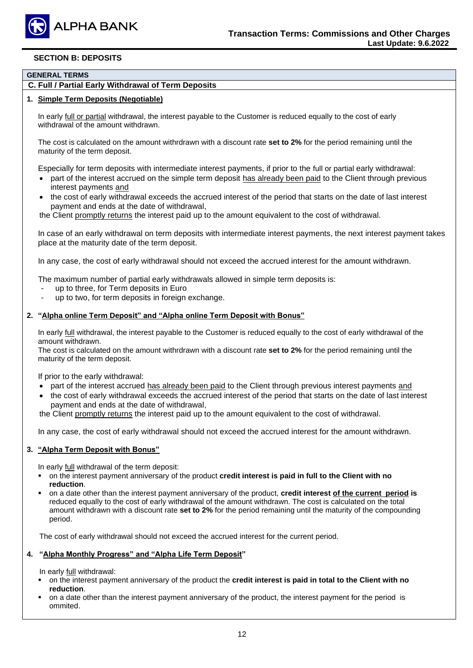

### **SECTION B: DEPOSITS**

### **GENERAL TERMS**

### **C. Full / Partial Early Withdrawal of Term Deposits**

#### **1. Simple Term Deposits (Negotiable)**

In early full or partial withdrawal, the interest payable to the Customer is reduced equally to the cost of early withdrawal of the amount withdrawn.

The cost is calculated on the amount withrdrawn with a discount rate **set to 2%** for the period remaining until the maturity of the term deposit.

Especially for term deposits with intermediate interest payments, if prior to the full or partial early withdrawal:

- part of the interest accrued on the simple term deposit has already been paid to the Client through previous interest payments and
- the cost of early withdrawal exceeds the accrued interest of the period that starts on the date of last interest payment and ends at the date of withdrawal,

the Client promptly returns the interest paid up to the amount equivalent to the cost of withdrawal.

In case of an early withdrawal on term deposits with intermediate interest payments, the next interest payment takes place at the maturity date of the term deposit.

In any case, the cost of early withdrawal should not exceed the accrued interest for the amount withdrawn.

The maximum number of partial early withdrawals allowed in simple term deposits is:

- up to three, for Term deposits in Euro
- up to two, for term deposits in foreign exchange.

#### **2. "Alpha online Term Deposit" and "Alpha online Term Deposit with Bonus"**

In early full withdrawal, the interest payable to the Customer is reduced equally to the cost of early withdrawal of the amount withdrawn.

The cost is calculated on the amount withrdrawn with a discount rate **set to 2%** for the period remaining until the maturity of the term deposit.

If prior to the early withdrawal:

- part of the interest accrued has already been paid to the Client through previous interest payments and
- the cost of early withdrawal exceeds the accrued interest of the period that starts on the date of last interest payment and ends at the date of withdrawal,

the Client promptly returns the interest paid up to the amount equivalent to the cost of withdrawal.

In any case, the cost of early withdrawal should not exceed the accrued interest for the amount withdrawn.

#### **3. "Alpha Term Deposit with Bonus"**

In early full withdrawal of the term deposit:

- on the interest payment anniversary of the product **credit interest is paid in full to the Client with no reduction**.
- on a date other than the interest payment anniversary of the product, **credit interest of the current period is** reduced equally to the cost of early withdrawal of the amount withdrawn. The cost is calculated on the total amount withdrawn with a discount rate **set to 2%** for the period remaining until the maturity of the compounding period.

The cost of early withdrawal should not exceed the accrued interest for the current period.

#### **4. "Alpha Monthly Progress" and "Alpha Life Term Deposit"**

In early full withdrawal:

- on the interest payment anniversary of the product the **credit interest is paid in total to the Client with no reduction**.
- on a date other than the interest payment anniversary of the product, the interest payment for the period is ommited.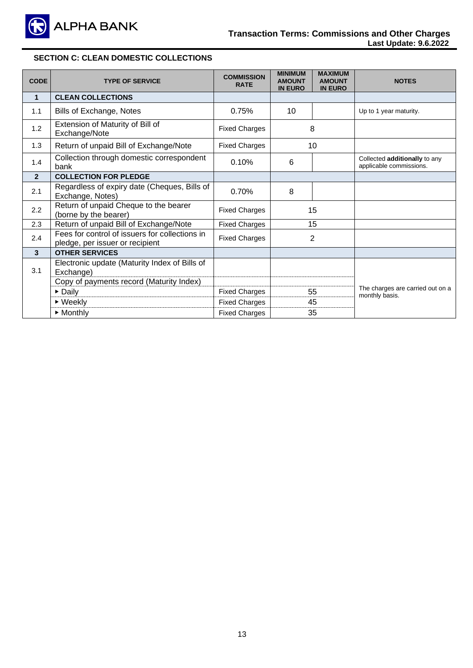

### **Transaction Terms: Commissions and Other Charges Last Update: 9.6.2022**

# **SECTION C: CLEAN DOMESTIC COLLECTIONS**

| <b>CODE</b>    | <b>TYPE OF SERVICE</b>                                                            | <b>COMMISSION</b><br><b>RATE</b> | <b>MINIMUM</b><br><b>AMOUNT</b><br><b>IN EURO</b> | <b>MAXIMUM</b><br><b>AMOUNT</b><br><b>IN EURO</b> | <b>NOTES</b>                                             |
|----------------|-----------------------------------------------------------------------------------|----------------------------------|---------------------------------------------------|---------------------------------------------------|----------------------------------------------------------|
| $\mathbf{1}$   | <b>CLEAN COLLECTIONS</b>                                                          |                                  |                                                   |                                                   |                                                          |
| 1.1            | Bills of Exchange, Notes                                                          | 0.75%                            | 10                                                |                                                   | Up to 1 year maturity.                                   |
| 1.2            | Extension of Maturity of Bill of<br>Exchange/Note                                 | <b>Fixed Charges</b>             |                                                   | 8                                                 |                                                          |
| 1.3            | Return of unpaid Bill of Exchange/Note                                            | <b>Fixed Charges</b>             |                                                   | 10                                                |                                                          |
| 1.4            | Collection through domestic correspondent<br>bank                                 | 0.10%                            | 6                                                 |                                                   | Collected additionally to any<br>applicable commissions. |
| $\overline{2}$ | <b>COLLECTION FOR PLEDGE</b>                                                      |                                  |                                                   |                                                   |                                                          |
| 2.1            | Regardless of expiry date (Cheques, Bills of<br>Exchange, Notes)                  | 0.70%                            | 8                                                 |                                                   |                                                          |
| 2.2            | Return of unpaid Cheque to the bearer<br>(borne by the bearer)                    | <b>Fixed Charges</b>             |                                                   | 15                                                |                                                          |
| 2.3            | Return of unpaid Bill of Exchange/Note                                            | <b>Fixed Charges</b>             |                                                   | 15                                                |                                                          |
| 2.4            | Fees for control of issuers for collections in<br>pledge, per issuer or recipient | <b>Fixed Charges</b>             |                                                   | $\overline{2}$                                    |                                                          |
| $\overline{3}$ | <b>OTHER SERVICES</b>                                                             |                                  |                                                   |                                                   |                                                          |
| 3.1            | Electronic update (Maturity Index of Bills of<br>Exchange)                        |                                  |                                                   |                                                   |                                                          |
|                | Copy of payments record (Maturity Index)                                          |                                  |                                                   |                                                   | The charges are carried out on a                         |
|                | Daily                                                                             | <b>Fixed Charges</b>             | 55                                                |                                                   | monthly basis.                                           |
|                | $\triangleright$ Weekly                                                           | <b>Fixed Charges</b>             |                                                   | 45                                                |                                                          |
|                | $\triangleright$ Monthly                                                          | <b>Fixed Charges</b>             |                                                   | 35                                                |                                                          |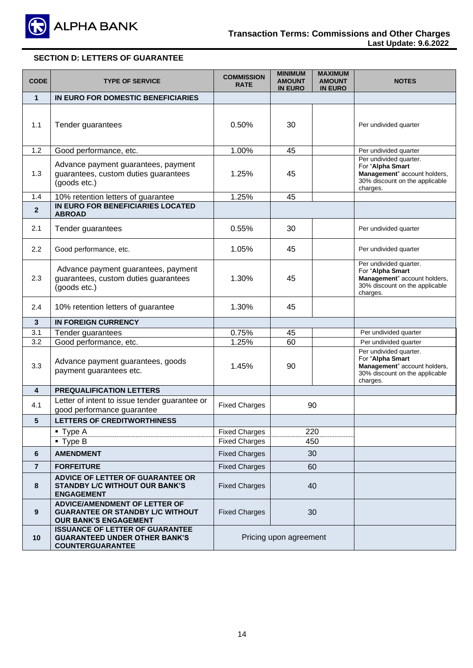

# **SECTION D: LETTERS OF GUARANTEE**

| <b>CODE</b>    | <b>TYPE OF SERVICE</b>                                                                                          | <b>COMMISSION</b><br><b>RATE</b> | <b>MINIMUM</b><br><b>AMOUNT</b><br><b>IN EURO</b> | <b>MAXIMUM</b><br><b>AMOUNT</b><br><b>IN EURO</b> | <b>NOTES</b>                                                                                                             |
|----------------|-----------------------------------------------------------------------------------------------------------------|----------------------------------|---------------------------------------------------|---------------------------------------------------|--------------------------------------------------------------------------------------------------------------------------|
| $\mathbf{1}$   | IN EURO FOR DOMESTIC BENEFICIARIES                                                                              |                                  |                                                   |                                                   |                                                                                                                          |
| 1.1            | Tender guarantees                                                                                               | 0.50%                            | 30                                                |                                                   | Per undivided quarter                                                                                                    |
| 1.2            | Good performance, etc.                                                                                          | 1.00%                            | 45                                                |                                                   | Per undivided quarter                                                                                                    |
| 1.3            | Advance payment guarantees, payment<br>guarantees, custom duties guarantees<br>(goods etc.)                     | 1.25%                            | 45                                                |                                                   | Per undivided quarter.<br>For "Alpha Smart<br>Management" account holders,<br>30% discount on the applicable<br>charges. |
| 1.4            | 10% retention letters of guarantee                                                                              | 1.25%                            | 45                                                |                                                   |                                                                                                                          |
| $\overline{2}$ | IN EURO FOR BENEFICIARIES LOCATED<br><b>ABROAD</b>                                                              |                                  |                                                   |                                                   |                                                                                                                          |
| 2.1            | Tender guarantees                                                                                               | 0.55%                            | 30                                                |                                                   | Per undivided quarter                                                                                                    |
| 2.2            | Good performance, etc.                                                                                          | 1.05%                            | 45                                                |                                                   | Per undivided quarter                                                                                                    |
| 2.3            | Advance payment guarantees, payment<br>guarantees, custom duties guarantees<br>(goods etc.)                     | 1.30%                            | 45                                                |                                                   | Per undivided quarter.<br>For "Alpha Smart<br>Management" account holders,<br>30% discount on the applicable<br>charges. |
| 2.4            | 10% retention letters of guarantee                                                                              | 1.30%                            | 45                                                |                                                   |                                                                                                                          |
| 3              | <b>IN FOREIGN CURRENCY</b>                                                                                      |                                  |                                                   |                                                   |                                                                                                                          |
| 3.1            | Tender guarantees                                                                                               | 0.75%                            | 45                                                |                                                   | Per undivided quarter                                                                                                    |
| 3.2            | Good performance, etc.                                                                                          | 1.25%                            | 60                                                |                                                   | Per undivided quarter                                                                                                    |
| 3.3            | Advance payment guarantees, goods<br>payment guarantees etc.                                                    | 1.45%                            | 90                                                |                                                   | Per undivided quarter.<br>For "Alpha Smart<br>Management" account holders,<br>30% discount on the applicable<br>charges. |
| 4              | <b>PREQUALIFICATION LETTERS</b>                                                                                 |                                  |                                                   |                                                   |                                                                                                                          |
| 4.1            | Letter of intent to issue tender guarantee or<br>good performance guarantee                                     | <b>Fixed Charges</b>             |                                                   | 90                                                |                                                                                                                          |
| 5              | <b>LETTERS OF CREDITWORTHINESS</b>                                                                              |                                  |                                                   |                                                   |                                                                                                                          |
|                | $\blacksquare$ Type A                                                                                           | <b>Fixed Charges</b>             |                                                   | 220                                               |                                                                                                                          |
|                | $\blacksquare$ Type B                                                                                           | <b>Fixed Charges</b>             |                                                   | 450                                               |                                                                                                                          |
| 6              | <b>AMENDMENT</b>                                                                                                | <b>Fixed Charges</b>             |                                                   | 30                                                |                                                                                                                          |
| $\overline{7}$ | <b>FORFEITURE</b>                                                                                               | <b>Fixed Charges</b>             |                                                   | 60                                                |                                                                                                                          |
| 8              | ADVICE OF LETTER OF GUARANTEE OR<br><b>STANDBY L/C WITHOUT OUR BANK'S</b><br><b>ENGAGEMENT</b>                  | <b>Fixed Charges</b>             |                                                   | 40                                                |                                                                                                                          |
| 9              | <b>ADVICE/AMENDMENT OF LETTER OF</b><br><b>GUARANTEE OR STANDBY L/C WITHOUT</b><br><b>OUR BANK'S ENGAGEMENT</b> | <b>Fixed Charges</b>             |                                                   | 30                                                |                                                                                                                          |
| 10             | <b>ISSUANCE OF LETTER OF GUARANTEE</b><br><b>GUARANTEED UNDER OTHER BANK'S</b><br><b>COUNTERGUARANTEE</b>       |                                  | Pricing upon agreement                            |                                                   |                                                                                                                          |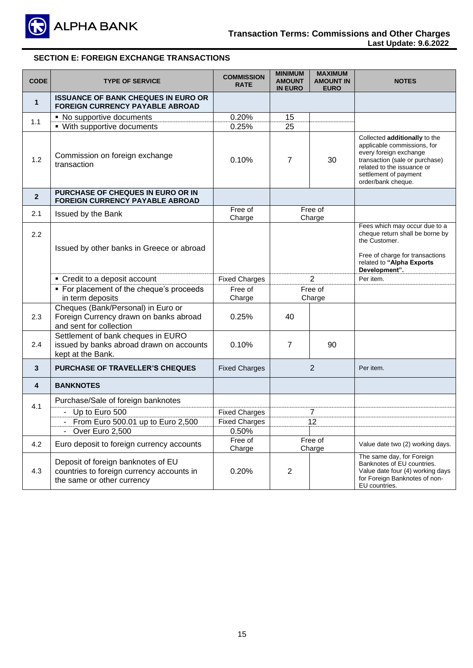

### **Transaction Terms: Commissions and Other Charges Last Update: 9.6.2022**

# **SECTION E: FOREIGN EXCHANGE TRANSACTIONS**

| <b>CODE</b>    | <b>TYPE OF SERVICE</b>                                                                                        | <b>COMMISSION</b><br><b>RATE</b> | <b>MINIMUM</b><br><b>AMOUNT</b><br><b>IN EURO</b> | <b>MAXIMUM</b><br><b>AMOUNT IN</b><br><b>EURO</b> | <b>NOTES</b>                                                                                                                                                                                          |
|----------------|---------------------------------------------------------------------------------------------------------------|----------------------------------|---------------------------------------------------|---------------------------------------------------|-------------------------------------------------------------------------------------------------------------------------------------------------------------------------------------------------------|
| $\mathbf{1}$   | <b>ISSUANCE OF BANK CHEQUES IN EURO OR</b><br><b>FOREIGN CURRENCY PAYABLE ABROAD</b>                          |                                  |                                                   |                                                   |                                                                                                                                                                                                       |
| 1.1            | • No supportive documents                                                                                     | 0.20%                            | 15                                                |                                                   |                                                                                                                                                                                                       |
|                | • With supportive documents                                                                                   | 0.25%                            | 25                                                |                                                   |                                                                                                                                                                                                       |
| 1.2            | Commission on foreign exchange<br>transaction                                                                 | 0.10%                            | $\overline{7}$                                    | 30                                                | Collected additionally to the<br>applicable commissions, for<br>every foreign exchange<br>transaction (sale or purchase)<br>related to the issuance or<br>settlement of payment<br>order/bank cheque. |
| $\overline{2}$ | PURCHASE OF CHEQUES IN EURO OR IN<br><b>FOREIGN CURRENCY PAYABLE ABROAD</b>                                   |                                  |                                                   |                                                   |                                                                                                                                                                                                       |
| 2.1            | Issued by the Bank                                                                                            | Free of<br>Charge                |                                                   | Free of<br>Charge                                 |                                                                                                                                                                                                       |
| 2.2            | Issued by other banks in Greece or abroad                                                                     |                                  |                                                   |                                                   | Fees which may occur due to a<br>cheque return shall be borne by<br>the Customer.<br>Free of charge for transactions<br>related to "Alpha Exports<br>Development".                                    |
|                | • Credit to a deposit account                                                                                 | <b>Fixed Charges</b>             |                                                   | $\overline{2}$                                    | Per item.                                                                                                                                                                                             |
|                | • For placement of the cheque's proceeds<br>in term deposits                                                  | Free of<br>Charge                |                                                   | Free of<br>Charge                                 |                                                                                                                                                                                                       |
| 2.3            | Cheques (Bank/Personal) in Euro or<br>Foreign Currency drawn on banks abroad<br>and sent for collection       | 0.25%                            | 40                                                |                                                   |                                                                                                                                                                                                       |
| 2.4            | Settlement of bank cheques in EURO<br>issued by banks abroad drawn on accounts<br>kept at the Bank.           | 0.10%                            | $\overline{7}$                                    | 90                                                |                                                                                                                                                                                                       |
| $\mathbf{3}$   | <b>PURCHASE OF TRAVELLER'S CHEQUES</b>                                                                        | <b>Fixed Charges</b>             |                                                   | 2                                                 | Per item.                                                                                                                                                                                             |
| 4              | <b>BANKNOTES</b>                                                                                              |                                  |                                                   |                                                   |                                                                                                                                                                                                       |
|                | Purchase/Sale of foreign banknotes                                                                            |                                  |                                                   |                                                   |                                                                                                                                                                                                       |
| 4.1            | - Up to Euro 500                                                                                              | <b>Fixed Charges</b>             | 7                                                 |                                                   |                                                                                                                                                                                                       |
|                | - From Euro 500.01 up to Euro 2,500                                                                           | <b>Fixed Charges</b>             |                                                   | 12                                                |                                                                                                                                                                                                       |
|                | Over Euro 2,500                                                                                               | 0.50%                            |                                                   |                                                   |                                                                                                                                                                                                       |
| 4.2            | Euro deposit to foreign currency accounts                                                                     | Free of<br>Charge                |                                                   | Free of<br>Charge                                 | Value date two (2) working days.                                                                                                                                                                      |
| 4.3            | Deposit of foreign banknotes of EU<br>countries to foreign currency accounts in<br>the same or other currency | 0.20%                            | $\overline{2}$                                    |                                                   | The same day, for Foreign<br>Banknotes of EU countries.<br>Value date four (4) working days<br>for Foreign Banknotes of non-<br>EU countries.                                                         |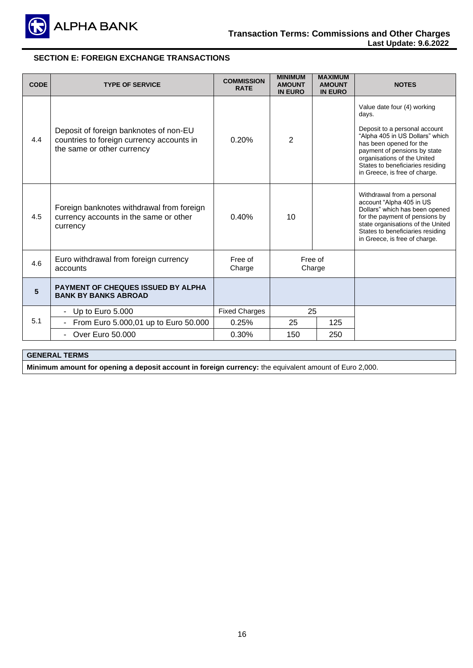

# **SECTION E: FOREIGN EXCHANGE TRANSACTIONS**

| <b>CODE</b> | <b>TYPE OF SERVICE</b>                                                                                            | <b>COMMISSION</b><br><b>RATE</b> | <b>MINIMUM</b><br><b>AMOUNT</b><br><b>IN EURO</b> | <b>MAXIMUM</b><br><b>AMOUNT</b><br><b>IN EURO</b> | <b>NOTES</b>                                                                                                                                                                                                                                                            |
|-------------|-------------------------------------------------------------------------------------------------------------------|----------------------------------|---------------------------------------------------|---------------------------------------------------|-------------------------------------------------------------------------------------------------------------------------------------------------------------------------------------------------------------------------------------------------------------------------|
| 4.4         | Deposit of foreign banknotes of non-EU<br>countries to foreign currency accounts in<br>the same or other currency | 0.20%                            | $\overline{2}$                                    |                                                   | Value date four (4) working<br>days.<br>Deposit to a personal account<br>"Alpha 405 in US Dollars" which<br>has been opened for the<br>payment of pensions by state<br>organisations of the United<br>States to beneficiaries residing<br>in Greece, is free of charge. |
| 4.5         | Foreign banknotes withdrawal from foreign<br>currency accounts in the same or other<br>currency                   | 0.40%                            | 10                                                |                                                   | Withdrawal from a personal<br>account "Alpha 405 in US<br>Dollars" which has been opened<br>for the payment of pensions by<br>state organisations of the United<br>States to beneficiaries residing<br>in Greece, is free of charge.                                    |
| 4.6         | Euro withdrawal from foreign currency<br>accounts                                                                 | Free of<br>Charge                | Free of<br>Charge                                 |                                                   |                                                                                                                                                                                                                                                                         |
| 5           | <b>PAYMENT OF CHEQUES ISSUED BY ALPHA</b><br><b>BANK BY BANKS ABROAD</b>                                          |                                  |                                                   |                                                   |                                                                                                                                                                                                                                                                         |
|             | Up to Euro 5.000<br>$\sim$                                                                                        | <b>Fixed Charges</b>             | 25                                                |                                                   |                                                                                                                                                                                                                                                                         |
| 5.1         | From Euro 5.000,01 up to Euro 50.000                                                                              | 0.25%                            | 25                                                | 125                                               |                                                                                                                                                                                                                                                                         |
|             | <b>Over Euro 50,000</b>                                                                                           | 0.30%                            | 150                                               | 250                                               |                                                                                                                                                                                                                                                                         |
|             |                                                                                                                   |                                  |                                                   |                                                   |                                                                                                                                                                                                                                                                         |

# **GENERAL TERMS**

**Minimum amount for opening a deposit account in foreign currency:** the equivalent amount of Euro 2,000.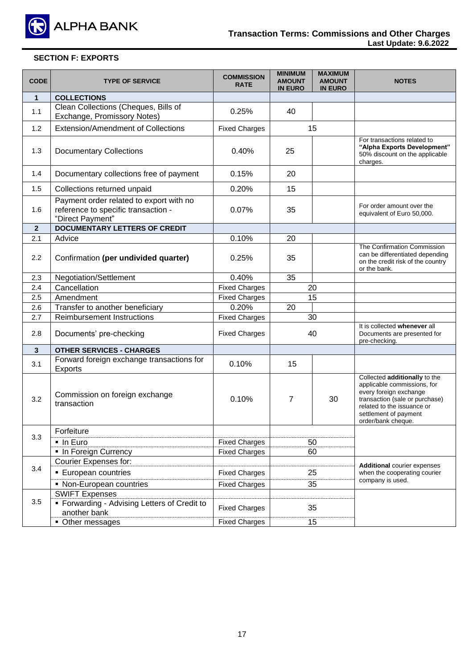

# **SECTION F: EXPORTS**

| <b>CODE</b>    | <b>TYPE OF SERVICE</b>                                                                             | <b>COMMISSION</b><br><b>RATE</b> | <b>MINIMUM</b><br><b>AMOUNT</b><br><b>IN EURO</b> | <b>MAXIMUM</b><br><b>AMOUNT</b><br><b>IN EURO</b> | <b>NOTES</b>                                                                                                                                                                                          |
|----------------|----------------------------------------------------------------------------------------------------|----------------------------------|---------------------------------------------------|---------------------------------------------------|-------------------------------------------------------------------------------------------------------------------------------------------------------------------------------------------------------|
| $\mathbf{1}$   | <b>COLLECTIONS</b>                                                                                 |                                  |                                                   |                                                   |                                                                                                                                                                                                       |
| 1.1            | Clean Collections (Cheques, Bills of<br>Exchange, Promissory Notes)                                | 0.25%                            | 40                                                |                                                   |                                                                                                                                                                                                       |
| 1.2            | Extension/Amendment of Collections                                                                 | <b>Fixed Charges</b>             |                                                   | 15                                                |                                                                                                                                                                                                       |
| 1.3            | <b>Documentary Collections</b>                                                                     | 0.40%                            | 25                                                |                                                   | For transactions related to<br>"Alpha Exports Development"<br>50% discount on the applicable<br>charges.                                                                                              |
| 1.4            | Documentary collections free of payment                                                            | 0.15%                            | 20                                                |                                                   |                                                                                                                                                                                                       |
| 1.5            | Collections returned unpaid                                                                        | 0.20%                            | 15                                                |                                                   |                                                                                                                                                                                                       |
| 1.6            | Payment order related to export with no<br>reference to specific transaction -<br>"Direct Payment" | 0.07%                            | 35                                                |                                                   | For order amount over the<br>equivalent of Euro 50,000.                                                                                                                                               |
| $\overline{2}$ | <b>DOCUMENTARY LETTERS OF CREDIT</b>                                                               |                                  |                                                   |                                                   |                                                                                                                                                                                                       |
| 2.1            | Advice                                                                                             | 0.10%                            | 20                                                |                                                   |                                                                                                                                                                                                       |
| 2.2            | Confirmation (per undivided quarter)                                                               | 0.25%                            | 35                                                |                                                   | The Confirmation Commission<br>can be differentiated depending<br>on the credit risk of the country<br>or the bank.                                                                                   |
| 2.3            | Negotiation/Settlement                                                                             | 0.40%                            | 35                                                |                                                   |                                                                                                                                                                                                       |
| 2.4            | Cancellation                                                                                       | <b>Fixed Charges</b>             | 20                                                |                                                   |                                                                                                                                                                                                       |
| 2.5            | Amendment                                                                                          | <b>Fixed Charges</b>             |                                                   | 15                                                |                                                                                                                                                                                                       |
| 2.6            | Transfer to another beneficiary                                                                    | 0.20%                            | 20                                                |                                                   |                                                                                                                                                                                                       |
| 2.7            | <b>Reimbursement Instructions</b>                                                                  | <b>Fixed Charges</b>             |                                                   | 30                                                |                                                                                                                                                                                                       |
| 2.8            | Documents' pre-checking                                                                            | <b>Fixed Charges</b>             |                                                   | 40                                                | It is collected whenever all<br>Documents are presented for<br>pre-checking.                                                                                                                          |
| $\mathbf{3}$   | <b>OTHER SERVICES - CHARGES</b>                                                                    |                                  |                                                   |                                                   |                                                                                                                                                                                                       |
| 3.1            | Forward foreign exchange transactions for<br>Exports                                               | 0.10%                            | 15                                                |                                                   |                                                                                                                                                                                                       |
| 3.2            | Commission on foreign exchange<br>transaction                                                      | 0.10%                            | $\overline{7}$                                    | 30                                                | Collected additionally to the<br>applicable commissions, for<br>every foreign exchange<br>transaction (sale or purchase)<br>related to the issuance or<br>settlement of payment<br>order/bank cheque. |
|                | Forfeiture                                                                                         |                                  |                                                   |                                                   |                                                                                                                                                                                                       |
| 3.3            | - In Euro                                                                                          | <b>Fixed Charges</b>             |                                                   | 50                                                |                                                                                                                                                                                                       |
|                | • In Foreign Currency                                                                              | <b>Fixed Charges</b>             | 60                                                |                                                   |                                                                                                                                                                                                       |
|                | Courier Expenses for:                                                                              |                                  |                                                   |                                                   | <b>Additional courier expenses</b>                                                                                                                                                                    |
| 3.4            | <b>European countries</b>                                                                          | <b>Fixed Charges</b>             | 25                                                |                                                   | when the cooperating courier                                                                                                                                                                          |
|                | • Non-European countries                                                                           | <b>Fixed Charges</b>             |                                                   | 35                                                | company is used.                                                                                                                                                                                      |
|                | <b>SWIFT Expenses</b>                                                                              |                                  |                                                   |                                                   |                                                                                                                                                                                                       |
| 3.5            | • Forwarding - Advising Letters of Credit to<br>another bank                                       | <b>Fixed Charges</b>             |                                                   | 35                                                |                                                                                                                                                                                                       |
|                | • Other messages                                                                                   | <b>Fixed Charges</b>             |                                                   | 15                                                |                                                                                                                                                                                                       |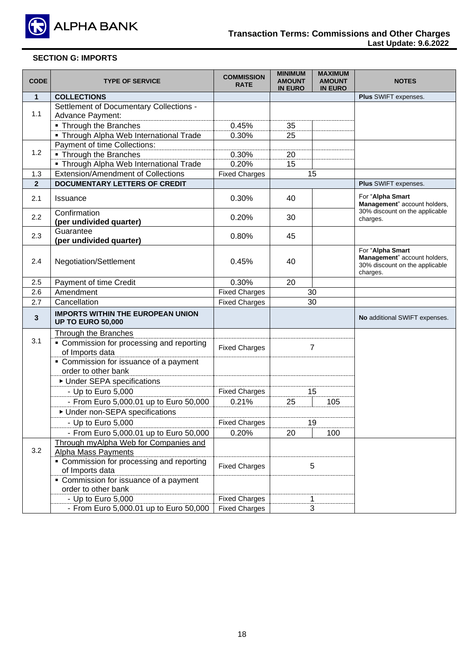

# **SECTION G: IMPORTS**

| <b>CODE</b>    | <b>TYPE OF SERVICE</b>                                               | <b>COMMISSION</b><br><b>RATE</b> | <b>MINIMUM</b><br><b>AMOUNT</b><br><b>IN EURO</b> | <b>MAXIMUM</b><br><b>AMOUNT</b><br><b>IN EURO</b> | <b>NOTES</b>                                                                                   |
|----------------|----------------------------------------------------------------------|----------------------------------|---------------------------------------------------|---------------------------------------------------|------------------------------------------------------------------------------------------------|
| $\mathbf{1}$   | <b>COLLECTIONS</b>                                                   |                                  |                                                   |                                                   | Plus SWIFT expenses.                                                                           |
| 1.1            | Settlement of Documentary Collections -<br>Advance Payment:          |                                  |                                                   |                                                   |                                                                                                |
|                | • Through the Branches                                               | 0.45%                            | 35                                                |                                                   |                                                                                                |
|                | • Through Alpha Web International Trade                              | 0.30%                            | 25                                                |                                                   |                                                                                                |
|                | Payment of time Collections:                                         |                                  |                                                   |                                                   |                                                                                                |
| 1.2            | • Through the Branches                                               | 0.30%                            | 20                                                |                                                   |                                                                                                |
|                | • Through Alpha Web International Trade                              | 0.20%                            | 15                                                |                                                   |                                                                                                |
| 1.3            | <b>Extension/Amendment of Collections</b>                            | <b>Fixed Charges</b>             |                                                   | 15                                                |                                                                                                |
| $\overline{2}$ | <b>DOCUMENTARY LETTERS OF CREDIT</b>                                 |                                  |                                                   |                                                   | <b>Plus SWIFT expenses.</b>                                                                    |
| 2.1            | Issuance                                                             | 0.30%                            | 40                                                |                                                   | For "Alpha Smart<br>Management" account holders,                                               |
| 2.2            | Confirmation<br>(per undivided quarter)                              | 0.20%                            | 30                                                |                                                   | 30% discount on the applicable<br>charges.                                                     |
| 2.3            | Guarantee<br>(per undivided quarter)                                 | 0.80%                            | 45                                                |                                                   |                                                                                                |
| 2.4            | Negotiation/Settlement                                               | 0.45%                            | 40                                                |                                                   | For "Alpha Smart<br>Management" account holders,<br>30% discount on the applicable<br>charges. |
| 2.5            | Payment of time Credit                                               | 0.30%                            | 20                                                |                                                   |                                                                                                |
| 2.6            | Amendment                                                            | <b>Fixed Charges</b>             |                                                   | 30                                                |                                                                                                |
| 2.7            | Cancellation                                                         | <b>Fixed Charges</b>             |                                                   | 30                                                |                                                                                                |
| 3              | <b>IMPORTS WITHIN THE EUROPEAN UNION</b><br><b>UP TO EURO 50,000</b> |                                  |                                                   |                                                   | No additional SWIFT expenses.                                                                  |
|                | Through the Branches                                                 |                                  |                                                   |                                                   |                                                                                                |
| 3.1            | • Commission for processing and reporting<br>of Imports data         | <b>Fixed Charges</b>             |                                                   | $\overline{7}$                                    |                                                                                                |
|                | • Commission for issuance of a payment<br>order to other bank        |                                  |                                                   |                                                   |                                                                                                |
|                | ▶ Under SEPA specifications                                          |                                  |                                                   |                                                   |                                                                                                |
|                | - Up to Euro 5,000                                                   | <b>Fixed Charges</b>             |                                                   | 15                                                |                                                                                                |
|                | - From Euro 5,000.01 up to Euro 50,000                               | 0.21%                            | 25                                                | 105                                               |                                                                                                |
|                | ▶ Under non-SEPA specifications                                      |                                  |                                                   |                                                   |                                                                                                |
|                | - Up to Euro 5,000                                                   | <b>Fixed Charges</b>             |                                                   | 19                                                |                                                                                                |
|                | - From Euro 5,000.01 up to Euro 50,000                               | 0.20%                            | 20                                                | 100                                               |                                                                                                |
|                | Through myAlpha Web for Companies and                                |                                  |                                                   |                                                   |                                                                                                |
| 3.2            | <b>Alpha Mass Payments</b>                                           |                                  |                                                   |                                                   |                                                                                                |
|                | • Commission for processing and reporting<br>of Imports data         | <b>Fixed Charges</b>             |                                                   | 5                                                 |                                                                                                |
|                | • Commission for issuance of a payment<br>order to other bank        |                                  |                                                   |                                                   |                                                                                                |
|                | - Up to Euro 5,000                                                   | <b>Fixed Charges</b>             |                                                   | 1                                                 |                                                                                                |
|                | - From Euro 5,000.01 up to Euro 50,000                               | <b>Fixed Charges</b>             |                                                   | 3                                                 |                                                                                                |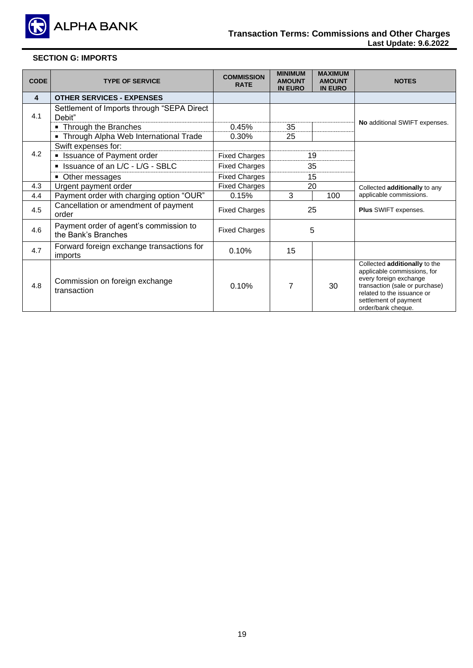

# **SECTION G: IMPORTS**

| <b>CODE</b>             | <b>TYPE OF SERVICE</b>                                        | <b>COMMISSION</b><br><b>RATE</b> | <b>MINIMUM</b><br><b>AMOUNT</b><br><b>IN EURO</b> | <b>MAXIMUM</b><br><b>AMOUNT</b><br><b>IN EURO</b> | <b>NOTES</b>                                                                                                                                                                                          |
|-------------------------|---------------------------------------------------------------|----------------------------------|---------------------------------------------------|---------------------------------------------------|-------------------------------------------------------------------------------------------------------------------------------------------------------------------------------------------------------|
| $\overline{\mathbf{4}}$ | <b>OTHER SERVICES - EXPENSES</b>                              |                                  |                                                   |                                                   |                                                                                                                                                                                                       |
| 4.1                     | Settlement of Imports through "SEPA Direct<br>Debit"          |                                  |                                                   |                                                   | No additional SWIFT expenses.                                                                                                                                                                         |
|                         | • Through the Branches                                        | 0.45%                            | 35                                                |                                                   |                                                                                                                                                                                                       |
|                         | • Through Alpha Web International Trade                       | 0.30%                            | 25                                                |                                                   |                                                                                                                                                                                                       |
|                         | Swift expenses for:                                           |                                  |                                                   |                                                   |                                                                                                                                                                                                       |
| 4.2                     | <b>E</b> Issuance of Payment order                            | <b>Fixed Charges</b>             |                                                   | 19                                                |                                                                                                                                                                                                       |
|                         | SIMPLIE ISSUANCE of an L/C - L/G - SBLC                       | <b>Fixed Charges</b>             |                                                   | 35                                                |                                                                                                                                                                                                       |
|                         | • Other messages                                              | <b>Fixed Charges</b>             |                                                   | 15                                                |                                                                                                                                                                                                       |
| 4.3                     | Urgent payment order                                          | <b>Fixed Charges</b>             | 20                                                |                                                   | Collected additionally to any                                                                                                                                                                         |
| 4.4                     | Payment order with charging option "OUR"                      | 0.15%                            | 3                                                 | 100                                               | applicable commissions.                                                                                                                                                                               |
| 4.5                     | Cancellation or amendment of payment<br>order                 | <b>Fixed Charges</b>             |                                                   | 25                                                | <b>Plus SWIFT expenses.</b>                                                                                                                                                                           |
| 4.6                     | Payment order of agent's commission to<br>the Bank's Branches | <b>Fixed Charges</b>             | 5                                                 |                                                   |                                                                                                                                                                                                       |
| 4.7                     | Forward foreign exchange transactions for<br>imports          | 0.10%                            | 15                                                |                                                   |                                                                                                                                                                                                       |
| 4.8                     | Commission on foreign exchange<br>transaction                 | 0.10%                            | $\overline{7}$                                    | 30                                                | Collected additionally to the<br>applicable commissions, for<br>every foreign exchange<br>transaction (sale or purchase)<br>related to the issuance or<br>settlement of payment<br>order/bank cheque. |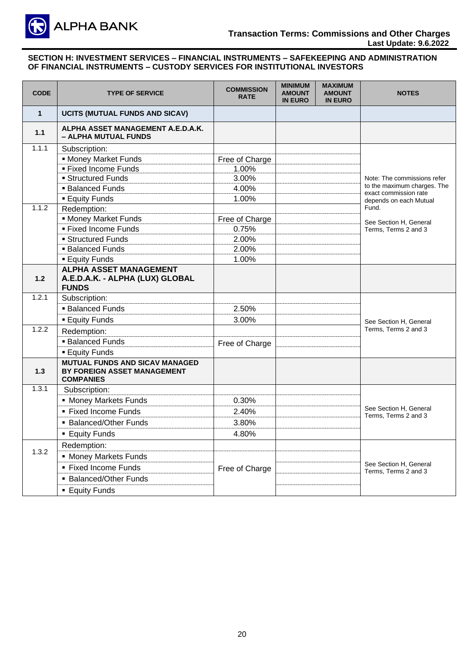

# **Transaction Terms: Commissions and Other Charges Last Update: 9.6.2022**

| <b>CODE</b>  | <b>TYPE OF SERVICE</b>                                                                   | <b>COMMISSION</b><br><b>RATE</b> | <b>MINIMUM</b><br><b>AMOUNT</b><br><b>IN EURO</b> | <b>MAXIMUM</b><br><b>AMOUNT</b><br><b>IN EURO</b> | <b>NOTES</b>                                         |
|--------------|------------------------------------------------------------------------------------------|----------------------------------|---------------------------------------------------|---------------------------------------------------|------------------------------------------------------|
| $\mathbf{1}$ | UCITS (MUTUAL FUNDS AND SICAV)                                                           |                                  |                                                   |                                                   |                                                      |
| 1.1          | ALPHA ASSET MANAGEMENT A.E.D.A.K.<br>- ALPHA MUTUAL FUNDS                                |                                  |                                                   |                                                   |                                                      |
| 1.1.1        | Subscription:                                                                            |                                  |                                                   |                                                   |                                                      |
|              | • Money Market Funds                                                                     | Free of Charge                   |                                                   |                                                   |                                                      |
|              | ■ Fixed Income Funds                                                                     | 1.00%                            |                                                   |                                                   |                                                      |
|              | • Structured Funds                                                                       | 3.00%                            |                                                   |                                                   | Note: The commissions refer                          |
|              | <b>Balanced Funds</b>                                                                    | 4.00%                            |                                                   |                                                   | to the maximum charges. The<br>exact commission rate |
|              | <b>Equity Funds</b>                                                                      | 1.00%                            |                                                   |                                                   | depends on each Mutual                               |
| 1.1.2        | Redemption:                                                                              |                                  |                                                   |                                                   | Fund.                                                |
|              | <b>- Money Market Funds</b>                                                              | Free of Charge                   |                                                   |                                                   | See Section H, General                               |
|              | ■ Fixed Income Funds                                                                     | 0.75%                            |                                                   |                                                   | Terms, Terms 2 and 3                                 |
|              | <b>Structured Funds</b>                                                                  | 2.00%                            |                                                   |                                                   |                                                      |
|              | <b>Balanced Funds</b>                                                                    | 2.00%                            |                                                   |                                                   |                                                      |
|              | <b>Equity Funds</b>                                                                      | 1.00%                            |                                                   |                                                   |                                                      |
| 1.2          | <b>ALPHA ASSET MANAGEMENT</b><br>A.E.D.A.K. - ALPHA (LUX) GLOBAL<br><b>FUNDS</b>         |                                  |                                                   |                                                   |                                                      |
| 1.2.1        | Subscription:                                                                            |                                  |                                                   |                                                   |                                                      |
|              | <b>Balanced Funds</b>                                                                    | 2.50%                            |                                                   |                                                   |                                                      |
|              | <b>Equity Funds</b>                                                                      | 3.00%                            |                                                   |                                                   | See Section H. General                               |
| 1.2.2        | Redemption:                                                                              |                                  |                                                   |                                                   | Terms, Terms 2 and 3                                 |
|              | <b>Balanced Funds</b>                                                                    | Free of Charge                   |                                                   |                                                   |                                                      |
|              | <b>Equity Funds</b>                                                                      |                                  |                                                   |                                                   |                                                      |
| $1.3$        | <b>MUTUAL FUNDS AND SICAV MANAGED</b><br>BY FOREIGN ASSET MANAGEMENT<br><b>COMPANIES</b> |                                  |                                                   |                                                   |                                                      |
| 1.3.1        | Subscription:                                                                            |                                  |                                                   |                                                   |                                                      |
|              | • Money Markets Funds                                                                    | 0.30%                            |                                                   |                                                   |                                                      |
|              | ■ Fixed Income Funds                                                                     | 2.40%                            |                                                   |                                                   | See Section H. General<br>Terms, Terms 2 and 3       |
|              | <b>Balanced/Other Funds</b>                                                              | 3.80%                            |                                                   |                                                   |                                                      |
|              | <b>Equity Funds</b>                                                                      | 4.80%                            |                                                   |                                                   |                                                      |
|              | Redemption:                                                                              |                                  |                                                   |                                                   |                                                      |
| 1.3.2        | • Money Markets Funds                                                                    |                                  |                                                   |                                                   |                                                      |
|              | ■ Fixed Income Funds                                                                     | Free of Charge                   |                                                   |                                                   | See Section H, General                               |
|              | • Balanced/Other Funds                                                                   |                                  |                                                   |                                                   | Terms, Terms 2 and 3                                 |
|              | <b>Equity Funds</b>                                                                      |                                  |                                                   |                                                   |                                                      |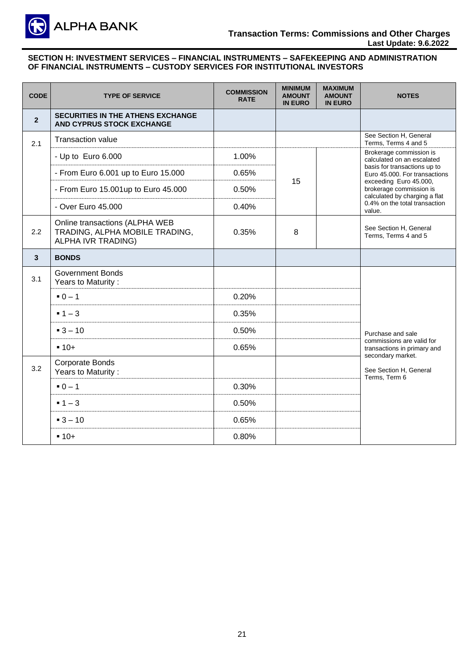

### **Transaction Terms: Commissions and Other Charges Last Update: 9.6.2022**

| <b>CODE</b>    | <b>TYPE OF SERVICE</b>                                                                 | <b>COMMISSION</b><br><b>RATE</b> | <b>MINIMUM</b><br><b>AMOUNT</b><br><b>IN EURO</b> | <b>MAXIMUM</b><br><b>AMOUNT</b><br><b>IN EURO</b> | <b>NOTES</b>                                                                       |
|----------------|----------------------------------------------------------------------------------------|----------------------------------|---------------------------------------------------|---------------------------------------------------|------------------------------------------------------------------------------------|
| $\overline{2}$ | <b>SECURITIES IN THE ATHENS EXCHANGE</b><br><b>AND CYPRUS STOCK EXCHANGE</b>           |                                  |                                                   |                                                   |                                                                                    |
| 2.1            | <b>Transaction value</b>                                                               |                                  |                                                   |                                                   | See Section H, General<br>Terms, Terms 4 and 5                                     |
|                | - Up to Euro 6.000                                                                     | 1.00%                            |                                                   |                                                   | Brokerage commission is<br>calculated on an escalated                              |
|                | - From Euro 6.001 up to Euro 15.000                                                    | 0.65%                            |                                                   |                                                   | basis for transactions up to<br>Euro 45.000. For transactions                      |
|                | - From Euro 15.001up to Euro 45.000                                                    | 0.50%                            | 15                                                |                                                   | exceeding Euro 45.000,<br>brokerage commission is<br>calculated by charging a flat |
|                | - Over Euro 45,000                                                                     | 0.40%                            |                                                   |                                                   | 0.4% on the total transaction<br>value.                                            |
| 2.2            | Online transactions (ALPHA WEB<br>TRADING, ALPHA MOBILE TRADING,<br>ALPHA IVR TRADING) | 0.35%                            | 8                                                 |                                                   | See Section H. General<br>Terms, Terms 4 and 5                                     |
| 3              | <b>BONDS</b>                                                                           |                                  |                                                   |                                                   |                                                                                    |
| 3.1            | <b>Government Bonds</b><br>Years to Maturity:                                          |                                  |                                                   |                                                   |                                                                                    |
|                | $-0 - 1$                                                                               | 0.20%                            |                                                   |                                                   |                                                                                    |
|                | $-1-3$                                                                                 | 0.35%                            |                                                   |                                                   |                                                                                    |
|                | $-3 - 10$                                                                              | 0.50%                            |                                                   |                                                   | Purchase and sale                                                                  |
|                | $-10+$                                                                                 | 0.65%                            |                                                   |                                                   | commissions are valid for<br>transactions in primary and<br>secondary market.      |
| 3.2            | <b>Corporate Bonds</b><br>Years to Maturity:                                           |                                  |                                                   |                                                   | See Section H, General<br>Terms, Term 6                                            |
|                | $-0-1$                                                                                 | 0.30%                            |                                                   |                                                   |                                                                                    |
|                | $-1-3$                                                                                 | 0.50%                            |                                                   |                                                   |                                                                                    |
|                | $-3 - 10$                                                                              | 0.65%                            |                                                   |                                                   |                                                                                    |
|                | $-10+$                                                                                 | 0.80%                            |                                                   |                                                   |                                                                                    |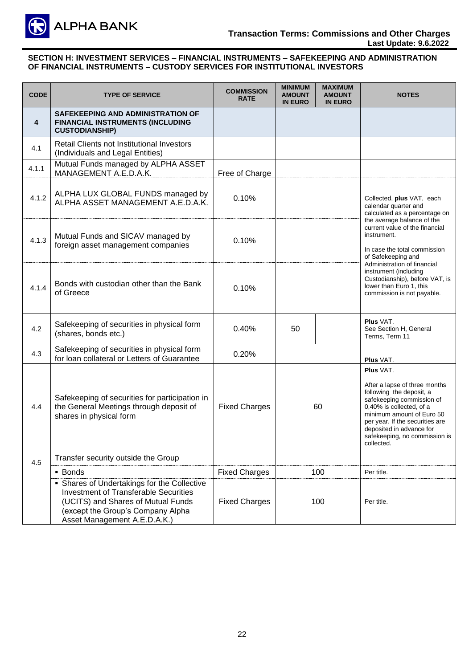

| <b>CODE</b> | <b>TYPE OF SERVICE</b>                                                                                                                                                                                 | <b>COMMISSION</b><br><b>RATE</b> | <b>MINIMUM</b><br><b>AMOUNT</b><br><b>IN EURO</b> | <b>MAXIMUM</b><br><b>AMOUNT</b><br><b>IN EURO</b> | <b>NOTES</b>                                                                                                                                                                                                                                                               |  |
|-------------|--------------------------------------------------------------------------------------------------------------------------------------------------------------------------------------------------------|----------------------------------|---------------------------------------------------|---------------------------------------------------|----------------------------------------------------------------------------------------------------------------------------------------------------------------------------------------------------------------------------------------------------------------------------|--|
| 4           | SAFEKEEPING AND ADMINISTRATION OF<br>FINANCIAL INSTRUMENTS (INCLUDING<br><b>CUSTODIANSHIP)</b>                                                                                                         |                                  |                                                   |                                                   |                                                                                                                                                                                                                                                                            |  |
| 4.1         | Retail Clients not Institutional Investors<br>(Individuals and Legal Entities)                                                                                                                         |                                  |                                                   |                                                   |                                                                                                                                                                                                                                                                            |  |
| 4.1.1       | Mutual Funds managed by ALPHA ASSET<br>MANAGEMENT A.E.D.A.K.                                                                                                                                           | Free of Charge                   |                                                   |                                                   |                                                                                                                                                                                                                                                                            |  |
| 4.1.2       | ALPHA LUX GLOBAL FUNDS managed by<br>ALPHA ASSET MANAGEMENT A.E.D.A.K.                                                                                                                                 | 0.10%                            |                                                   |                                                   | Collected, plus VAT, each<br>calendar quarter and<br>calculated as a percentage on                                                                                                                                                                                         |  |
| 4.1.3       | Mutual Funds and SICAV managed by<br>foreign asset management companies                                                                                                                                | 0.10%                            |                                                   |                                                   | the average balance of the<br>current value of the financial<br>instrument.<br>In case the total commission<br>of Safekeeping and                                                                                                                                          |  |
| 4.1.4       | Bonds with custodian other than the Bank<br>of Greece                                                                                                                                                  | 0.10%                            |                                                   |                                                   | Administration of financial<br>instrument (including<br>Custodianship), before VAT, is<br>lower than Euro 1, this<br>commission is not payable.                                                                                                                            |  |
| 4.2         | Safekeeping of securities in physical form<br>(shares, bonds etc.)                                                                                                                                     | 0.40%                            | 50                                                |                                                   | Plus VAT.<br>See Section H, General<br>Terms, Term 11                                                                                                                                                                                                                      |  |
| 4.3         | Safekeeping of securities in physical form<br>for loan collateral or Letters of Guarantee                                                                                                              | 0.20%                            |                                                   |                                                   | <b>Plus VAT.</b>                                                                                                                                                                                                                                                           |  |
| 4.4         | Safekeeping of securities for participation in<br>the General Meetings through deposit of<br>shares in physical form                                                                                   | <b>Fixed Charges</b>             | 60                                                |                                                   | Plus VAT.<br>After a lapse of three months<br>following the deposit, a<br>safekeeping commission of<br>0,40% is collected, of a<br>minimum amount of Euro 50<br>per year. If the securities are<br>deposited in advance for<br>safekeeping, no commission is<br>collected. |  |
| 4.5         | Transfer security outside the Group                                                                                                                                                                    |                                  |                                                   |                                                   |                                                                                                                                                                                                                                                                            |  |
|             | • Bonds                                                                                                                                                                                                | <b>Fixed Charges</b>             |                                                   | 100                                               | Per title.                                                                                                                                                                                                                                                                 |  |
|             | • Shares of Undertakings for the Collective<br><b>Investment of Transferable Securities</b><br>(UCITS) and Shares of Mutual Funds<br>(except the Group's Company Alpha<br>Asset Management A.E.D.A.K.) | <b>Fixed Charges</b>             |                                                   | 100                                               | Per title.                                                                                                                                                                                                                                                                 |  |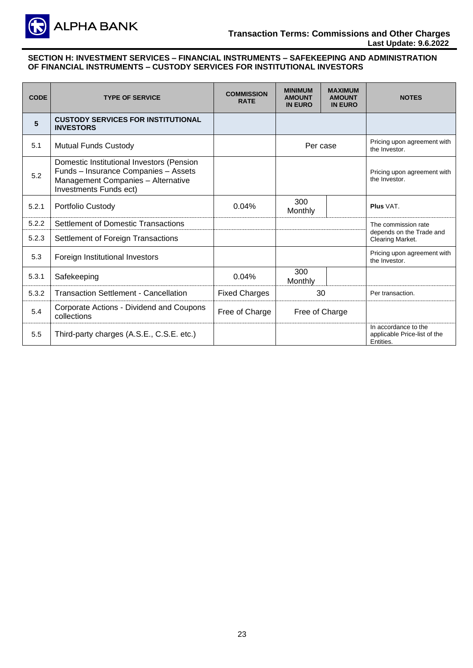

| <b>CODE</b> | <b>TYPE OF SERVICE</b>                                                                                                                            | <b>COMMISSION</b><br><b>RATE</b> | <b>MINIMUM</b><br><b>AMOUNT</b><br><b>IN EURO</b> | <b>MAXIMUM</b><br><b>AMOUNT</b><br><b>IN EURO</b> | <b>NOTES</b>                                                      |
|-------------|---------------------------------------------------------------------------------------------------------------------------------------------------|----------------------------------|---------------------------------------------------|---------------------------------------------------|-------------------------------------------------------------------|
| 5           | <b>CUSTODY SERVICES FOR INSTITUTIONAL</b><br><b>INVESTORS</b>                                                                                     |                                  |                                                   |                                                   |                                                                   |
| 5.1         | <b>Mutual Funds Custody</b>                                                                                                                       |                                  |                                                   | Per case                                          | Pricing upon agreement with<br>the Investor.                      |
| 5.2         | Domestic Institutional Investors (Pension<br>Funds - Insurance Companies - Assets<br>Management Companies - Alternative<br>Investments Funds ect) |                                  |                                                   |                                                   | Pricing upon agreement with<br>the Investor.                      |
| 5.2.1       | Portfolio Custody                                                                                                                                 | 0.04%                            | 300<br>Monthly                                    |                                                   | Plus VAT.                                                         |
| 5.2.2       | <b>Settlement of Domestic Transactions</b>                                                                                                        |                                  |                                                   |                                                   | The commission rate                                               |
| 5.2.3       | Settlement of Foreign Transactions                                                                                                                |                                  |                                                   |                                                   | depends on the Trade and<br>Clearing Market.                      |
| 5.3         | Foreign Institutional Investors                                                                                                                   |                                  |                                                   |                                                   | Pricing upon agreement with<br>the Investor.                      |
| 5.3.1       | Safekeeping                                                                                                                                       | 0.04%                            | 300<br>Monthly                                    |                                                   |                                                                   |
| 5.3.2       | <b>Transaction Settlement - Cancellation</b>                                                                                                      | <b>Fixed Charges</b>             | 30                                                |                                                   | Per transaction.                                                  |
| 5.4         | Corporate Actions - Dividend and Coupons<br>collections                                                                                           | Free of Charge                   | Free of Charge                                    |                                                   |                                                                   |
| 5.5         | Third-party charges (A.S.E., C.S.E. etc.)                                                                                                         |                                  |                                                   |                                                   | In accordance to the<br>applicable Price-list of the<br>Entities. |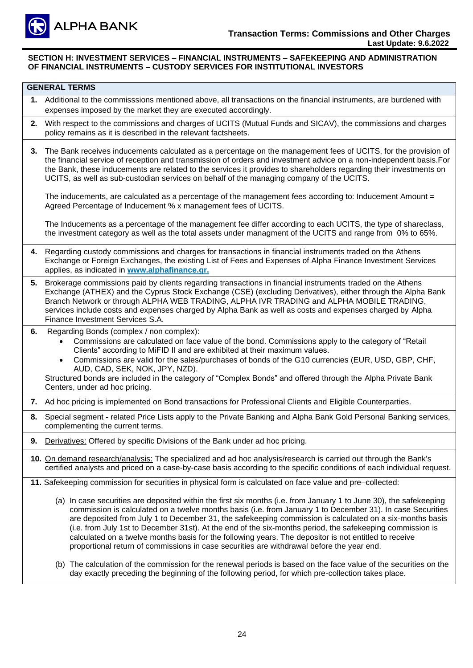

|    | <b>GENERAL TERMS</b>                                                                                                                                                                                                                                                                                                                                                                                                                                                                                                                                                                                                                                            |
|----|-----------------------------------------------------------------------------------------------------------------------------------------------------------------------------------------------------------------------------------------------------------------------------------------------------------------------------------------------------------------------------------------------------------------------------------------------------------------------------------------------------------------------------------------------------------------------------------------------------------------------------------------------------------------|
|    | 1. Additional to the commisssions mentioned above, all transactions on the financial instruments, are burdened with<br>expenses imposed by the market they are executed accordingly.                                                                                                                                                                                                                                                                                                                                                                                                                                                                            |
| 2. | With respect to the commissions and charges of UCITS (Mutual Funds and SICAV), the commissions and charges<br>policy remains as it is described in the relevant factsheets.                                                                                                                                                                                                                                                                                                                                                                                                                                                                                     |
| 3. | The Bank receives inducements calculated as a percentage on the management fees of UCITS, for the provision of<br>the financial service of reception and transmission of orders and investment advice on a non-independent basis. For<br>the Bank, these inducements are related to the services it provides to shareholders regarding their investments on<br>UCITS, as well as sub-custodian services on behalf of the managing company of the UCITS.                                                                                                                                                                                                         |
|    | The inducements, are calculated as a percentage of the management fees according to: Inducement Amount =<br>Agreed Percentage of Inducement % x management fees of UCITS.                                                                                                                                                                                                                                                                                                                                                                                                                                                                                       |
|    | The Inducements as a percentage of the management fee differ according to each UCITS, the type of shareclass,<br>the investment category as well as the total assets under managment of the UCITS and range from 0% to 65%.                                                                                                                                                                                                                                                                                                                                                                                                                                     |
|    | 4. Regarding custody commissions and charges for transactions in financial instruments traded on the Athens<br>Exchange or Foreign Exchanges, the existing List of Fees and Expenses of Alpha Finance Investment Services<br>applies, as indicated in www.alphafinance.gr.                                                                                                                                                                                                                                                                                                                                                                                      |
| 5. | Brokerage commissions paid by clients regarding transactions in financial instruments traded on the Athens<br>Exchange (ATHEX) and the Cyprus Stock Exchange (CSE) (excluding Derivatives), either through the Alpha Bank<br>Branch Network or through ALPHA WEB TRADING, ALPHA IVR TRADING and ALPHA MOBILE TRADING,<br>services include costs and expenses charged by Alpha Bank as well as costs and expenses charged by Alpha<br>Finance Investment Services S.A.                                                                                                                                                                                           |
| 6. | Regarding Bonds (complex / non complex):<br>Commissions are calculated on face value of the bond. Commissions apply to the category of "Retail<br>Clients" according to MiFID II and are exhibited at their maximum values.<br>Commissions are valid for the sales/purchases of bonds of the G10 currencies (EUR, USD, GBP, CHF,<br>AUD, CAD, SEK, NOK, JPY, NZD).<br>Structured bonds are included in the category of "Complex Bonds" and offered through the Alpha Private Bank<br>Centers, under ad hoc pricing.                                                                                                                                             |
| 7. | Ad hoc pricing is implemented on Bond transactions for Professional Clients and Eligible Counterparties.                                                                                                                                                                                                                                                                                                                                                                                                                                                                                                                                                        |
| 8. | Special segment - related Price Lists apply to the Private Banking and Alpha Bank Gold Personal Banking services,<br>complementing the current terms.                                                                                                                                                                                                                                                                                                                                                                                                                                                                                                           |
| 9. | Derivatives: Offered by specific Divisions of the Bank under ad hoc pricing.                                                                                                                                                                                                                                                                                                                                                                                                                                                                                                                                                                                    |
|    | 10. On demand research/analysis: The specialized and ad hoc analysis/research is carried out through the Bank's<br>certified analysts and priced on a case-by-case basis according to the specific conditions of each individual request.                                                                                                                                                                                                                                                                                                                                                                                                                       |
|    | 11. Safekeeping commission for securities in physical form is calculated on face value and pre-collected:                                                                                                                                                                                                                                                                                                                                                                                                                                                                                                                                                       |
|    | (a) In case securities are deposited within the first six months (i.e. from January 1 to June 30), the safekeeping<br>commission is calculated on a twelve months basis (i.e. from January 1 to December 31). In case Securities<br>are deposited from July 1 to December 31, the safekeeping commission is calculated on a six-months basis<br>(i.e. from July 1st to December 31st). At the end of the six-months period, the safekeeping commission is<br>calculated on a twelve months basis for the following years. The depositor is not entitled to receive<br>proportional return of commissions in case securities are withdrawal before the year end. |
|    | (b) The calculation of the commission for the renewal periods is based on the face value of the securities on the<br>day exactly preceding the beginning of the following period, for which pre-collection takes place.                                                                                                                                                                                                                                                                                                                                                                                                                                         |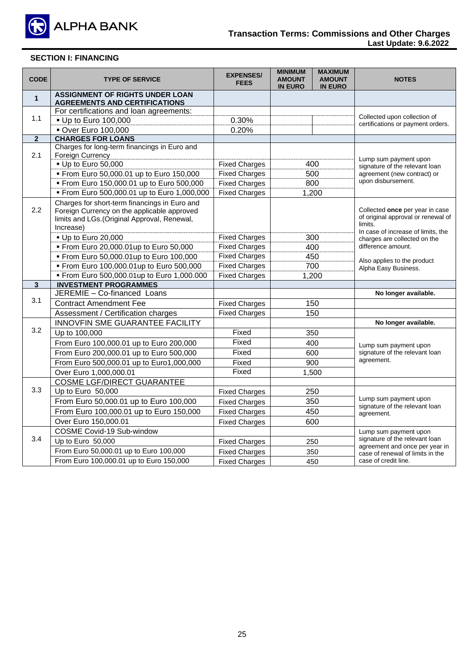

| <b>CODE</b>    | <b>TYPE OF SERVICE</b>                                                                       | <b>EXPENSES/</b><br><b>FEES</b> | <b>MINIMUM</b><br><b>AMOUNT</b><br><b>IN EURO</b> | <b>MAXIMUM</b><br><b>AMOUNT</b><br><b>IN EURO</b> | <b>NOTES</b>                                                       |
|----------------|----------------------------------------------------------------------------------------------|---------------------------------|---------------------------------------------------|---------------------------------------------------|--------------------------------------------------------------------|
| $\mathbf{1}$   | <b>ASSIGNMENT OF RIGHTS UNDER LOAN</b><br><b>AGREEMENTS AND CERTIFICATIONS</b>               |                                 |                                                   |                                                   |                                                                    |
|                | For certifications and loan agreements:                                                      |                                 |                                                   |                                                   |                                                                    |
| 1.1            | • Up to Euro 100,000                                                                         | 0.30%                           |                                                   |                                                   | Collected upon collection of<br>certifications or payment orders.  |
|                | <b>• Over Euro 100,000</b>                                                                   | 0.20%                           |                                                   |                                                   |                                                                    |
| $\overline{2}$ | <b>CHARGES FOR LOANS</b>                                                                     |                                 |                                                   |                                                   |                                                                    |
|                | Charges for long-term financings in Euro and                                                 |                                 |                                                   |                                                   |                                                                    |
| 2.1            | Foreign Currency                                                                             |                                 |                                                   |                                                   | Lump sum payment upon                                              |
|                | • Up to Euro 50,000                                                                          | <b>Fixed Charges</b>            |                                                   | 400                                               | signature of the relevant loan                                     |
|                | From Euro 50,000.01 up to Euro 150,000                                                       | <b>Fixed Charges</b>            |                                                   | 500<br>800                                        | agreement (new contract) or<br>upon disbursement.                  |
|                | From Euro 150,000.01 up to Euro 500,000                                                      | <b>Fixed Charges</b>            |                                                   |                                                   |                                                                    |
|                | From Euro 500,000.01 up to Euro 1,000,000                                                    | <b>Fixed Charges</b>            |                                                   | 1,200                                             |                                                                    |
| 2.2            | Charges for short-term financings in Euro and<br>Foreign Currency on the applicable approved |                                 |                                                   |                                                   | Collected once per year in case                                    |
|                | limits and LGs. (Original Approval, Renewal,                                                 |                                 |                                                   |                                                   | of original approval or renewal of                                 |
|                | Increase)                                                                                    |                                 |                                                   |                                                   | limits.                                                            |
|                | • Up to Euro 20,000                                                                          | <b>Fixed Charges</b>            |                                                   | 300                                               | In case of increase of limits, the<br>charges are collected on the |
|                | From Euro 20,000.01up to Euro 50,000                                                         | <b>Fixed Charges</b>            |                                                   | 400                                               | difference amount.                                                 |
|                | From Euro 50,000.01up to Euro 100,000                                                        | <b>Fixed Charges</b>            |                                                   | 450                                               |                                                                    |
|                | From Euro 100,000.01up to Euro 500,000                                                       | <b>Fixed Charges</b>            |                                                   | 700                                               | Also applies to the product<br>Alpha Easy Business.                |
|                | From Euro 500,000.01up to Euro 1,000.000                                                     | <b>Fixed Charges</b>            |                                                   | 1,200                                             |                                                                    |
| $\mathbf{3}$   | <b>INVESTMENT PROGRAMMES</b>                                                                 |                                 |                                                   |                                                   |                                                                    |
|                | JEREMIE - Co-financed Loans                                                                  |                                 |                                                   |                                                   | No longer available.                                               |
| 3.1            | <b>Contract Amendment Fee</b>                                                                | <b>Fixed Charges</b>            |                                                   | 150                                               |                                                                    |
|                | Assessment / Certification charges                                                           | <b>Fixed Charges</b>            |                                                   | 150                                               |                                                                    |
|                | INNOVFIN SME GUARANTEE FACILITY                                                              |                                 |                                                   |                                                   | No longer available.                                               |
| 3.2            | Up to 100,000                                                                                | Fixed                           |                                                   | 350                                               |                                                                    |
|                | From Euro 100,000.01 up to Euro 200,000                                                      | Fixed                           |                                                   | 400                                               | Lump sum payment upon                                              |
|                | From Euro 200,000.01 up to Euro 500,000                                                      | Fixed                           |                                                   | 600                                               | signature of the relevant loan                                     |
|                | From Euro 500,000.01 up to Euro1,000,000                                                     | Fixed                           |                                                   | 900                                               | agreement.                                                         |
|                | Over Euro 1,000,000.01                                                                       | Fixed                           |                                                   | 1,500                                             |                                                                    |
|                | <b>COSME LGF/DIRECT GUARANTEE</b>                                                            |                                 |                                                   |                                                   |                                                                    |
| 3.3            | Up to Euro 50,000                                                                            | <b>Fixed Charges</b>            |                                                   | 250                                               |                                                                    |
|                | From Euro 50,000.01 up to Euro 100,000                                                       | <b>Fixed Charges</b>            |                                                   | 350                                               | Lump sum payment upon                                              |
|                | From Euro 100,000.01 up to Euro 150,000                                                      | <b>Fixed Charges</b>            |                                                   | 450                                               | signature of the relevant loan<br>agreement.                       |
|                | Over Euro 150,000.01                                                                         | <b>Fixed Charges</b>            |                                                   | 600                                               |                                                                    |
|                | COSME Covid-19 Sub-window                                                                    |                                 |                                                   |                                                   | Lump sum payment upon                                              |
| 3.4            | Up to Euro 50,000                                                                            | <b>Fixed Charges</b>            |                                                   | 250                                               | signature of the relevant loan                                     |
|                | From Euro 50,000.01 up to Euro 100,000                                                       | <b>Fixed Charges</b>            |                                                   | 350                                               | agreement and once per year in<br>case of renewal of limits in the |
|                | From Euro 100,000.01 up to Euro 150,000                                                      | <b>Fixed Charges</b>            |                                                   | 450                                               | case of credit line.                                               |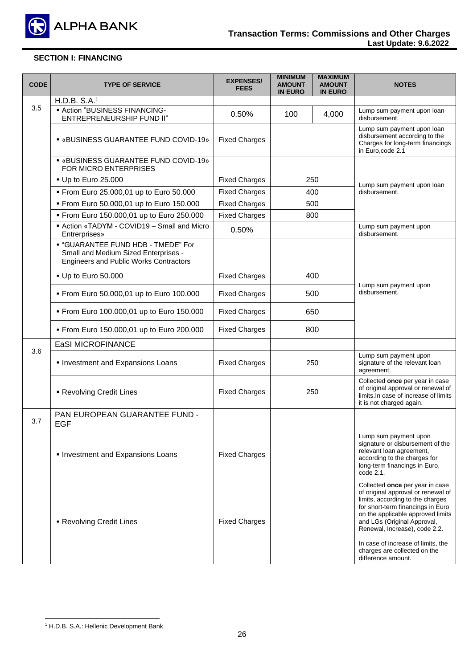

| <b>CODE</b> | <b>TYPE OF SERVICE</b>                                                                                                             | <b>EXPENSES/</b><br><b>FEES</b> | <b>MINIMUM</b><br><b>AMOUNT</b><br><b>IN EURO</b> | <b>MAXIMUM</b><br><b>AMOUNT</b><br><b>IN EURO</b> | <b>NOTES</b>                                                                                                                                                                                                                                                                                                                                    |
|-------------|------------------------------------------------------------------------------------------------------------------------------------|---------------------------------|---------------------------------------------------|---------------------------------------------------|-------------------------------------------------------------------------------------------------------------------------------------------------------------------------------------------------------------------------------------------------------------------------------------------------------------------------------------------------|
|             | H.D.B. S.A.1                                                                                                                       |                                 |                                                   |                                                   |                                                                                                                                                                                                                                                                                                                                                 |
| 3.5         | <b>- Action "BUSINESS FINANCING-</b><br>ENTREPRENEURSHIP FUND II"                                                                  | 0.50%                           | 100                                               | 4,000                                             | Lump sum payment upon loan<br>disbursement.                                                                                                                                                                                                                                                                                                     |
|             | ■ «BUSINESS GUARANTEE FUND COVID-19»                                                                                               | <b>Fixed Charges</b>            |                                                   |                                                   | Lump sum payment upon loan<br>disbursement according to the<br>Charges for long-term financings<br>in Euro, code 2.1                                                                                                                                                                                                                            |
|             | <b>. «BUSINESS GUARANTEE FUND COVID-19»</b><br>FOR MICRO ENTERPRISES                                                               |                                 |                                                   |                                                   |                                                                                                                                                                                                                                                                                                                                                 |
|             | - Up to Euro 25.000                                                                                                                | <b>Fixed Charges</b>            | 250                                               |                                                   | Lump sum payment upon loan                                                                                                                                                                                                                                                                                                                      |
|             | From Euro 25.000,01 up to Euro 50.000                                                                                              | <b>Fixed Charges</b>            | 400                                               |                                                   | disbursement.                                                                                                                                                                                                                                                                                                                                   |
|             | From Euro 50.000,01 up to Euro 150.000                                                                                             | <b>Fixed Charges</b>            | 500                                               |                                                   |                                                                                                                                                                                                                                                                                                                                                 |
|             | From Euro 150.000,01 up to Euro 250.000                                                                                            | <b>Fixed Charges</b>            | 800                                               |                                                   |                                                                                                                                                                                                                                                                                                                                                 |
|             | ■ Action «TADYM - COVID19 - Small and Micro<br>Entrerprises»                                                                       | 0.50%                           |                                                   |                                                   | Lump sum payment upon<br>disbursement.                                                                                                                                                                                                                                                                                                          |
|             | <b>• "GUARANTEE FUND HDB - TMEDE" For</b><br>Small and Medium Sized Enterprises -<br><b>Engineers and Public Works Contractors</b> |                                 |                                                   |                                                   |                                                                                                                                                                                                                                                                                                                                                 |
|             | - Up to Euro 50.000                                                                                                                | <b>Fixed Charges</b>            |                                                   | 400                                               | Lump sum payment upon                                                                                                                                                                                                                                                                                                                           |
|             | From Euro 50.000,01 up to Euro 100.000                                                                                             | <b>Fixed Charges</b>            |                                                   | 500                                               | disbursement.                                                                                                                                                                                                                                                                                                                                   |
|             | • From Euro 100.000,01 up to Euro 150.000                                                                                          | <b>Fixed Charges</b>            |                                                   | 650                                               |                                                                                                                                                                                                                                                                                                                                                 |
|             | • From Euro 150.000,01 up to Euro 200.000                                                                                          | <b>Fixed Charges</b>            |                                                   | 800                                               |                                                                                                                                                                                                                                                                                                                                                 |
|             | <b>EaSI MICROFINANCE</b>                                                                                                           |                                 |                                                   |                                                   |                                                                                                                                                                                                                                                                                                                                                 |
| 3.6         | Investment and Expansions Loans                                                                                                    | <b>Fixed Charges</b>            | 250                                               |                                                   | Lump sum payment upon<br>signature of the relevant loan<br>agreement.                                                                                                                                                                                                                                                                           |
|             | Revolving Credit Lines                                                                                                             | <b>Fixed Charges</b>            | 250                                               |                                                   | Collected once per year in case<br>of original approval or renewal of<br>limits. In case of increase of limits<br>it is not charged again.                                                                                                                                                                                                      |
| 3.7         | PAN EUROPEAN GUARANTEE FUND -<br><b>EGF</b>                                                                                        |                                 |                                                   |                                                   |                                                                                                                                                                                                                                                                                                                                                 |
|             | • Investment and Expansions Loans                                                                                                  | <b>Fixed Charges</b>            |                                                   |                                                   | Lump sum payment upon<br>signature or disbursement of the<br>relevant loan agreement,<br>according to the charges for<br>long-term financings in Euro,<br>code 2.1.                                                                                                                                                                             |
|             | • Revolving Credit Lines                                                                                                           | <b>Fixed Charges</b>            |                                                   |                                                   | Collected once per year in case<br>of original approval or renewal of<br>limits, according to the charges<br>for short-term financings in Euro<br>on the applicable approved limits<br>and LGs (Original Approval,<br>Renewal, Increase), code 2.2.<br>In case of increase of limits, the<br>charges are collected on the<br>difference amount. |

<sup>1</sup> H.D.B. S.A.: Hellenic Development Bank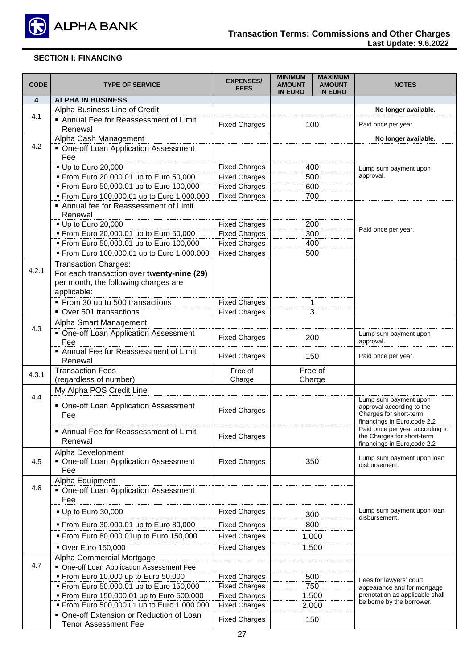

| <b>CODE</b> | <b>TYPE OF SERVICE</b>                                                               | <b>EXPENSES/</b><br><b>FEES</b>              | <b>MINIMUM</b><br><b>AMOUNT</b><br><b>IN EURO</b> | <b>MAXIMUM</b><br><b>AMOUNT</b><br><b>IN EURO</b> | <b>NOTES</b>                                                   |
|-------------|--------------------------------------------------------------------------------------|----------------------------------------------|---------------------------------------------------|---------------------------------------------------|----------------------------------------------------------------|
| 4           | <b>ALPHA IN BUSINESS</b>                                                             |                                              |                                                   |                                                   |                                                                |
|             | Alpha Business Line of Credit                                                        |                                              |                                                   |                                                   | No longer available.                                           |
| 4.1         | Annual Fee for Reassessment of Limit<br>Renewal                                      | <b>Fixed Charges</b>                         | 100                                               |                                                   | Paid once per year.                                            |
|             | Alpha Cash Management                                                                |                                              |                                                   |                                                   | No longer available.                                           |
| 4.2         | • One-off Loan Application Assessment                                                |                                              |                                                   |                                                   |                                                                |
|             | Fee                                                                                  |                                              |                                                   |                                                   |                                                                |
|             | • Up to Euro 20,000                                                                  | <b>Fixed Charges</b>                         | 400                                               |                                                   | Lump sum payment upon                                          |
|             | From Euro 20,000.01 up to Euro 50,000                                                | <b>Fixed Charges</b>                         |                                                   | 500                                               | approval.                                                      |
|             | From Euro 50,000.01 up to Euro 100,000                                               | <b>Fixed Charges</b>                         |                                                   | 600                                               |                                                                |
|             | From Euro 100,000.01 up to Euro 1,000.000                                            | <b>Fixed Charges</b>                         | 700                                               |                                                   |                                                                |
|             | Annual fee for Reassessment of Limit                                                 |                                              |                                                   |                                                   |                                                                |
|             | Renewal                                                                              |                                              |                                                   |                                                   |                                                                |
|             | - Up to Euro 20,000<br>From Euro 20,000.01 up to Euro 50,000                         | <b>Fixed Charges</b><br><b>Fixed Charges</b> |                                                   | 200<br>300                                        | Paid once per year.                                            |
|             | From Euro 50,000.01 up to Euro 100,000                                               | <b>Fixed Charges</b>                         |                                                   | 400                                               |                                                                |
|             | From Euro 100,000.01 up to Euro 1,000.000                                            | <b>Fixed Charges</b>                         | 500                                               |                                                   |                                                                |
|             |                                                                                      |                                              |                                                   |                                                   |                                                                |
| 4.2.1       | <b>Transaction Charges:</b><br>For each transaction over twenty-nine (29)            |                                              |                                                   |                                                   |                                                                |
|             | per month, the following charges are                                                 |                                              |                                                   |                                                   |                                                                |
|             | applicable:                                                                          |                                              |                                                   |                                                   |                                                                |
|             | From 30 up to 500 transactions                                                       | <b>Fixed Charges</b>                         | 1                                                 |                                                   |                                                                |
|             | Over 501 transactions                                                                | <b>Fixed Charges</b>                         |                                                   | 3                                                 |                                                                |
|             | Alpha Smart Management                                                               |                                              |                                                   |                                                   |                                                                |
| 4.3         | • One-off Loan Application Assessment                                                |                                              |                                                   |                                                   |                                                                |
|             | Fee                                                                                  | <b>Fixed Charges</b>                         | 200                                               |                                                   | Lump sum payment upon<br>approval.                             |
|             | Annual Fee for Reassessment of Limit                                                 |                                              |                                                   |                                                   |                                                                |
|             | Renewal                                                                              | <b>Fixed Charges</b>                         | 150                                               |                                                   | Paid once per year.                                            |
| 4.3.1       | <b>Transaction Fees</b>                                                              | Free of                                      |                                                   | Free of                                           |                                                                |
|             | (regardless of number)                                                               | Charge                                       | Charge                                            |                                                   |                                                                |
|             | My Alpha POS Credit Line                                                             |                                              |                                                   |                                                   |                                                                |
| 4.4         | • One-off Loan Application Assessment                                                | <b>Fixed Charges</b>                         |                                                   |                                                   | Lump sum payment upon<br>approval according to the             |
|             | Fee                                                                                  |                                              |                                                   |                                                   | Charges for short-term<br>financings in Euro, code 2.2         |
|             | Annual Fee for Reassessment of Limit                                                 |                                              |                                                   |                                                   | Paid once per year according to                                |
|             | Renewal                                                                              | <b>Fixed Charges</b>                         |                                                   |                                                   | the Charges for short-term                                     |
|             | Alpha Development                                                                    |                                              |                                                   |                                                   | financings in Euro, code 2.2                                   |
| 4.5         | • One-off Loan Application Assessment                                                | <b>Fixed Charges</b>                         |                                                   | 350                                               | Lump sum payment upon loan                                     |
|             | Fee                                                                                  |                                              |                                                   |                                                   | disbursement.                                                  |
|             | Alpha Equipment                                                                      |                                              |                                                   |                                                   |                                                                |
| 4.6         | • One-off Loan Application Assessment                                                |                                              |                                                   |                                                   |                                                                |
|             | Fee                                                                                  |                                              |                                                   |                                                   |                                                                |
|             | - Up to Euro 30,000                                                                  | <b>Fixed Charges</b>                         |                                                   | 300                                               | Lump sum payment upon loan                                     |
|             | From Euro 30,000.01 up to Euro 80,000                                                | <b>Fixed Charges</b>                         | 800                                               |                                                   | disbursement.                                                  |
|             |                                                                                      |                                              |                                                   |                                                   |                                                                |
|             | From Euro 80,000.01up to Euro 150,000                                                | <b>Fixed Charges</b>                         |                                                   | 1,000                                             |                                                                |
|             | Over Euro 150,000                                                                    | <b>Fixed Charges</b>                         |                                                   | 1,500                                             |                                                                |
| 4.7         | Alpha Commercial Mortgage                                                            |                                              |                                                   |                                                   |                                                                |
|             | • One-off Loan Application Assessment Fee                                            |                                              |                                                   |                                                   |                                                                |
|             | " From Euro 10,000 up to Euro 50,000                                                 | <b>Fixed Charges</b>                         | 500                                               |                                                   | Fees for lawyers' court                                        |
|             | From Euro 50,000.01 up to Euro 150,000                                               | <b>Fixed Charges</b>                         |                                                   | 750                                               | appearance and for mortgage<br>prenotation as applicable shall |
|             | From Euro 150,000.01 up to Euro 500,000<br>From Euro 500,000.01 up to Euro 1,000.000 | <b>Fixed Charges</b><br><b>Fixed Charges</b> | 2,000                                             | 1,500                                             | be borne by the borrower.                                      |
|             | • One-off Extension or Reduction of Loan                                             |                                              |                                                   |                                                   |                                                                |
|             | <b>Tenor Assessment Fee</b>                                                          | <b>Fixed Charges</b>                         |                                                   | 150                                               |                                                                |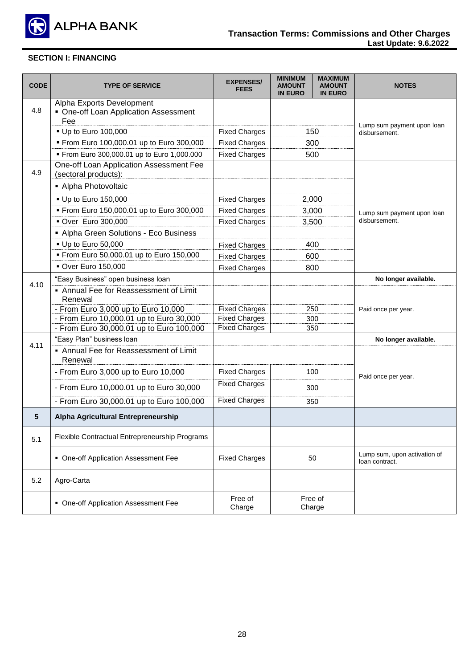

| <b>CODE</b> | <b>TYPE OF SERVICE</b>                                                    | <b>EXPENSES/</b><br><b>FEES</b> | <b>MINIMUM</b><br><b>AMOUNT</b><br><b>IN EURO</b> | <b>MAXIMUM</b><br><b>AMOUNT</b><br><b>IN EURO</b> | <b>NOTES</b>                                   |
|-------------|---------------------------------------------------------------------------|---------------------------------|---------------------------------------------------|---------------------------------------------------|------------------------------------------------|
| 4.8         | Alpha Exports Development<br>• One-off Loan Application Assessment<br>Fee |                                 |                                                   |                                                   |                                                |
|             | • Up to Euro 100,000                                                      | <b>Fixed Charges</b>            |                                                   | 150                                               | Lump sum payment upon loan<br>disbursement.    |
|             | From Euro 100,000.01 up to Euro 300,000                                   | <b>Fixed Charges</b>            |                                                   | 300                                               |                                                |
|             | From Euro 300,000.01 up to Euro 1,000.000                                 | <b>Fixed Charges</b>            |                                                   | 500                                               |                                                |
| 4.9         | One-off Loan Application Assessment Fee<br>(sectoral products):           |                                 |                                                   |                                                   |                                                |
|             | Alpha Photovoltaic                                                        |                                 |                                                   |                                                   |                                                |
|             | • Up to Euro 150,000                                                      | <b>Fixed Charges</b>            | 2,000                                             |                                                   |                                                |
|             | From Euro 150,000.01 up to Euro 300,000                                   | <b>Fixed Charges</b>            | 3,000                                             |                                                   | Lump sum payment upon loan                     |
|             | · Over Euro 300,000                                                       | <b>Fixed Charges</b>            |                                                   | 3,500                                             | disbursement.                                  |
|             | Alpha Green Solutions - Eco Business                                      |                                 |                                                   |                                                   |                                                |
|             | - Up to Euro 50,000                                                       | <b>Fixed Charges</b>            |                                                   | 400                                               |                                                |
|             | From Euro 50,000.01 up to Euro 150,000                                    | <b>Fixed Charges</b>            | 600                                               |                                                   |                                                |
|             | <b>• Over Euro 150,000</b>                                                | <b>Fixed Charges</b>            | 800                                               |                                                   |                                                |
|             | "Easy Business" open business loan                                        |                                 |                                                   |                                                   | No longer available.                           |
| 4.10        | • Annual Fee for Reassessment of Limit<br>Renewal                         |                                 |                                                   |                                                   |                                                |
|             | - From Euro 3,000 up to Euro 10,000                                       | <b>Fixed Charges</b>            | 250                                               |                                                   | Paid once per year.                            |
|             | - From Euro 10,000.01 up to Euro 30,000                                   | <b>Fixed Charges</b>            | 300                                               |                                                   |                                                |
|             | - From Euro 30,000.01 up to Euro 100,000                                  | <b>Fixed Charges</b>            | 350                                               |                                                   |                                                |
| 4.11        | "Easy Plan" business loan                                                 |                                 |                                                   |                                                   | No longer available.                           |
|             | • Annual Fee for Reassessment of Limit<br>Renewal                         |                                 |                                                   |                                                   |                                                |
|             | - From Euro 3,000 up to Euro 10,000                                       | <b>Fixed Charges</b>            |                                                   | 100                                               | Paid once per year.                            |
|             | - From Euro 10,000.01 up to Euro 30,000                                   | <b>Fixed Charges</b>            |                                                   | 300                                               |                                                |
|             | - From Euro 30,000.01 up to Euro 100,000                                  | <b>Fixed Charges</b>            | 350                                               |                                                   |                                                |
| 5           | Alpha Agricultural Entrepreneurship                                       |                                 |                                                   |                                                   |                                                |
| 5.1         | Flexible Contractual Entrepreneurship Programs                            |                                 |                                                   |                                                   |                                                |
|             | • One-off Application Assessment Fee                                      | <b>Fixed Charges</b>            |                                                   | 50                                                | Lump sum, upon activation of<br>loan contract. |
| 5.2         | Agro-Carta                                                                |                                 |                                                   |                                                   |                                                |
|             | • One-off Application Assessment Fee                                      | Free of<br>Charge               |                                                   | Free of<br>Charge                                 |                                                |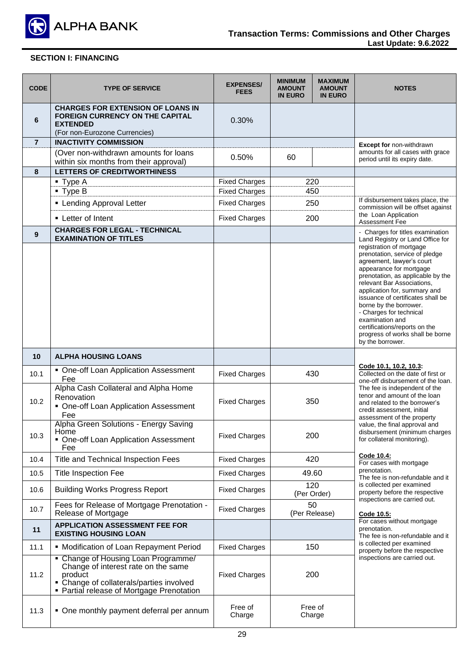

| <b>CODE</b>    | <b>TYPE OF SERVICE</b>                                                                                                                                                         | <b>EXPENSES/</b><br><b>FEES</b> | <b>MINIMUM</b><br><b>AMOUNT</b><br><b>IN EURO</b> | <b>MAXIMUM</b><br><b>AMOUNT</b><br><b>IN EURO</b> | <b>NOTES</b>                                                                                                                                                                                                                                                                                          |
|----------------|--------------------------------------------------------------------------------------------------------------------------------------------------------------------------------|---------------------------------|---------------------------------------------------|---------------------------------------------------|-------------------------------------------------------------------------------------------------------------------------------------------------------------------------------------------------------------------------------------------------------------------------------------------------------|
| 6              | <b>CHARGES FOR EXTENSION OF LOANS IN</b><br><b>FOREIGN CURRENCY ON THE CAPITAL</b><br><b>EXTENDED</b><br>(For non-Eurozone Currencies)                                         | 0.30%                           |                                                   |                                                   |                                                                                                                                                                                                                                                                                                       |
| $\overline{7}$ | <b>INACTIVITY COMMISSION</b>                                                                                                                                                   |                                 |                                                   |                                                   | Except for non-withdrawn                                                                                                                                                                                                                                                                              |
|                | (Over non-withdrawn amounts for loans                                                                                                                                          | 0.50%                           |                                                   |                                                   | amounts for all cases with grace                                                                                                                                                                                                                                                                      |
|                | within six months from their approval)                                                                                                                                         |                                 | 60                                                |                                                   | period until its expiry date.                                                                                                                                                                                                                                                                         |
| 8              | <b>LETTERS OF CREDITWORTHINESS</b>                                                                                                                                             |                                 |                                                   |                                                   |                                                                                                                                                                                                                                                                                                       |
|                | ■ Type A                                                                                                                                                                       | <b>Fixed Charges</b>            | 220                                               |                                                   |                                                                                                                                                                                                                                                                                                       |
|                | $\blacksquare$ Type B                                                                                                                                                          | <b>Fixed Charges</b>            |                                                   | 450                                               |                                                                                                                                                                                                                                                                                                       |
|                | • Lending Approval Letter                                                                                                                                                      | <b>Fixed Charges</b>            |                                                   | 250                                               | If disbursement takes place, the                                                                                                                                                                                                                                                                      |
|                |                                                                                                                                                                                |                                 |                                                   |                                                   | commission will be offset against<br>the Loan Application                                                                                                                                                                                                                                             |
|                | • Letter of Intent                                                                                                                                                             | <b>Fixed Charges</b>            |                                                   | 200                                               | Assessment Fee                                                                                                                                                                                                                                                                                        |
| 9              | <b>CHARGES FOR LEGAL - TECHNICAL</b><br><b>EXAMINATION OF TITLES</b>                                                                                                           |                                 |                                                   |                                                   | - Charges for titles examination<br>Land Registry or Land Office for<br>registration of mortgage<br>prenotation, service of pledge<br>agreement, lawyer's court<br>appearance for mortgage                                                                                                            |
|                |                                                                                                                                                                                |                                 |                                                   |                                                   | prenotation, as applicable by the<br>relevant Bar Associations,<br>application for, summary and<br>issuance of certificates shall be<br>borne by the borrower.<br>- Charges for technical<br>examination and<br>certifications/reports on the<br>progress of works shall be borne<br>by the borrower. |
| 10             | <b>ALPHA HOUSING LOANS</b>                                                                                                                                                     |                                 |                                                   |                                                   |                                                                                                                                                                                                                                                                                                       |
| 10.1           | • One-off Loan Application Assessment<br>Fee                                                                                                                                   | <b>Fixed Charges</b>            | 430                                               |                                                   | Code 10.1, 10.2, 10.3:<br>Collected on the date of first or<br>one-off disbursement of the loan.                                                                                                                                                                                                      |
| 10.2           | Alpha Cash Collateral and Alpha Home<br>Renovation<br>• One-off Loan Application Assessment<br>Fee                                                                             | <b>Fixed Charges</b>            |                                                   | 350                                               | The fee is independent of the<br>tenor and amount of the loan<br>and related to the borrower's<br>credit assessment, initial<br>assessment of the property                                                                                                                                            |
| 10.3           | Alpha Green Solutions - Energy Saving<br>Home<br>• One-off Loan Application Assessment<br>Fee                                                                                  | <b>Fixed Charges</b>            |                                                   | 200                                               | value, the final approval and<br>disbursement (minimum charges<br>for collateral monitoring).                                                                                                                                                                                                         |
| 10.4           | <b>Title and Technical Inspection Fees</b>                                                                                                                                     | <b>Fixed Charges</b>            |                                                   | 420                                               | Code 10.4:<br>For cases with mortgage                                                                                                                                                                                                                                                                 |
| 10.5           | <b>Title Inspection Fee</b>                                                                                                                                                    | <b>Fixed Charges</b>            |                                                   | 49.60                                             | prenotation.<br>The fee is non-refundable and it                                                                                                                                                                                                                                                      |
| 10.6           | <b>Building Works Progress Report</b>                                                                                                                                          | <b>Fixed Charges</b>            |                                                   | 120<br>(Per Order)                                | is collected per examined<br>property before the respective<br>inspections are carried out.                                                                                                                                                                                                           |
| 10.7           | Fees for Release of Mortgage Prenotation -<br>Release of Mortgage                                                                                                              | <b>Fixed Charges</b>            |                                                   | 50<br>(Per Release)                               | Code 10.5:                                                                                                                                                                                                                                                                                            |
| 11             | <b>APPLICATION ASSESSMENT FEE FOR</b><br><b>EXISTING HOUSING LOAN</b>                                                                                                          |                                 |                                                   |                                                   | For cases without mortgage<br>prenotation.<br>The fee is non-refundable and it                                                                                                                                                                                                                        |
| 11.1           | • Modification of Loan Repayment Period                                                                                                                                        | <b>Fixed Charges</b>            | 150                                               |                                                   | is collected per examined<br>property before the respective                                                                                                                                                                                                                                           |
| 11.2           | • Change of Housing Loan Programme/<br>Change of interest rate on the same<br>product<br>• Change of collaterals/parties involved<br>• Partial release of Mortgage Prenotation | <b>Fixed Charges</b>            |                                                   | 200                                               | inspections are carried out.                                                                                                                                                                                                                                                                          |
| 11.3           | • One monthly payment deferral per annum                                                                                                                                       | Free of<br>Charge               |                                                   | Free of<br>Charge                                 |                                                                                                                                                                                                                                                                                                       |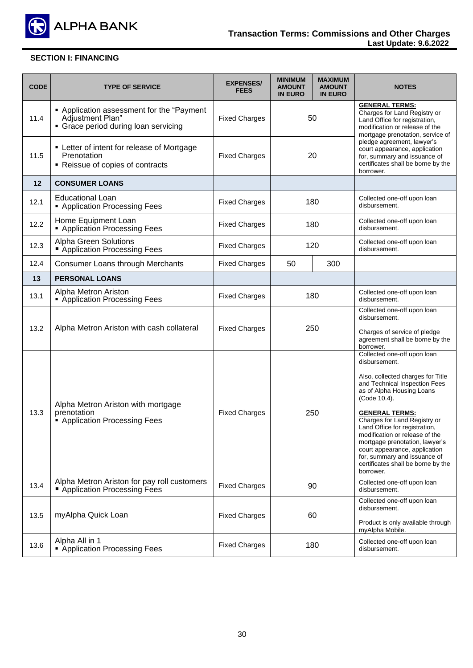

| <b>CODE</b> | <b>TYPE OF SERVICE</b>                                                                                | <b>EXPENSES/</b><br><b>FEES</b> | <b>MINIMUM</b><br><b>AMOUNT</b><br><b>IN EURO</b> | <b>MAXIMUM</b><br><b>AMOUNT</b><br><b>IN EURO</b> | <b>NOTES</b>                                                                                                                                                                                                                                                                                                                                                                                                                                      |
|-------------|-------------------------------------------------------------------------------------------------------|---------------------------------|---------------------------------------------------|---------------------------------------------------|---------------------------------------------------------------------------------------------------------------------------------------------------------------------------------------------------------------------------------------------------------------------------------------------------------------------------------------------------------------------------------------------------------------------------------------------------|
| 11.4        | • Application assessment for the "Payment<br>Adjustment Plan"<br>• Grace period during loan servicing | <b>Fixed Charges</b>            | 50                                                |                                                   | <b>GENERAL TERMS:</b><br>Charges for Land Registry or<br>Land Office for registration,<br>modification or release of the<br>mortgage prenotation, service of                                                                                                                                                                                                                                                                                      |
| 11.5        | • Letter of intent for release of Mortgage<br>Prenotation<br>• Reissue of copies of contracts         | <b>Fixed Charges</b>            | 20                                                |                                                   | pledge agreement, lawyer's<br>court appearance, application<br>for, summary and issuance of<br>certificates shall be borne by the<br>borrower.                                                                                                                                                                                                                                                                                                    |
| 12          | <b>CONSUMER LOANS</b>                                                                                 |                                 |                                                   |                                                   |                                                                                                                                                                                                                                                                                                                                                                                                                                                   |
| 12.1        | <b>Educational Loan</b><br>• Application Processing Fees                                              | <b>Fixed Charges</b>            |                                                   | 180                                               | Collected one-off upon loan<br>disbursement.                                                                                                                                                                                                                                                                                                                                                                                                      |
| 12.2        | Home Equipment Loan<br>• Application Processing Fees                                                  | <b>Fixed Charges</b>            |                                                   | 180                                               | Collected one-off upon loan<br>disbursement.                                                                                                                                                                                                                                                                                                                                                                                                      |
| 12.3        | <b>Alpha Green Solutions</b><br>Application Processing Fees                                           | <b>Fixed Charges</b>            | 120                                               |                                                   | Collected one-off upon loan<br>disbursement.                                                                                                                                                                                                                                                                                                                                                                                                      |
| 12.4        | Consumer Loans through Merchants                                                                      | <b>Fixed Charges</b>            | 50                                                | 300                                               |                                                                                                                                                                                                                                                                                                                                                                                                                                                   |
| 13          | <b>PERSONAL LOANS</b>                                                                                 |                                 |                                                   |                                                   |                                                                                                                                                                                                                                                                                                                                                                                                                                                   |
| 13.1        | Alpha Metron Ariston<br>• Application Processing Fees                                                 | <b>Fixed Charges</b>            | 180                                               |                                                   | Collected one-off upon loan<br>disbursement.                                                                                                                                                                                                                                                                                                                                                                                                      |
| 13.2        | Alpha Metron Ariston with cash collateral                                                             | <b>Fixed Charges</b>            | 250                                               |                                                   | Collected one-off upon loan<br>disbursement.<br>Charges of service of pledge<br>agreement shall be borne by the<br>borrower.                                                                                                                                                                                                                                                                                                                      |
| 13.3        | Alpha Metron Ariston with mortgage<br>prenotation<br>Application Processing Fees                      | <b>Fixed Charges</b>            | 250                                               |                                                   | Collected one-off upon loan<br>disbursement.<br>Also, collected charges for Title<br>and Technical Inspection Fees<br>as of Alpha Housing Loans<br>(Code 10.4).<br><b>GENERAL TERMS:</b><br>Charges for Land Registry or<br>Land Office for registration,<br>modification or release of the<br>mortgage prenotation, lawyer's<br>court appearance, application<br>for, summary and issuance of<br>certificates shall be borne by the<br>borrower. |
| 13.4        | Alpha Metron Ariston for pay roll customers<br>Application Processing Fees                            | <b>Fixed Charges</b>            |                                                   | 90                                                | Collected one-off upon loan<br>disbursement.                                                                                                                                                                                                                                                                                                                                                                                                      |
| 13.5        | myAlpha Quick Loan                                                                                    | <b>Fixed Charges</b>            | 60                                                |                                                   | Collected one-off upon loan<br>disbursement.<br>Product is only available through<br>myAlpha Mobile.                                                                                                                                                                                                                                                                                                                                              |
| 13.6        | Alpha All in 1<br>• Application Processing Fees                                                       | <b>Fixed Charges</b>            |                                                   | 180                                               | Collected one-off upon loan<br>disbursement.                                                                                                                                                                                                                                                                                                                                                                                                      |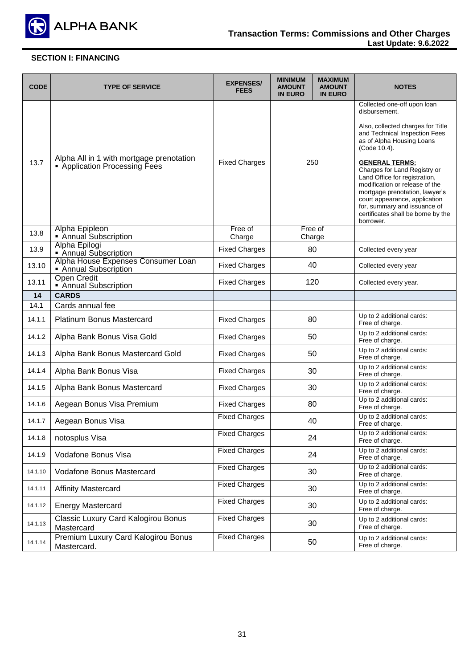

| <b>CODE</b> | <b>TYPE OF SERVICE</b>                                                  | <b>EXPENSES/</b><br><b>FEES</b> | <b>MINIMUM</b><br><b>AMOUNT</b><br><b>IN EURO</b> | <b>MAXIMUM</b><br><b>AMOUNT</b><br><b>IN EURO</b> | <b>NOTES</b>                                                                                                                                                                                                                                                                   |
|-------------|-------------------------------------------------------------------------|---------------------------------|---------------------------------------------------|---------------------------------------------------|--------------------------------------------------------------------------------------------------------------------------------------------------------------------------------------------------------------------------------------------------------------------------------|
|             |                                                                         |                                 |                                                   |                                                   | Collected one-off upon loan<br>disbursement.<br>Also, collected charges for Title                                                                                                                                                                                              |
|             |                                                                         |                                 |                                                   |                                                   | and Technical Inspection Fees<br>as of Alpha Housing Loans<br>(Code 10.4).                                                                                                                                                                                                     |
| 13.7        | Alpha All in 1 with mortgage prenotation<br>Application Processing Fees | <b>Fixed Charges</b>            | 250                                               |                                                   | <b>GENERAL TERMS:</b><br>Charges for Land Registry or<br>Land Office for registration,<br>modification or release of the<br>mortgage prenotation, lawyer's<br>court appearance, application<br>for, summary and issuance of<br>certificates shall be borne by the<br>borrower. |
| 13.8        | Alpha Epipleon<br>• Annual Subscription                                 | Free of<br>Charge               |                                                   | Free of<br>Charge                                 |                                                                                                                                                                                                                                                                                |
| 13.9        | Alpha Epilogi<br>Annual Subscription                                    | <b>Fixed Charges</b>            |                                                   | 80                                                | Collected every year                                                                                                                                                                                                                                                           |
| 13.10       | Alpha House Expenses Consumer Loan<br>Annual Subscription               | <b>Fixed Charges</b>            |                                                   | 40                                                | Collected every year                                                                                                                                                                                                                                                           |
| 13.11       | <b>Open Credit</b><br>• Annual Subscription                             | <b>Fixed Charges</b>            | 120                                               |                                                   | Collected every year.                                                                                                                                                                                                                                                          |
| 14          | <b>CARDS</b>                                                            |                                 |                                                   |                                                   |                                                                                                                                                                                                                                                                                |
| 14.1        | Cards annual fee                                                        |                                 |                                                   |                                                   |                                                                                                                                                                                                                                                                                |
| 14.1.1      | <b>Platinum Bonus Mastercard</b>                                        | <b>Fixed Charges</b>            | 80                                                |                                                   | Up to 2 additional cards:<br>Free of charge.                                                                                                                                                                                                                                   |
| 14.1.2      | Alpha Bank Bonus Visa Gold                                              | <b>Fixed Charges</b>            |                                                   | 50                                                | Up to 2 additional cards:<br>Free of charge.                                                                                                                                                                                                                                   |
| 14.1.3      | Alpha Bank Bonus Mastercard Gold                                        | <b>Fixed Charges</b>            |                                                   | 50                                                | Up to 2 additional cards:<br>Free of charge.                                                                                                                                                                                                                                   |
| 14.1.4      | Alpha Bank Bonus Visa                                                   | <b>Fixed Charges</b>            |                                                   | 30                                                | Up to 2 additional cards:<br>Free of charge.                                                                                                                                                                                                                                   |
| 14.1.5      | Alpha Bank Bonus Mastercard                                             | <b>Fixed Charges</b>            |                                                   | 30                                                | Up to 2 additional cards:<br>Free of charge.                                                                                                                                                                                                                                   |
| 14.1.6      | Aegean Bonus Visa Premium                                               | <b>Fixed Charges</b>            |                                                   | 80                                                | Up to 2 additional cards:<br>Free of charge.                                                                                                                                                                                                                                   |
| 14.1.7      | Aegean Bonus Visa                                                       | <b>Fixed Charges</b>            |                                                   | 40                                                | Up to 2 additional cards:<br>Free of charge.                                                                                                                                                                                                                                   |
| 14.1.8      | notosplus Visa                                                          | <b>Fixed Charges</b>            |                                                   | 24                                                | Up to 2 additional cards:<br>Free of charge.                                                                                                                                                                                                                                   |
| 14.1.9      | Vodafone Bonus Visa                                                     | <b>Fixed Charges</b>            |                                                   | 24                                                | Up to 2 additional cards:<br>Free of charge.                                                                                                                                                                                                                                   |
| 14.1.10     | Vodafone Bonus Mastercard                                               | <b>Fixed Charges</b>            |                                                   | 30                                                | Up to 2 additional cards:<br>Free of charge.                                                                                                                                                                                                                                   |
| 14.1.11     | <b>Affinity Mastercard</b>                                              | <b>Fixed Charges</b>            |                                                   | 30                                                | Up to 2 additional cards:<br>Free of charge.                                                                                                                                                                                                                                   |
| 14.1.12     | <b>Energy Mastercard</b>                                                | <b>Fixed Charges</b>            |                                                   | 30                                                | Up to 2 additional cards:<br>Free of charge.                                                                                                                                                                                                                                   |
| 14.1.13     | Classic Luxury Card Kalogirou Bonus<br>Mastercard                       | <b>Fixed Charges</b>            |                                                   | 30                                                | Up to 2 additional cards:<br>Free of charge.                                                                                                                                                                                                                                   |
| 14.1.14     | Premium Luxury Card Kalogirou Bonus<br>Mastercard.                      | <b>Fixed Charges</b>            |                                                   | 50                                                | Up to 2 additional cards:<br>Free of charge.                                                                                                                                                                                                                                   |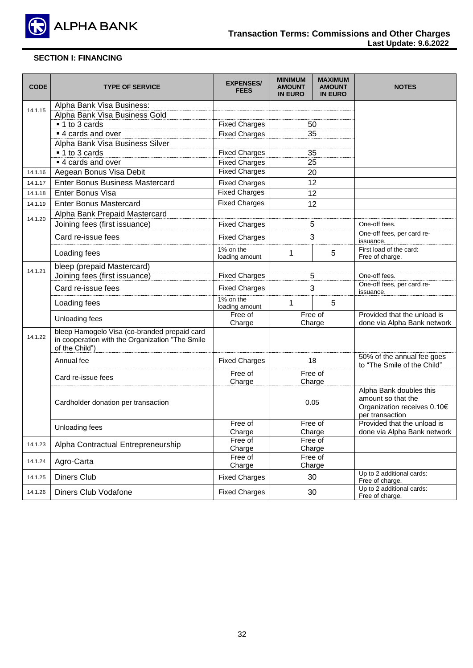

| <b>CODE</b> | <b>TYPE OF SERVICE</b>                                                                                            | <b>EXPENSES/</b><br><b>FEES</b> | <b>MINIMUM</b><br><b>AMOUNT</b><br><b>IN EURO</b> | <b>MAXIMUM</b><br><b>AMOUNT</b><br><b>IN EURO</b> | <b>NOTES</b>                                                                                    |
|-------------|-------------------------------------------------------------------------------------------------------------------|---------------------------------|---------------------------------------------------|---------------------------------------------------|-------------------------------------------------------------------------------------------------|
| 14.1.15     | Alpha Bank Visa Business:                                                                                         |                                 |                                                   |                                                   |                                                                                                 |
|             | Alpha Bank Visa Business Gold                                                                                     |                                 |                                                   |                                                   |                                                                                                 |
|             | ■ 1 to 3 cards                                                                                                    | <b>Fixed Charges</b>            |                                                   | 50                                                |                                                                                                 |
|             | ■ 4 cards and over                                                                                                | <b>Fixed Charges</b>            |                                                   | 35                                                |                                                                                                 |
|             | Alpha Bank Visa Business Silver                                                                                   |                                 |                                                   |                                                   |                                                                                                 |
|             | ■ 1 to 3 cards                                                                                                    | <b>Fixed Charges</b>            |                                                   | 35                                                |                                                                                                 |
|             | ■ 4 cards and over                                                                                                | <b>Fixed Charges</b>            |                                                   | 25                                                |                                                                                                 |
| 14.1.16     | Aegean Bonus Visa Debit                                                                                           | <b>Fixed Charges</b>            |                                                   | 20                                                |                                                                                                 |
| 14.1.17     | <b>Enter Bonus Business Mastercard</b>                                                                            | <b>Fixed Charges</b>            |                                                   | 12                                                |                                                                                                 |
| 14.1.18     | <b>Enter Bonus Visa</b>                                                                                           | <b>Fixed Charges</b>            |                                                   | 12                                                |                                                                                                 |
| 14.1.19     | <b>Enter Bonus Mastercard</b>                                                                                     | <b>Fixed Charges</b>            |                                                   | 12                                                |                                                                                                 |
|             | Alpha Bank Prepaid Mastercard                                                                                     |                                 |                                                   |                                                   |                                                                                                 |
| 14.1.20     | Joining fees (first issuance)                                                                                     | <b>Fixed Charges</b>            |                                                   | 5                                                 | One-off fees.                                                                                   |
|             | Card re-issue fees                                                                                                | <b>Fixed Charges</b>            |                                                   | 3                                                 | One-off fees, per card re-<br>issuance.                                                         |
|             | Loading fees                                                                                                      | 1% on the<br>loading amount     | 1                                                 | 5                                                 | First load of the card:<br>Free of charge.                                                      |
|             | bleep (prepaid Mastercard)                                                                                        |                                 |                                                   |                                                   |                                                                                                 |
| 14.1.21     | Joining fees (first issuance)                                                                                     | <b>Fixed Charges</b>            |                                                   | 5                                                 | One-off fees.                                                                                   |
|             | Card re-issue fees                                                                                                | <b>Fixed Charges</b>            | 3                                                 |                                                   | One-off fees, per card re-<br>issuance.                                                         |
|             | Loading fees                                                                                                      | 1% on the<br>loading amount     | 1                                                 | 5                                                 |                                                                                                 |
|             | Unloading fees                                                                                                    | Free of<br>Charge               |                                                   | Free of<br>Charge                                 | Provided that the unload is<br>done via Alpha Bank network                                      |
| 14.1.22     | bleep Hamogelo Visa (co-branded prepaid card<br>in cooperation with the Organization "The Smile<br>of the Child") |                                 |                                                   |                                                   |                                                                                                 |
|             | Annual fee                                                                                                        | <b>Fixed Charges</b>            |                                                   | 18                                                | 50% of the annual fee goes<br>to "The Smile of the Child"                                       |
|             | Card re-issue fees                                                                                                | Free of<br>Charge               |                                                   | Free of<br>Charge                                 |                                                                                                 |
|             | Cardholder donation per transaction                                                                               |                                 |                                                   | 0.05                                              | Alpha Bank doubles this<br>amount so that the<br>Organization receives 0.10€<br>per transaction |
|             | Unloading fees                                                                                                    | Free of<br>Charge               |                                                   | Free of<br>Charge                                 | Provided that the unload is<br>done via Alpha Bank network                                      |
| 14.1.23     | Alpha Contractual Entrepreneurship                                                                                | Free of<br>Charge               |                                                   | Free of<br>Charge                                 |                                                                                                 |
| 14.1.24     | Agro-Carta                                                                                                        | Free of<br>Charge               |                                                   | Free of<br>Charge                                 |                                                                                                 |
| 14.1.25     | <b>Diners Club</b>                                                                                                | <b>Fixed Charges</b>            |                                                   | 30                                                | Up to 2 additional cards:<br>Free of charge.                                                    |
| 14.1.26     | Diners Club Vodafone                                                                                              | <b>Fixed Charges</b>            |                                                   | 30                                                | Up to 2 additional cards:<br>Free of charge.                                                    |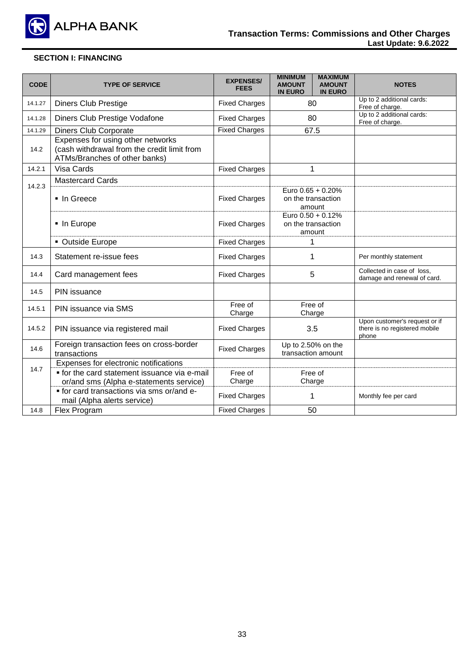

| <b>CODE</b> | <b>TYPE OF SERVICE</b>                                                                                            | <b>EXPENSES/</b><br><b>FEES</b> | <b>MINIMUM</b><br><b>MAXIMUM</b><br><b>AMOUNT</b><br><b>AMOUNT</b><br><b>IN EURO</b><br><b>IN EURO</b> | <b>NOTES</b>                                                            |
|-------------|-------------------------------------------------------------------------------------------------------------------|---------------------------------|--------------------------------------------------------------------------------------------------------|-------------------------------------------------------------------------|
| 14.1.27     | <b>Diners Club Prestige</b>                                                                                       | <b>Fixed Charges</b>            | 80                                                                                                     | Up to 2 additional cards:<br>Free of charge.                            |
| 14.1.28     | Diners Club Prestige Vodafone                                                                                     | <b>Fixed Charges</b>            | 80                                                                                                     | Up to 2 additional cards:<br>Free of charge.                            |
| 14.1.29     | <b>Diners Club Corporate</b>                                                                                      | <b>Fixed Charges</b>            | 67.5                                                                                                   |                                                                         |
| 14.2        | Expenses for using other networks<br>(cash withdrawal from the credit limit from<br>ATMs/Branches of other banks) |                                 |                                                                                                        |                                                                         |
| 14.2.1      | Visa Cards                                                                                                        | <b>Fixed Charges</b>            | $\mathbf{1}$                                                                                           |                                                                         |
|             | <b>Mastercard Cards</b>                                                                                           |                                 |                                                                                                        |                                                                         |
| 14.2.3      | ■ In Greece                                                                                                       | <b>Fixed Charges</b>            | Euro 0.65 + 0.20%<br>on the transaction<br>amount                                                      |                                                                         |
|             | • In Europe                                                                                                       | <b>Fixed Charges</b>            | Euro 0.50 + 0.12%<br>on the transaction<br>amount                                                      |                                                                         |
|             | • Outside Europe                                                                                                  | <b>Fixed Charges</b>            | 1                                                                                                      |                                                                         |
| 14.3        | Statement re-issue fees                                                                                           | <b>Fixed Charges</b>            | 1                                                                                                      | Per monthly statement                                                   |
| 14.4        | Card management fees                                                                                              | <b>Fixed Charges</b>            | 5                                                                                                      | Collected in case of loss,<br>damage and renewal of card.               |
| 14.5        | PIN issuance                                                                                                      |                                 |                                                                                                        |                                                                         |
| 14.5.1      | PIN issuance via SMS                                                                                              | Free of<br>Charge               | Free of<br>Charge                                                                                      |                                                                         |
| 14.5.2      | PIN issuance via registered mail                                                                                  | <b>Fixed Charges</b>            | 3.5                                                                                                    | Upon customer's request or if<br>there is no registered mobile<br>phone |
| 14.6        | Foreign transaction fees on cross-border<br>transactions                                                          | <b>Fixed Charges</b>            | Up to 2.50% on the<br>transaction amount                                                               |                                                                         |
|             | Expenses for electronic notifications                                                                             |                                 |                                                                                                        |                                                                         |
| 14.7        | • for the card statement issuance via e-mail                                                                      | Free of                         | Free of                                                                                                |                                                                         |
|             | or/and sms (Alpha e-statements service)                                                                           | Charge                          | Charge                                                                                                 |                                                                         |
|             | • for card transactions via sms or/and e-<br>mail (Alpha alerts service)                                          | <b>Fixed Charges</b>            | 1                                                                                                      | Monthly fee per card                                                    |
| 14.8        | Flex Program                                                                                                      | <b>Fixed Charges</b>            | 50                                                                                                     |                                                                         |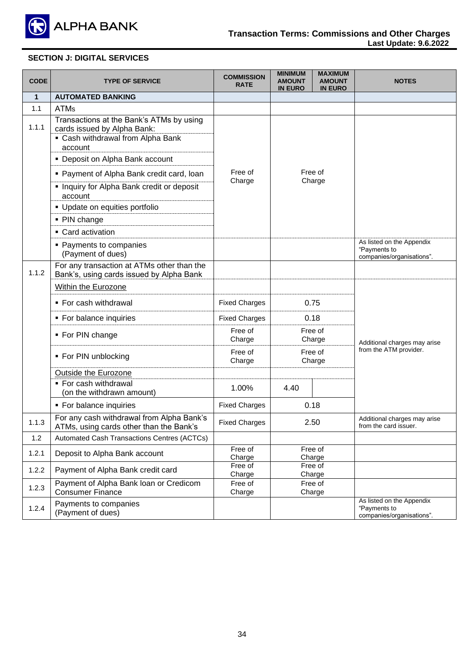

# **SECTION J: DIGITAL SERVICES**

| <b>CODE</b>  | <b>TYPE OF SERVICE</b>                                                                                                  | <b>COMMISSION</b><br><b>RATE</b> | <b>MINIMUM</b><br><b>AMOUNT</b><br><b>IN EURO</b> | <b>MAXIMUM</b><br><b>AMOUNT</b><br><b>IN EURO</b> | <b>NOTES</b>                                                           |
|--------------|-------------------------------------------------------------------------------------------------------------------------|----------------------------------|---------------------------------------------------|---------------------------------------------------|------------------------------------------------------------------------|
| $\mathbf{1}$ | <b>AUTOMATED BANKING</b>                                                                                                |                                  |                                                   |                                                   |                                                                        |
| 1.1          | <b>ATMs</b>                                                                                                             |                                  |                                                   |                                                   |                                                                        |
| 1.1.1        | Transactions at the Bank's ATMs by using<br>cards issued by Alpha Bank:<br>• Cash withdrawal from Alpha Bank<br>account |                                  |                                                   |                                                   |                                                                        |
|              | • Deposit on Alpha Bank account                                                                                         |                                  |                                                   |                                                   |                                                                        |
|              | • Payment of Alpha Bank credit card, loan<br>. Inquiry for Alpha Bank credit or deposit<br>account                      | Free of<br>Charge                | Free of                                           | Charge                                            |                                                                        |
|              | • Update on equities portfolio                                                                                          |                                  |                                                   |                                                   |                                                                        |
|              | • PIN change                                                                                                            |                                  |                                                   |                                                   |                                                                        |
|              | • Card activation                                                                                                       |                                  |                                                   |                                                   |                                                                        |
|              | • Payments to companies<br>(Payment of dues)                                                                            |                                  |                                                   |                                                   | As listed on the Appendix<br>"Payments to<br>companies/organisations". |
| 1.1.2        | For any transaction at ATMs other than the<br>Bank's, using cards issued by Alpha Bank                                  |                                  |                                                   |                                                   |                                                                        |
|              | Within the Eurozone                                                                                                     |                                  |                                                   |                                                   | Additional charges may arise                                           |
|              | ■ For cash withdrawal                                                                                                   | <b>Fixed Charges</b>             | 0.75                                              |                                                   |                                                                        |
|              | • For balance inquiries                                                                                                 | <b>Fixed Charges</b>             | 0.18                                              |                                                   |                                                                        |
|              | • For PIN change                                                                                                        | Free of<br>Charge                |                                                   | Free of<br>Charge                                 |                                                                        |
|              | ■ For PIN unblocking                                                                                                    | Free of<br>Charge                |                                                   | Free of<br>Charge                                 | from the ATM provider.                                                 |
|              | Outside the Eurozone                                                                                                    |                                  |                                                   |                                                   |                                                                        |
|              | ■ For cash withdrawal<br>(on the withdrawn amount)                                                                      | 1.00%                            | 4.40                                              |                                                   |                                                                        |
|              | • For balance inquiries                                                                                                 | <b>Fixed Charges</b>             | 0.18                                              |                                                   |                                                                        |
| 1.1.3        | For any cash withdrawal from Alpha Bank's<br>ATMs, using cards other than the Bank's                                    | <b>Fixed Charges</b>             | 2.50                                              |                                                   | Additional charges may arise<br>from the card issuer.                  |
| 1.2          | Automated Cash Transactions Centres (ACTCs)                                                                             |                                  |                                                   |                                                   |                                                                        |
| 1.2.1        | Deposit to Alpha Bank account                                                                                           | Free of<br>Charge                | Charge                                            | Free of                                           |                                                                        |
| 1.2.2        | Payment of Alpha Bank credit card                                                                                       | Free of<br>Charge                | Charge                                            | Free of                                           |                                                                        |
| 1.2.3        | Payment of Alpha Bank loan or Credicom<br><b>Consumer Finance</b>                                                       | Free of<br>Charge                | Charge                                            | Free of                                           |                                                                        |
| 1.2.4        | Payments to companies<br>(Payment of dues)                                                                              |                                  |                                                   |                                                   | As listed on the Appendix<br>"Payments to<br>companies/organisations". |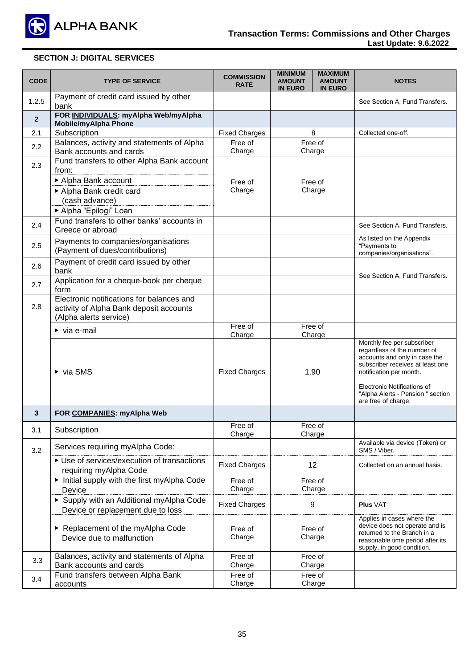

# **SECTION J: DIGITAL SERVICES**

| <b>CODE</b>    | <b>TYPE OF SERVICE</b>                                                                                                                          | <b>COMMISSION</b><br><b>RATE</b> | <b>MINIMUM</b><br><b>MAXIMUM</b><br><b>AMOUNT</b><br><b>AMOUNT</b><br><b>IN EURO</b><br><b>IN EURO</b> | <b>NOTES</b>                                                                                                                                                                                                                                         |
|----------------|-------------------------------------------------------------------------------------------------------------------------------------------------|----------------------------------|--------------------------------------------------------------------------------------------------------|------------------------------------------------------------------------------------------------------------------------------------------------------------------------------------------------------------------------------------------------------|
| 1.2.5          | Payment of credit card issued by other<br>bank                                                                                                  |                                  |                                                                                                        | See Section A, Fund Transfers.                                                                                                                                                                                                                       |
| $\overline{2}$ | FOR INDIVIDUALS: myAlpha Web/myAlpha<br><b>Mobile/myAlpha Phone</b>                                                                             |                                  |                                                                                                        |                                                                                                                                                                                                                                                      |
| 2.1            | Subscription                                                                                                                                    | <b>Fixed Charges</b>             | 8                                                                                                      | Collected one-off.                                                                                                                                                                                                                                   |
| 2.2            | Balances, activity and statements of Alpha<br>Bank accounts and cards                                                                           | Free of<br>Charge                | Free of<br>Charge                                                                                      |                                                                                                                                                                                                                                                      |
| 2.3            | Fund transfers to other Alpha Bank account<br>from:<br>Alpha Bank account<br>Alpha Bank credit card<br>(cash advance)<br>▶ Alpha "Epilogi" Loan | Free of<br>Charge                | Free of<br>Charge                                                                                      |                                                                                                                                                                                                                                                      |
| 2.4            | Fund transfers to other banks' accounts in<br>Greece or abroad                                                                                  |                                  |                                                                                                        | See Section A, Fund Transfers.                                                                                                                                                                                                                       |
| 2.5            | Payments to companies/organisations<br>(Payment of dues/contributions)                                                                          |                                  |                                                                                                        | As listed on the Appendix<br>"Payments to<br>companies/organisations".                                                                                                                                                                               |
| 2.6            | Payment of credit card issued by other<br>bank                                                                                                  |                                  |                                                                                                        | See Section A, Fund Transfers.                                                                                                                                                                                                                       |
| 2.7            | Application for a cheque-book per cheque<br>form                                                                                                |                                  |                                                                                                        |                                                                                                                                                                                                                                                      |
| 2.8            | Electronic notifications for balances and<br>activity of Alpha Bank deposit accounts<br>(Alpha alerts service)                                  |                                  |                                                                                                        |                                                                                                                                                                                                                                                      |
|                | $\triangleright$ via e-mail                                                                                                                     | Free of<br>Charge                | Free of<br>Charge                                                                                      |                                                                                                                                                                                                                                                      |
|                | $\triangleright$ via SMS                                                                                                                        | <b>Fixed Charges</b>             | 1.90                                                                                                   | Monthly fee per subscriber<br>regardless of the number of<br>accounts and only in case the<br>subscriber receives at least one<br>notification per month.<br>Electronic Notifications of<br>"Alpha Alerts - Pension " section<br>are free of charge. |
| 3              | FOR COMPANIES: myAlpha Web                                                                                                                      |                                  |                                                                                                        |                                                                                                                                                                                                                                                      |
| 3.1            | Subscription                                                                                                                                    | Free of<br>Charge                | Free of<br>Charge                                                                                      |                                                                                                                                                                                                                                                      |
| 3.2            | Services requiring myAlpha Code:                                                                                                                |                                  |                                                                                                        | Available via device (Token) or<br>SMS / Viber.                                                                                                                                                                                                      |
|                | ▶ Use of services/execution of transactions<br>requiring myAlpha Code                                                                           | <b>Fixed Charges</b>             | 12                                                                                                     | Collected on an annual basis.                                                                                                                                                                                                                        |
|                | Initial supply with the first myAlpha Code<br>Device                                                                                            | Free of<br>Charge                | Free of<br>Charge                                                                                      |                                                                                                                                                                                                                                                      |
|                | Supply with an Additional myAlpha Code<br>Device or replacement due to loss                                                                     | <b>Fixed Charges</b>             | 9                                                                                                      | <b>Plus VAT</b>                                                                                                                                                                                                                                      |
|                | Replacement of the myAlpha Code<br>Device due to malfunction                                                                                    | Free of<br>Charge                | Free of<br>Charge                                                                                      | Applies in cases where the<br>device does not operate and is<br>returned to the Branch in a<br>reasonable time period after its<br>supply, in good condition.                                                                                        |
| 3.3            | Balances, activity and statements of Alpha<br>Bank accounts and cards                                                                           | Free of<br>Charge                | Free of<br>Charge                                                                                      |                                                                                                                                                                                                                                                      |
| 3.4            | Fund transfers between Alpha Bank<br>accounts                                                                                                   | Free of<br>Charge                | Free of<br>Charge                                                                                      |                                                                                                                                                                                                                                                      |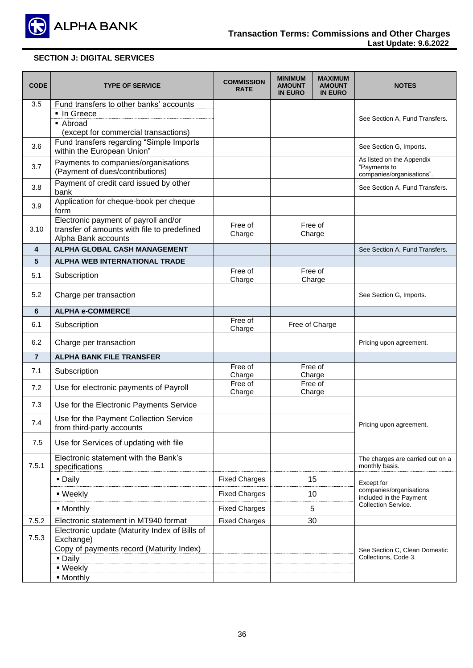

# **SECTION J: DIGITAL SERVICES**

| <b>CODE</b>    | <b>TYPE OF SERVICE</b>                                                                                     | <b>COMMISSION</b><br><b>RATE</b> | <b>MINIMUM</b><br><b>AMOUNT</b><br><b>IN EURO</b> | <b>MAXIMUM</b><br><b>AMOUNT</b><br><b>IN EURO</b> | <b>NOTES</b>                                                           |
|----------------|------------------------------------------------------------------------------------------------------------|----------------------------------|---------------------------------------------------|---------------------------------------------------|------------------------------------------------------------------------|
| 3.5            | Fund transfers to other banks' accounts                                                                    |                                  |                                                   |                                                   |                                                                        |
|                | ■ In Greece                                                                                                |                                  |                                                   |                                                   | See Section A, Fund Transfers.                                         |
|                | • Abroad<br>(except for commercial transactions)                                                           |                                  |                                                   |                                                   |                                                                        |
| 3.6            | Fund transfers regarding "Simple Imports<br>within the European Union"                                     |                                  |                                                   |                                                   | See Section G, Imports.                                                |
| 3.7            | Payments to companies/organisations<br>(Payment of dues/contributions)                                     |                                  |                                                   |                                                   | As listed on the Appendix<br>"Payments to<br>companies/organisations". |
| 3.8            | Payment of credit card issued by other<br>bank                                                             |                                  |                                                   |                                                   | See Section A, Fund Transfers.                                         |
| 3.9            | Application for cheque-book per cheque<br>form                                                             |                                  |                                                   |                                                   |                                                                        |
| 3.10           | Electronic payment of payroll and/or<br>transfer of amounts with file to predefined<br>Alpha Bank accounts | Free of<br>Charge                |                                                   | Free of<br>Charge                                 |                                                                        |
| 4              | ALPHA GLOBAL CASH MANAGEMENT                                                                               |                                  |                                                   |                                                   | See Section A, Fund Transfers.                                         |
| 5              | <b>ALPHA WEB INTERNATIONAL TRADE</b>                                                                       |                                  |                                                   |                                                   |                                                                        |
| 5.1            | Subscription                                                                                               | Free of<br>Charge                |                                                   | Free of<br>Charge                                 |                                                                        |
| 5.2            | Charge per transaction                                                                                     |                                  |                                                   |                                                   | See Section G, Imports.                                                |
| 6              | <b>ALPHA e-COMMERCE</b>                                                                                    |                                  |                                                   |                                                   |                                                                        |
| 6.1            | Subscription                                                                                               | Free of<br>Charge                |                                                   | Free of Charge                                    |                                                                        |
| 6.2            | Charge per transaction                                                                                     |                                  |                                                   |                                                   | Pricing upon agreement.                                                |
| $\overline{7}$ | <b>ALPHA BANK FILE TRANSFER</b>                                                                            |                                  |                                                   |                                                   |                                                                        |
| 7.1            | Subscription                                                                                               | Free of<br>Charge                |                                                   | Free of<br>Charge                                 |                                                                        |
| 7.2            | Use for electronic payments of Payroll                                                                     | Free of                          |                                                   | Free of                                           |                                                                        |
| 7.3            | Use for the Electronic Payments Service                                                                    | Charge                           |                                                   | Charge                                            |                                                                        |
|                | Use for the Payment Collection Service                                                                     |                                  |                                                   |                                                   |                                                                        |
| 7.4            | from third-party accounts                                                                                  |                                  |                                                   |                                                   | Pricing upon agreement.                                                |
| 7.5            | Use for Services of updating with file                                                                     |                                  |                                                   |                                                   |                                                                        |
| 7.5.1          | Electronic statement with the Bank's<br>specifications                                                     |                                  |                                                   |                                                   | The charges are carried out on a<br>monthly basis.                     |
|                | · Daily                                                                                                    | <b>Fixed Charges</b>             |                                                   | 15                                                | Except for                                                             |
|                | · Weekly                                                                                                   | <b>Fixed Charges</b>             | 10                                                |                                                   | companies/organisations<br>included in the Payment                     |
|                | • Monthly                                                                                                  | <b>Fixed Charges</b>             |                                                   | 5                                                 | <b>Collection Service.</b>                                             |
| 7.5.2          | Electronic statement in MT940 format                                                                       | <b>Fixed Charges</b>             |                                                   | 30                                                |                                                                        |
| 7.5.3          | Electronic update (Maturity Index of Bills of<br>Exchange)                                                 |                                  |                                                   |                                                   |                                                                        |
|                | Copy of payments record (Maturity Index)<br>· Daily                                                        |                                  |                                                   |                                                   | See Section C, Clean Domestic<br>Collections, Code 3.                  |
|                | · Weekly                                                                                                   |                                  |                                                   |                                                   |                                                                        |
|                | • Monthly                                                                                                  |                                  |                                                   |                                                   |                                                                        |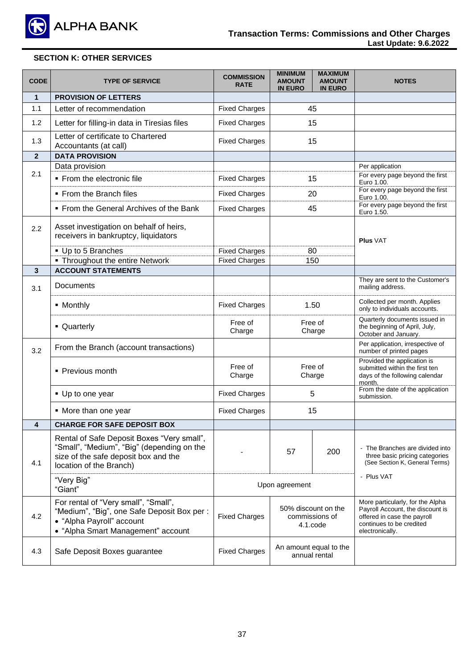

# **SECTION K: OTHER SERVICES**

| <b>CODE</b>  | <b>TYPE OF SERVICE</b>                                                                                                                                      | <b>COMMISSION</b><br><b>RATE</b> | <b>MINIMUM</b><br><b>AMOUNT</b><br><b>IN EURO</b> | <b>MAXIMUM</b><br><b>AMOUNT</b><br><b>IN EURO</b> | <b>NOTES</b>                                                                                                                                       |  |
|--------------|-------------------------------------------------------------------------------------------------------------------------------------------------------------|----------------------------------|---------------------------------------------------|---------------------------------------------------|----------------------------------------------------------------------------------------------------------------------------------------------------|--|
| $\mathbf{1}$ | <b>PROVISION OF LETTERS</b>                                                                                                                                 |                                  |                                                   |                                                   |                                                                                                                                                    |  |
| 1.1          | Letter of recommendation                                                                                                                                    | <b>Fixed Charges</b>             | 45                                                |                                                   |                                                                                                                                                    |  |
| 1.2          | Letter for filling-in data in Tiresias files                                                                                                                | <b>Fixed Charges</b>             | 15                                                |                                                   |                                                                                                                                                    |  |
| 1.3          | Letter of certificate to Chartered<br>Accountants (at call)                                                                                                 | <b>Fixed Charges</b>             | 15                                                |                                                   |                                                                                                                                                    |  |
| $\mathbf{2}$ | <b>DATA PROVISION</b>                                                                                                                                       |                                  |                                                   |                                                   |                                                                                                                                                    |  |
| 2.1          | Data provision                                                                                                                                              |                                  |                                                   |                                                   | Per application                                                                                                                                    |  |
|              | • From the electronic file                                                                                                                                  | <b>Fixed Charges</b>             | 15                                                |                                                   | For every page beyond the first<br>Euro 1.00.                                                                                                      |  |
|              | • From the Branch files                                                                                                                                     | <b>Fixed Charges</b>             | 20                                                |                                                   | For every page beyond the first<br>Euro 1.00.                                                                                                      |  |
|              | • From the General Archives of the Bank                                                                                                                     | <b>Fixed Charges</b>             | 45                                                |                                                   | For every page beyond the first<br>Euro 1.50.                                                                                                      |  |
| 2.2          | Asset investigation on behalf of heirs,<br>receivers in bankruptcy, liquidators                                                                             |                                  |                                                   |                                                   | <b>Plus VAT</b>                                                                                                                                    |  |
|              | • Up to 5 Branches                                                                                                                                          | <b>Fixed Charges</b>             |                                                   | 80                                                |                                                                                                                                                    |  |
|              | • Throughout the entire Network                                                                                                                             | <b>Fixed Charges</b>             | 150                                               |                                                   |                                                                                                                                                    |  |
| $\mathbf{3}$ | <b>ACCOUNT STATEMENTS</b>                                                                                                                                   |                                  |                                                   |                                                   |                                                                                                                                                    |  |
| 3.1          | Documents                                                                                                                                                   |                                  |                                                   |                                                   | They are sent to the Customer's<br>mailing address.                                                                                                |  |
|              | • Monthly                                                                                                                                                   | <b>Fixed Charges</b>             | 1.50<br>Free of<br>Charge                         |                                                   | Collected per month. Applies<br>only to individuals accounts.                                                                                      |  |
|              | • Quarterly                                                                                                                                                 | Free of<br>Charge                |                                                   |                                                   | Quarterly documents issued in<br>the beginning of April, July,<br>October and January.                                                             |  |
| 3.2          | From the Branch (account transactions)                                                                                                                      |                                  |                                                   |                                                   | Per application, irrespective of<br>number of printed pages                                                                                        |  |
|              | • Previous month                                                                                                                                            | Free of<br>Charge                | Free of<br>Charge<br>5<br>15                      |                                                   | Provided the application is<br>submitted within the first ten<br>days of the following calendar<br>month.                                          |  |
|              | • Up to one year                                                                                                                                            | <b>Fixed Charges</b>             |                                                   |                                                   | From the date of the application<br>submission.                                                                                                    |  |
|              | • More than one year                                                                                                                                        | <b>Fixed Charges</b>             |                                                   |                                                   |                                                                                                                                                    |  |
| 4            | <b>CHARGE FOR SAFE DEPOSIT BOX</b>                                                                                                                          |                                  |                                                   |                                                   |                                                                                                                                                    |  |
| 4.1          | Rental of Safe Deposit Boxes "Very small",<br>"Small", "Medium", "Big" (depending on the<br>size of the safe deposit box and the<br>location of the Branch) |                                  | 57                                                | 200                                               | The Branches are divided into<br>three basic pricing categories<br>(See Section K, General Terms)                                                  |  |
|              | "Very Big"<br>"Giant"                                                                                                                                       | Upon agreement                   |                                                   | - Plus VAT                                        |                                                                                                                                                    |  |
| 4.2          | For rental of "Very small", "Small",<br>"Medium", "Big", one Safe Deposit Box per :<br>• "Alpha Payroll" account<br>• "Alpha Smart Management" account      | <b>Fixed Charges</b>             | 50% discount on the<br>commissions of<br>4.1.code |                                                   | More particularly, for the Alpha<br>Payroll Account, the discount is<br>offered in case the payroll<br>continues to be credited<br>electronically. |  |
| 4.3          | Safe Deposit Boxes guarantee                                                                                                                                | <b>Fixed Charges</b>             | An amount equal to the<br>annual rental           |                                                   |                                                                                                                                                    |  |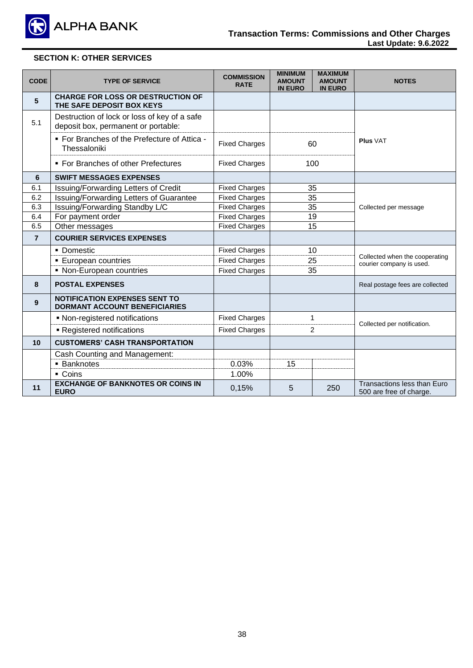

# **SECTION K: OTHER SERVICES**

| <b>CODE</b>    | <b>TYPE OF SERVICE</b>                                                              | <b>COMMISSION</b><br><b>RATE</b> | <b>MINIMUM</b><br><b>AMOUNT</b><br><b>IN EURO</b> | <b>MAXIMUM</b><br><b>AMOUNT</b><br><b>IN EURO</b> | <b>NOTES</b>                                               |  |
|----------------|-------------------------------------------------------------------------------------|----------------------------------|---------------------------------------------------|---------------------------------------------------|------------------------------------------------------------|--|
| 5              | <b>CHARGE FOR LOSS OR DESTRUCTION OF</b><br>THE SAFE DEPOSIT BOX KEYS               |                                  |                                                   |                                                   |                                                            |  |
| 5.1            | Destruction of lock or loss of key of a safe<br>deposit box, permanent or portable: |                                  |                                                   |                                                   |                                                            |  |
|                | . For Branches of the Prefecture of Attica -<br>Thessaloniki                        | <b>Fixed Charges</b>             |                                                   | 60                                                | <b>Plus VAT</b>                                            |  |
|                | • For Branches of other Prefectures                                                 | <b>Fixed Charges</b>             |                                                   | 100                                               |                                                            |  |
| 6              | <b>SWIFT MESSAGES EXPENSES</b>                                                      |                                  |                                                   |                                                   |                                                            |  |
| 6.1            | Issuing/Forwarding Letters of Credit                                                | <b>Fixed Charges</b>             |                                                   | 35                                                |                                                            |  |
| 6.2            | Issuing/Forwarding Letters of Guarantee                                             | <b>Fixed Charges</b>             | 35                                                |                                                   | Collected per message                                      |  |
| 6.3            | Issuing/Forwarding Standby L/C                                                      | <b>Fixed Charges</b>             | 35                                                |                                                   |                                                            |  |
| 6.4            | For payment order                                                                   | <b>Fixed Charges</b>             | 19                                                |                                                   |                                                            |  |
| 6.5            | Other messages                                                                      | <b>Fixed Charges</b>             | 15                                                |                                                   |                                                            |  |
| $\overline{7}$ | <b>COURIER SERVICES EXPENSES</b>                                                    |                                  |                                                   |                                                   |                                                            |  |
|                | • Domestic                                                                          | <b>Fixed Charges</b>             | 10<br>25<br>35                                    |                                                   | Collected when the cooperating<br>courier company is used. |  |
|                | <b>European countries</b>                                                           | <b>Fixed Charges</b>             |                                                   |                                                   |                                                            |  |
|                | • Non-European countries                                                            | <b>Fixed Charges</b>             |                                                   |                                                   |                                                            |  |
| 8              | <b>POSTAL EXPENSES</b>                                                              |                                  |                                                   |                                                   | Real postage fees are collected                            |  |
| 9              | <b>NOTIFICATION EXPENSES SENT TO</b><br><b>DORMANT ACCOUNT BENEFICIARIES</b>        |                                  |                                                   |                                                   |                                                            |  |
|                | • Non-registered notifications                                                      | <b>Fixed Charges</b>             | $\mathbf{1}$<br>$\overline{2}$                    |                                                   | Collected per notification.                                |  |
|                | - Registered notifications                                                          | <b>Fixed Charges</b>             |                                                   |                                                   |                                                            |  |
| 10             | <b>CUSTOMERS' CASH TRANSPORTATION</b>                                               |                                  |                                                   |                                                   |                                                            |  |
|                | <b>Cash Counting and Management:</b>                                                |                                  |                                                   |                                                   |                                                            |  |
|                | <b>Banknotes</b>                                                                    | 0.03%                            | 15                                                |                                                   |                                                            |  |
|                | • Coins                                                                             | 1.00%                            |                                                   |                                                   |                                                            |  |
| 11             | <b>EXCHANGE OF BANKNOTES OR COINS IN</b><br><b>EURO</b>                             | 0,15%                            | 5                                                 | 250                                               | Transactions less than Euro<br>500 are free of charge.     |  |